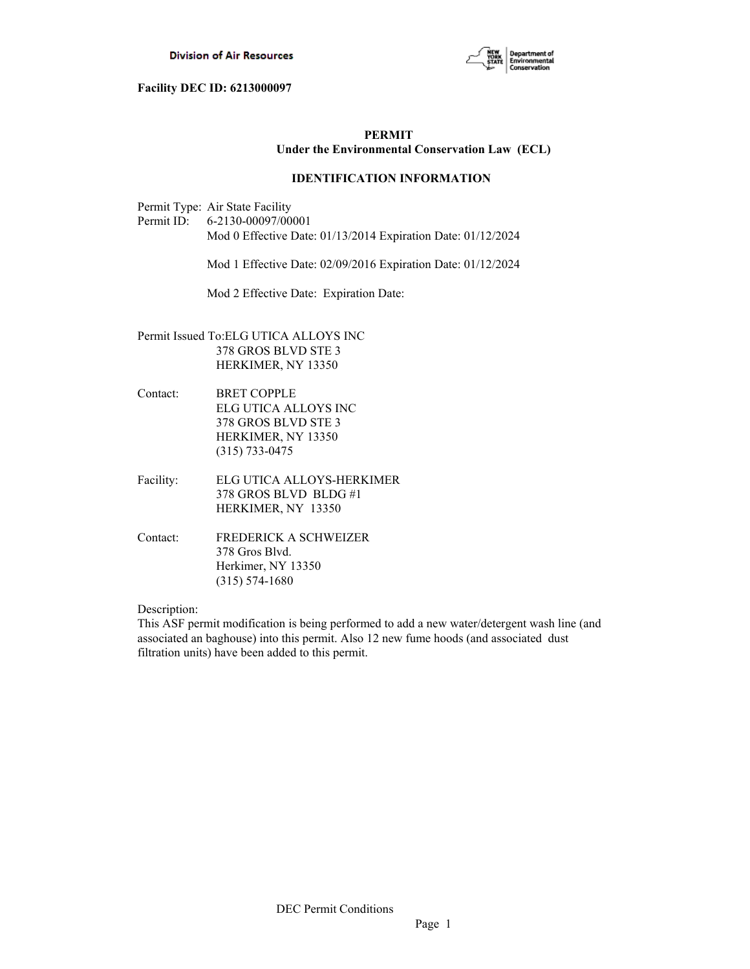

# **PERMIT Under the Environmental Conservation Law (ECL)**

# **IDENTIFICATION INFORMATION**

Permit Type: Air State Facility

Permit ID: 6-2130-00097/00001 Mod 0 Effective Date: 01/13/2014 Expiration Date: 01/12/2024

Mod 1 Effective Date: 02/09/2016 Expiration Date: 01/12/2024

Mod 2 Effective Date: Expiration Date:

- Permit Issued To:ELG UTICA ALLOYS INC 378 GROS BLVD STE 3 HERKIMER, NY 13350
- Contact: BRET COPPLE ELG UTICA ALLOYS INC 378 GROS BLVD STE 3 HERKIMER, NY 13350 (315) 733-0475
- Facility: ELG UTICA ALLOYS-HERKIMER 378 GROS BLVD BLDG #1 HERKIMER, NY 13350
- Contact: FREDERICK A SCHWEIZER 378 Gros Blvd. Herkimer, NY 13350 (315) 574-1680

Description:

This ASF permit modification is being performed to add a new water/detergent wash line (and associated an baghouse) into this permit. Also 12 new fume hoods (and associated dust filtration units) have been added to this permit.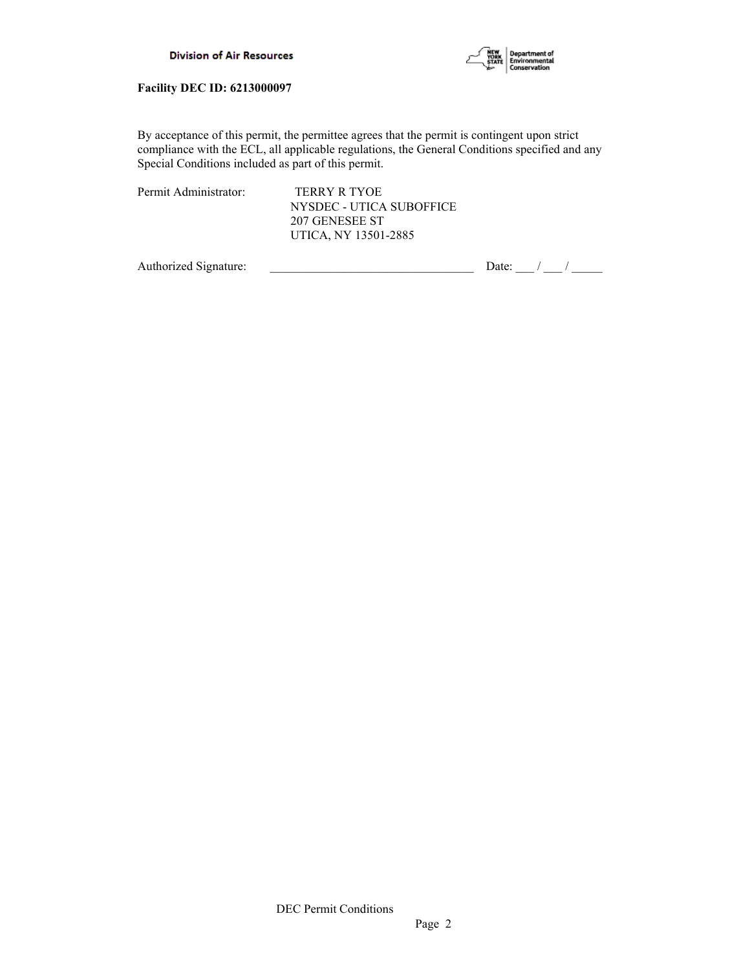



By acceptance of this permit, the permittee agrees that the permit is contingent upon strict compliance with the ECL, all applicable regulations, the General Conditions specified and any Special Conditions included as part of this permit.

| Permit Administrator: | TERRY R TYOE             |
|-----------------------|--------------------------|
|                       | NYSDEC - UTICA SUBOFFICE |
|                       | 207 GENESEE ST           |
|                       | UTICA, NY 13501-2885     |

Authorized Signature:  $\frac{1}{\sqrt{2\pi}}$  Date:  $\frac{1}{\sqrt{2\pi}}$  Date:  $\frac{1}{\sqrt{2\pi}}$  /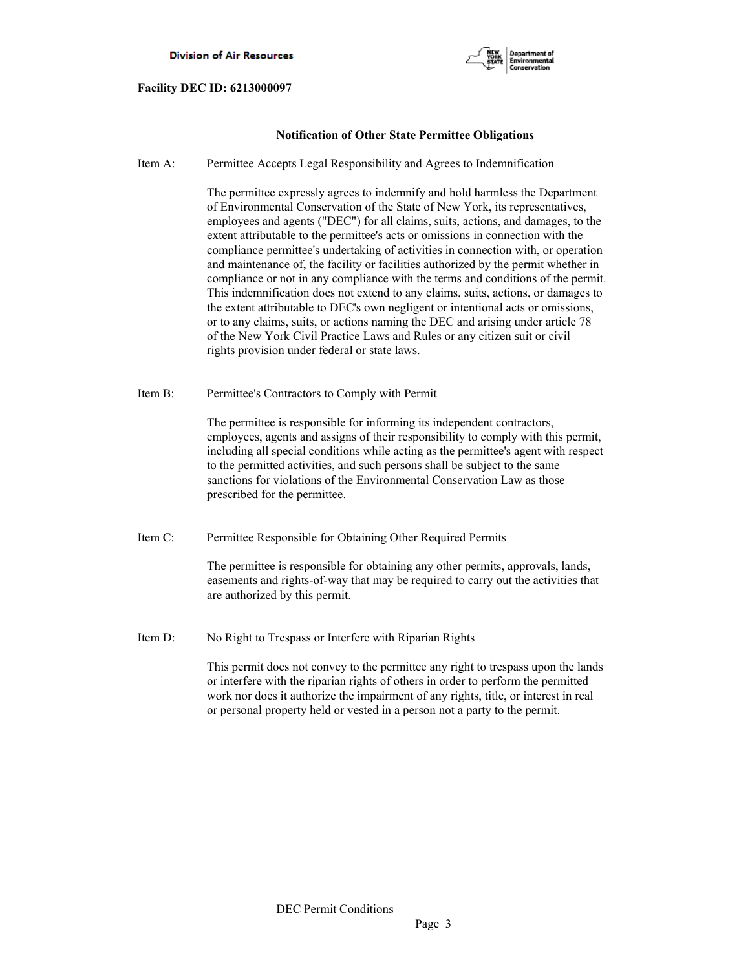

# **Notification of Other State Permittee Obligations**

Item A: Permittee Accepts Legal Responsibility and Agrees to Indemnification

 The permittee expressly agrees to indemnify and hold harmless the Department of Environmental Conservation of the State of New York, its representatives, employees and agents ("DEC") for all claims, suits, actions, and damages, to the extent attributable to the permittee's acts or omissions in connection with the compliance permittee's undertaking of activities in connection with, or operation and maintenance of, the facility or facilities authorized by the permit whether in compliance or not in any compliance with the terms and conditions of the permit. This indemnification does not extend to any claims, suits, actions, or damages to the extent attributable to DEC's own negligent or intentional acts or omissions, or to any claims, suits, or actions naming the DEC and arising under article 78 of the New York Civil Practice Laws and Rules or any citizen suit or civil rights provision under federal or state laws.

Item B: Permittee's Contractors to Comply with Permit

 The permittee is responsible for informing its independent contractors, employees, agents and assigns of their responsibility to comply with this permit, including all special conditions while acting as the permittee's agent with respect to the permitted activities, and such persons shall be subject to the same sanctions for violations of the Environmental Conservation Law as those prescribed for the permittee.

Item C: Permittee Responsible for Obtaining Other Required Permits

 The permittee is responsible for obtaining any other permits, approvals, lands, easements and rights-of-way that may be required to carry out the activities that are authorized by this permit.

Item D: No Right to Trespass or Interfere with Riparian Rights

 This permit does not convey to the permittee any right to trespass upon the lands or interfere with the riparian rights of others in order to perform the permitted work nor does it authorize the impairment of any rights, title, or interest in real or personal property held or vested in a person not a party to the permit.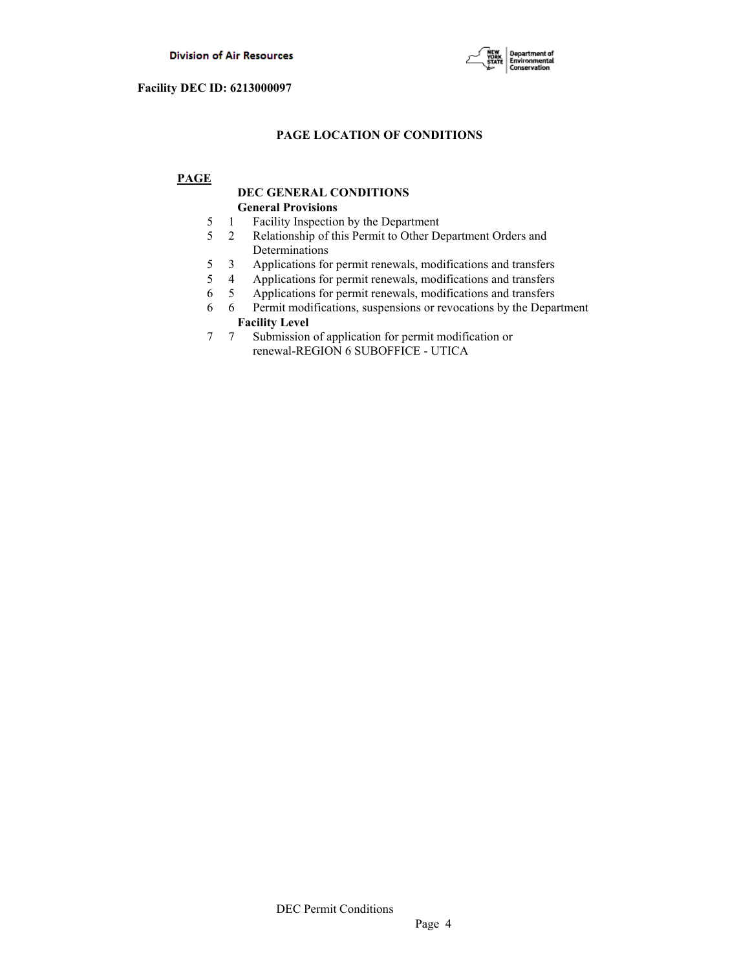

# **PAGE LOCATION OF CONDITIONS**

# **PAGE**

# **DEC GENERAL CONDITIONS General Provisions**

- 5 1 Facility Inspection by the Department
- 5 2 Relationship of this Permit to Other Department Orders and Determinations
- 5 3 Applications for permit renewals, modifications and transfers
- 5 4 Applications for permit renewals, modifications and transfers
- 6 5 Applications for permit renewals, modifications and transfers
- 6 6 Permit modifications, suspensions or revocations by the Department **Facility Level**<br>7 7 Submission
- Submission of application for permit modification or renewal-REGION 6 SUBOFFICE - UTICA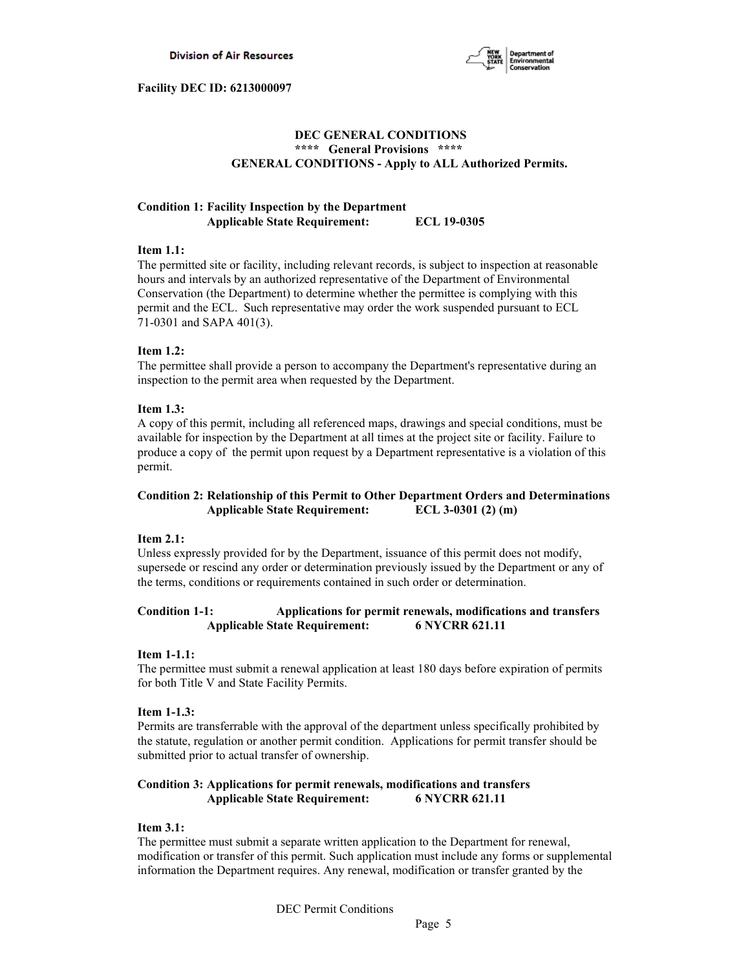

# **DEC GENERAL CONDITIONS \*\*\*\* General Provisions \*\*\*\* GENERAL CONDITIONS - Apply to ALL Authorized Permits.**

# **Condition 1: Facility Inspection by the Department Applicable State Requirement: ECL 19-0305**

# **Item 1.1:**

The permitted site or facility, including relevant records, is subject to inspection at reasonable hours and intervals by an authorized representative of the Department of Environmental Conservation (the Department) to determine whether the permittee is complying with this permit and the ECL. Such representative may order the work suspended pursuant to ECL 71-0301 and SAPA 401(3).

## **Item 1.2:**

The permittee shall provide a person to accompany the Department's representative during an inspection to the permit area when requested by the Department.

## **Item 1.3:**

A copy of this permit, including all referenced maps, drawings and special conditions, must be available for inspection by the Department at all times at the project site or facility. Failure to produce a copy of the permit upon request by a Department representative is a violation of this permit.

# **Condition 2: Relationship of this Permit to Other Department Orders and Determinations Applicable State Requirement: ECL 3-0301 (2) (m)**

### **Item 2.1:**

Unless expressly provided for by the Department, issuance of this permit does not modify, supersede or rescind any order or determination previously issued by the Department or any of the terms, conditions or requirements contained in such order or determination.

# **Condition 1-1: Applications for permit renewals, modifications and transfers Applicable State Requirement: 6 NYCRR 621.11**

# **Item 1-1.1:**

The permittee must submit a renewal application at least 180 days before expiration of permits for both Title V and State Facility Permits.

### **Item 1-1.3:**

Permits are transferrable with the approval of the department unless specifically prohibited by the statute, regulation or another permit condition. Applications for permit transfer should be submitted prior to actual transfer of ownership.

# **Condition 3: Applications for permit renewals, modifications and transfers Applicable State Requirement: 6 NYCRR 621.11**

# **Item 3.1:**

The permittee must submit a separate written application to the Department for renewal, modification or transfer of this permit. Such application must include any forms or supplemental information the Department requires. Any renewal, modification or transfer granted by the

DEC Permit Conditions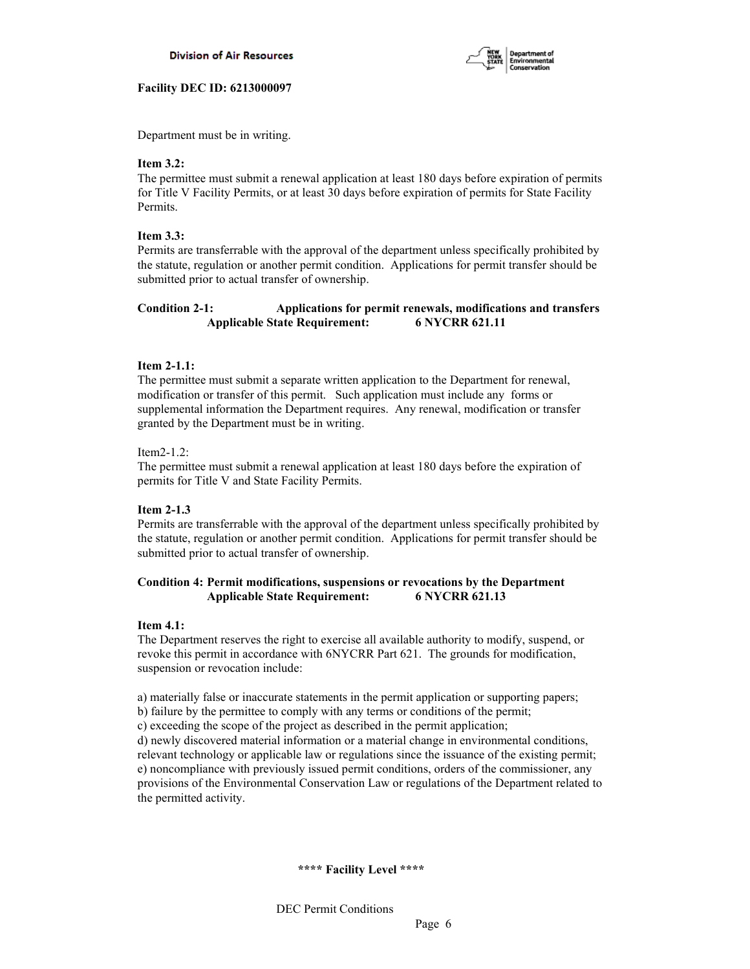

Department must be in writing.

# **Item 3.2:**

The permittee must submit a renewal application at least 180 days before expiration of permits for Title V Facility Permits, or at least 30 days before expiration of permits for State Facility Permits.

# **Item 3.3:**

Permits are transferrable with the approval of the department unless specifically prohibited by the statute, regulation or another permit condition. Applications for permit transfer should be submitted prior to actual transfer of ownership.

# **Condition 2-1: Applications for permit renewals, modifications and transfers Applicable State Requirement: 6 NYCRR 621.11**

# **Item 2-1.1:**

The permittee must submit a separate written application to the Department for renewal, modification or transfer of this permit. Such application must include any forms or supplemental information the Department requires. Any renewal, modification or transfer granted by the Department must be in writing.

## Item2-1.2:

The permittee must submit a renewal application at least 180 days before the expiration of permits for Title V and State Facility Permits.

## **Item 2-1.3**

Permits are transferrable with the approval of the department unless specifically prohibited by the statute, regulation or another permit condition. Applications for permit transfer should be submitted prior to actual transfer of ownership.

# **Condition 4: Permit modifications, suspensions or revocations by the Department Applicable State Requirement: 6 NYCRR 621.13**

## **Item 4.1:**

The Department reserves the right to exercise all available authority to modify, suspend, or revoke this permit in accordance with 6NYCRR Part 621. The grounds for modification, suspension or revocation include:

a) materially false or inaccurate statements in the permit application or supporting papers;

b) failure by the permittee to comply with any terms or conditions of the permit;

c) exceeding the scope of the project as described in the permit application;

d) newly discovered material information or a material change in environmental conditions, relevant technology or applicable law or regulations since the issuance of the existing permit; e) noncompliance with previously issued permit conditions, orders of the commissioner, any provisions of the Environmental Conservation Law or regulations of the Department related to the permitted activity.

## **\*\*\*\* Facility Level \*\*\*\***

DEC Permit Conditions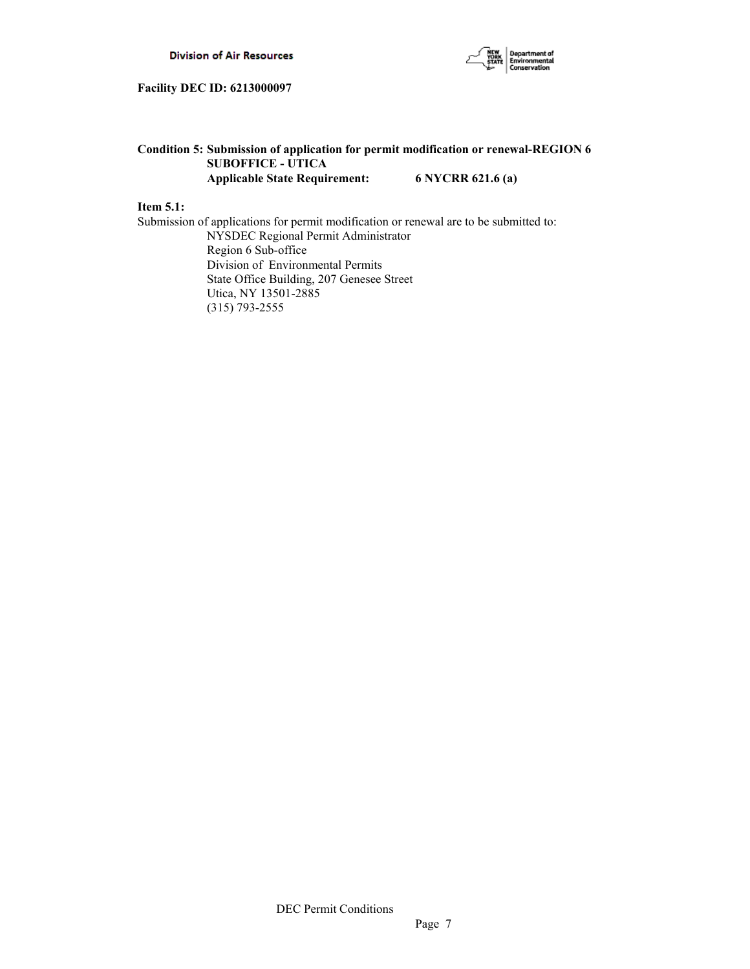

# **Condition 5: Submission of application for permit modification or renewal-REGION 6 SUBOFFICE - UTICA Applicable State Requirement: 6 NYCRR 621.6 (a)**

# **Item 5.1:**

Submission of applications for permit modification or renewal are to be submitted to: NYSDEC Regional Permit Administrator Region 6 Sub-office Division of Environmental Permits State Office Building, 207 Genesee Street Utica, NY 13501-2885 (315) 793-2555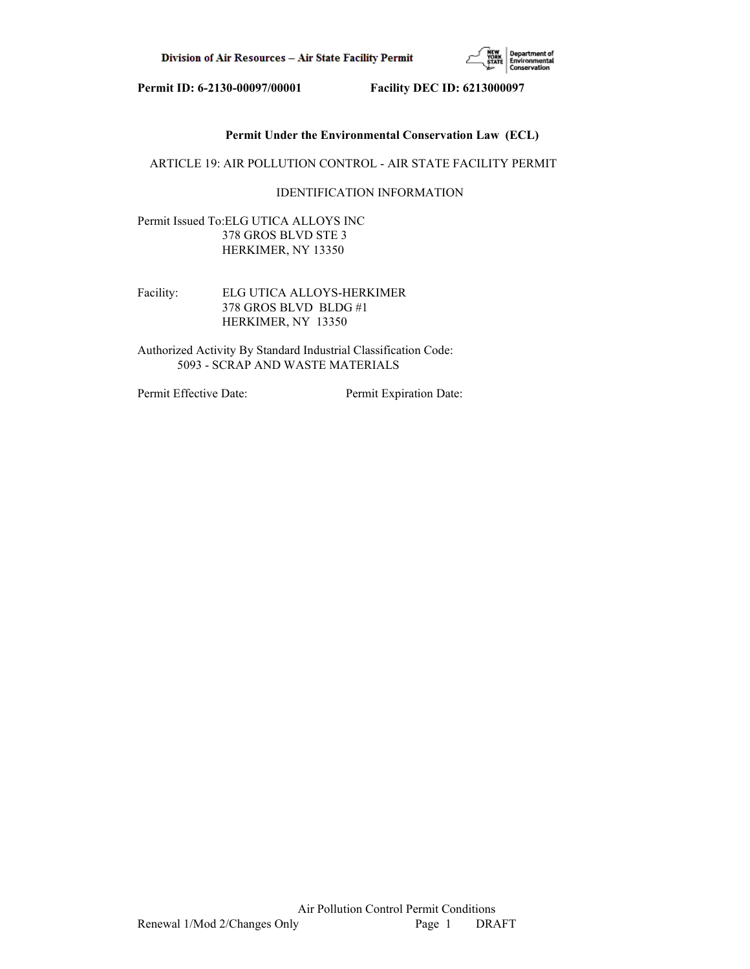

# **Permit Under the Environmental Conservation Law (ECL)**

ARTICLE 19: AIR POLLUTION CONTROL - AIR STATE FACILITY PERMIT

# IDENTIFICATION INFORMATION

Permit Issued To:ELG UTICA ALLOYS INC 378 GROS BLVD STE 3 HERKIMER, NY 13350

Facility: ELG UTICA ALLOYS-HERKIMER 378 GROS BLVD BLDG #1 HERKIMER, NY 13350

Authorized Activity By Standard Industrial Classification Code: 5093 - SCRAP AND WASTE MATERIALS

Permit Effective Date: Permit Expiration Date: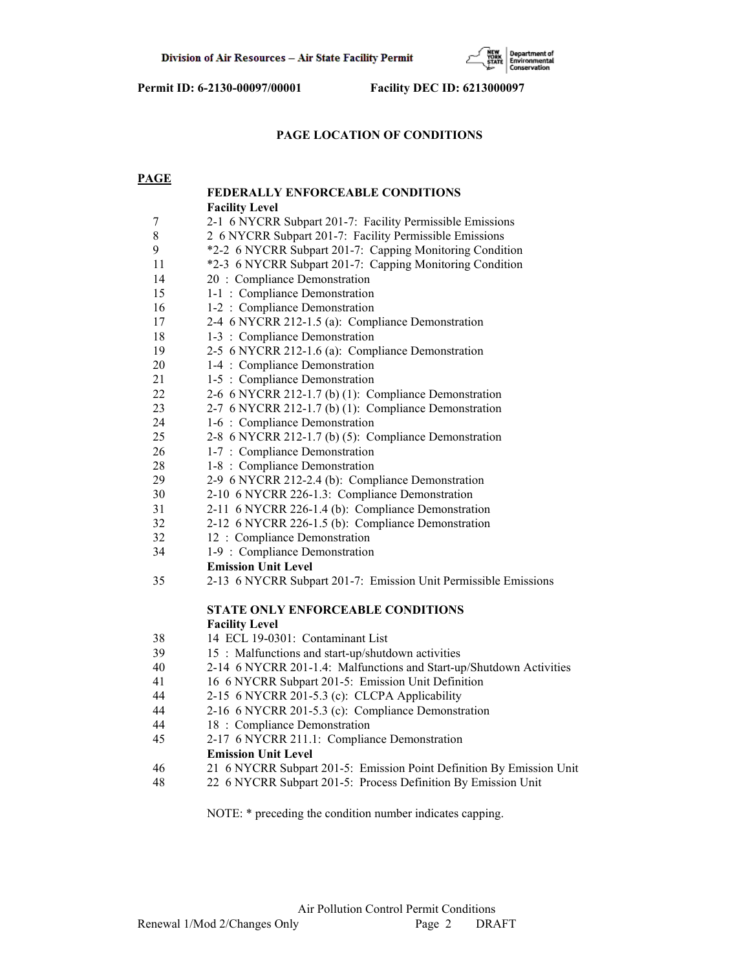

# **PAGE LOCATION OF CONDITIONS**

| <b>PAGE</b> |                                                                      |
|-------------|----------------------------------------------------------------------|
|             | FEDERALLY ENFORCEABLE CONDITIONS                                     |
|             | <b>Facility Level</b>                                                |
| 7           | 2-1 6 NYCRR Subpart 201-7: Facility Permissible Emissions            |
| $8\,$       | 2 6 NYCRR Subpart 201-7: Facility Permissible Emissions              |
| 9           | *2-2 6 NYCRR Subpart 201-7: Capping Monitoring Condition             |
| 11          | *2-3 6 NYCRR Subpart 201-7: Capping Monitoring Condition             |
| 14          | 20 : Compliance Demonstration                                        |
| 15          | 1-1 : Compliance Demonstration                                       |
| 16          | 1-2 : Compliance Demonstration                                       |
| 17          | 2-4 6 NYCRR 212-1.5 (a): Compliance Demonstration                    |
| 18          | 1-3 : Compliance Demonstration                                       |
| 19          | 2-5 6 NYCRR 212-1.6 (a): Compliance Demonstration                    |
| 20          | 1-4 : Compliance Demonstration                                       |
| 21          | 1-5 : Compliance Demonstration                                       |
| 22          | 2-6 6 NYCRR 212-1.7 (b) (1): Compliance Demonstration                |
| 23          | 2-7 6 NYCRR 212-1.7 (b) (1): Compliance Demonstration                |
| 24          | 1-6 : Compliance Demonstration                                       |
| 25          | 2-8 6 NYCRR 212-1.7 (b) (5): Compliance Demonstration                |
| 26          | 1-7 : Compliance Demonstration                                       |
| 28          | 1-8 : Compliance Demonstration                                       |
| 29          | 2-9 6 NYCRR 212-2.4 (b): Compliance Demonstration                    |
| 30          | 2-10 6 NYCRR 226-1.3: Compliance Demonstration                       |
| 31          | 2-11 6 NYCRR 226-1.4 (b): Compliance Demonstration                   |
| 32          | 2-12 6 NYCRR 226-1.5 (b): Compliance Demonstration                   |
| 32          | 12 : Compliance Demonstration                                        |
| 34          | 1-9 : Compliance Demonstration                                       |
|             | <b>Emission Unit Level</b>                                           |
| 35          | 2-13 6 NYCRR Subpart 201-7: Emission Unit Permissible Emissions      |
|             | STATE ONLY ENFORCEABLE CONDITIONS                                    |
|             | <b>Facility Level</b>                                                |
| 38          | 14 ECL 19-0301: Contaminant List                                     |
| 39          | 15 : Malfunctions and start-up/shutdown activities                   |
| 40          | 2-14 6 NYCRR 201-1.4: Malfunctions and Start-up/Shutdown Activities  |
| 41          | 16 6 NYCRR Subpart 201-5: Emission Unit Definition                   |
| 44          | 2-15 6 NYCRR 201-5.3 (c): CLCPA Applicability                        |
| 44          | 2-16 6 NYCRR 201-5.3 (c): Compliance Demonstration                   |
| 44          | 18 : Compliance Demonstration                                        |
| 45          | 2-17 6 NYCRR 211.1: Compliance Demonstration                         |
|             | <b>Emission Unit Level</b>                                           |
| 46          | 21 6 NYCRR Subpart 201-5: Emission Point Definition By Emission Unit |
| 48          | 22 6 NYCRR Subpart 201-5: Process Definition By Emission Unit        |
|             |                                                                      |

NOTE: \* preceding the condition number indicates capping.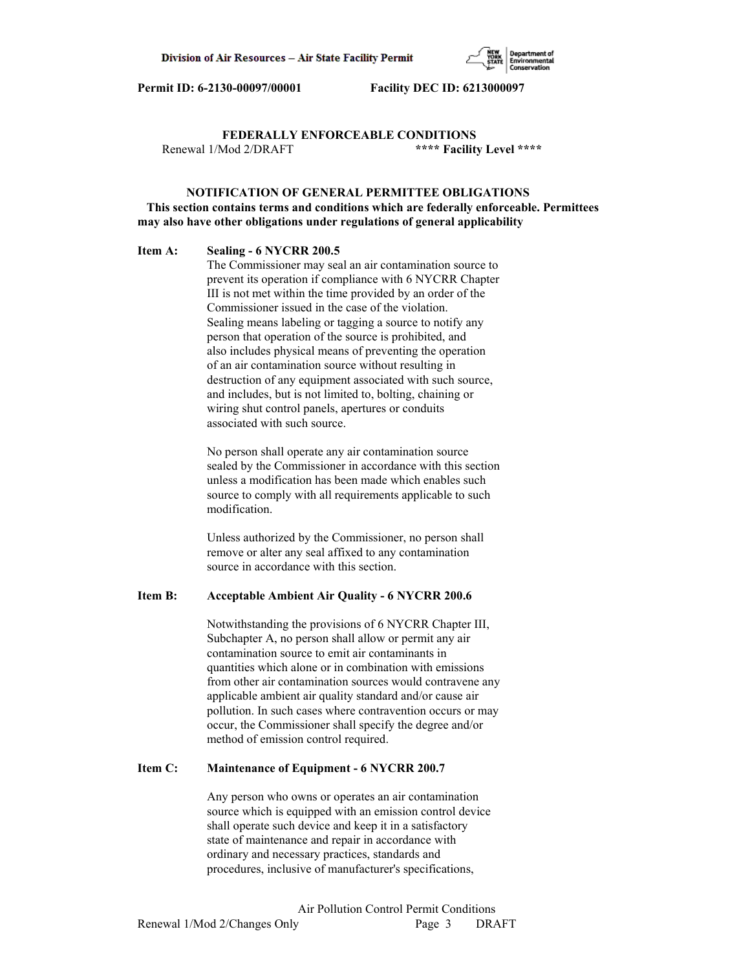

 **FEDERALLY ENFORCEABLE CONDITIONS** Renewal 1/Mod 2/DRAFT **\*\*\*\* Facility Level \*\*\*\***

# **NOTIFICATION OF GENERAL PERMITTEE OBLIGATIONS This section contains terms and conditions which are federally enforceable. Permittees may also have other obligations under regulations of general applicability**

#### **Item A: Sealing - 6 NYCRR 200.5**

 The Commissioner may seal an air contamination source to prevent its operation if compliance with 6 NYCRR Chapter III is not met within the time provided by an order of the Commissioner issued in the case of the violation. Sealing means labeling or tagging a source to notify any person that operation of the source is prohibited, and also includes physical means of preventing the operation of an air contamination source without resulting in destruction of any equipment associated with such source, and includes, but is not limited to, bolting, chaining or wiring shut control panels, apertures or conduits associated with such source.

 No person shall operate any air contamination source sealed by the Commissioner in accordance with this section unless a modification has been made which enables such source to comply with all requirements applicable to such modification.

 Unless authorized by the Commissioner, no person shall remove or alter any seal affixed to any contamination source in accordance with this section.

## **Item B: Acceptable Ambient Air Quality - 6 NYCRR 200.6**

 Notwithstanding the provisions of 6 NYCRR Chapter III, Subchapter A, no person shall allow or permit any air contamination source to emit air contaminants in quantities which alone or in combination with emissions from other air contamination sources would contravene any applicable ambient air quality standard and/or cause air pollution. In such cases where contravention occurs or may occur, the Commissioner shall specify the degree and/or method of emission control required.

#### **Item C: Maintenance of Equipment - 6 NYCRR 200.7**

 Any person who owns or operates an air contamination source which is equipped with an emission control device shall operate such device and keep it in a satisfactory state of maintenance and repair in accordance with ordinary and necessary practices, standards and procedures, inclusive of manufacturer's specifications,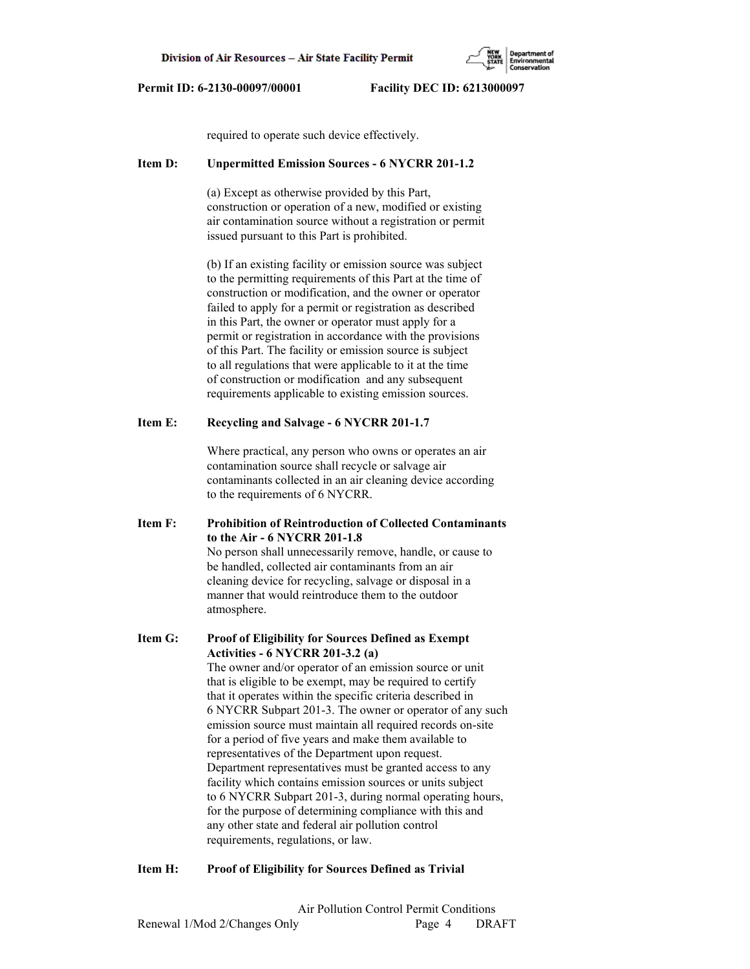required to operate such device effectively.

## **Item D: Unpermitted Emission Sources - 6 NYCRR 201-1.2**

 (a) Except as otherwise provided by this Part, construction or operation of a new, modified or existing air contamination source without a registration or permit issued pursuant to this Part is prohibited.

 (b) If an existing facility or emission source was subject to the permitting requirements of this Part at the time of construction or modification, and the owner or operator failed to apply for a permit or registration as described in this Part, the owner or operator must apply for a permit or registration in accordance with the provisions of this Part. The facility or emission source is subject to all regulations that were applicable to it at the time of construction or modification and any subsequent requirements applicable to existing emission sources.

## **Item E: Recycling and Salvage - 6 NYCRR 201-1.7**

 Where practical, any person who owns or operates an air contamination source shall recycle or salvage air contaminants collected in an air cleaning device according to the requirements of 6 NYCRR.

**Item F: Prohibition of Reintroduction of Collected Contaminants to the Air - 6 NYCRR 201-1.8** No person shall unnecessarily remove, handle, or cause to be handled, collected air contaminants from an air cleaning device for recycling, salvage or disposal in a manner that would reintroduce them to the outdoor atmosphere.

**Item G: Proof of Eligibility for Sources Defined as Exempt Activities - 6 NYCRR 201-3.2 (a)** The owner and/or operator of an emission source or unit that is eligible to be exempt, may be required to certify that it operates within the specific criteria described in 6 NYCRR Subpart 201-3. The owner or operator of any such emission source must maintain all required records on-site for a period of five years and make them available to representatives of the Department upon request. Department representatives must be granted access to any facility which contains emission sources or units subject to 6 NYCRR Subpart 201-3, during normal operating hours, for the purpose of determining compliance with this and any other state and federal air pollution control requirements, regulations, or law.

## **Item H: Proof of Eligibility for Sources Defined as Trivial**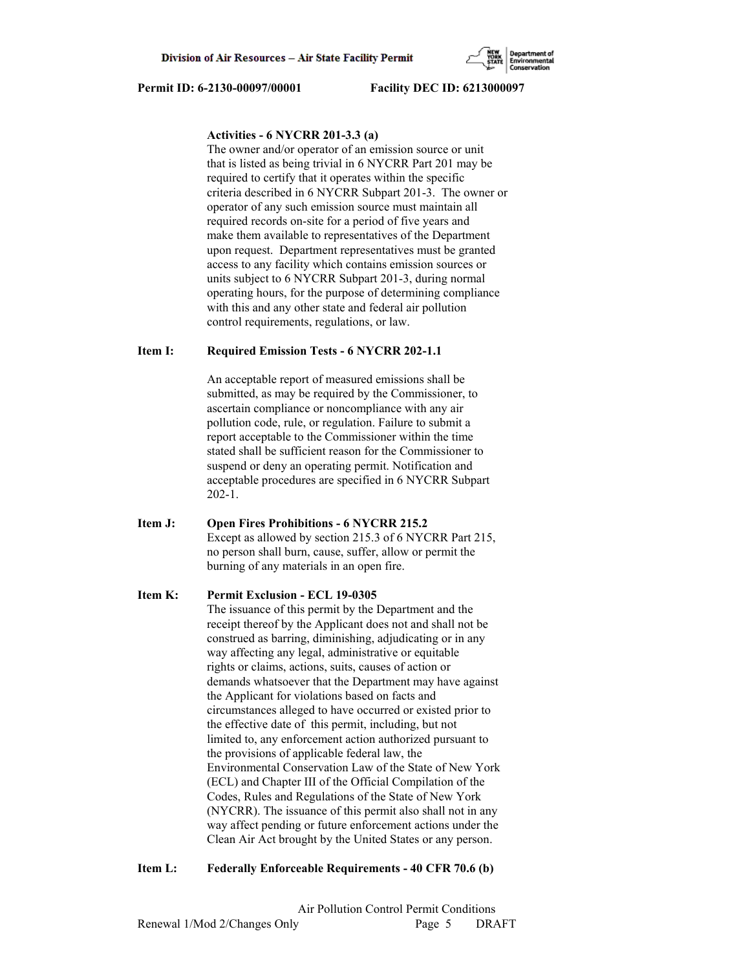# **Activities - 6 NYCRR 201-3.3 (a)**

 The owner and/or operator of an emission source or unit that is listed as being trivial in 6 NYCRR Part 201 may be required to certify that it operates within the specific criteria described in 6 NYCRR Subpart 201-3. The owner or operator of any such emission source must maintain all required records on-site for a period of five years and make them available to representatives of the Department upon request. Department representatives must be granted access to any facility which contains emission sources or units subject to 6 NYCRR Subpart 201-3, during normal operating hours, for the purpose of determining compliance with this and any other state and federal air pollution control requirements, regulations, or law.

## **Item I: Required Emission Tests - 6 NYCRR 202-1.1**

 An acceptable report of measured emissions shall be submitted, as may be required by the Commissioner, to ascertain compliance or noncompliance with any air pollution code, rule, or regulation. Failure to submit a report acceptable to the Commissioner within the time stated shall be sufficient reason for the Commissioner to suspend or deny an operating permit. Notification and acceptable procedures are specified in 6 NYCRR Subpart 202-1.

**Item J: Open Fires Prohibitions - 6 NYCRR 215.2** Except as allowed by section 215.3 of 6 NYCRR Part 215, no person shall burn, cause, suffer, allow or permit the burning of any materials in an open fire.

## **Item K: Permit Exclusion - ECL 19-0305**

 The issuance of this permit by the Department and the receipt thereof by the Applicant does not and shall not be construed as barring, diminishing, adjudicating or in any way affecting any legal, administrative or equitable rights or claims, actions, suits, causes of action or demands whatsoever that the Department may have against the Applicant for violations based on facts and circumstances alleged to have occurred or existed prior to the effective date of this permit, including, but not limited to, any enforcement action authorized pursuant to the provisions of applicable federal law, the Environmental Conservation Law of the State of New York (ECL) and Chapter III of the Official Compilation of the Codes, Rules and Regulations of the State of New York (NYCRR). The issuance of this permit also shall not in any way affect pending or future enforcement actions under the Clean Air Act brought by the United States or any person.

## **Item L: Federally Enforceable Requirements - 40 CFR 70.6 (b)**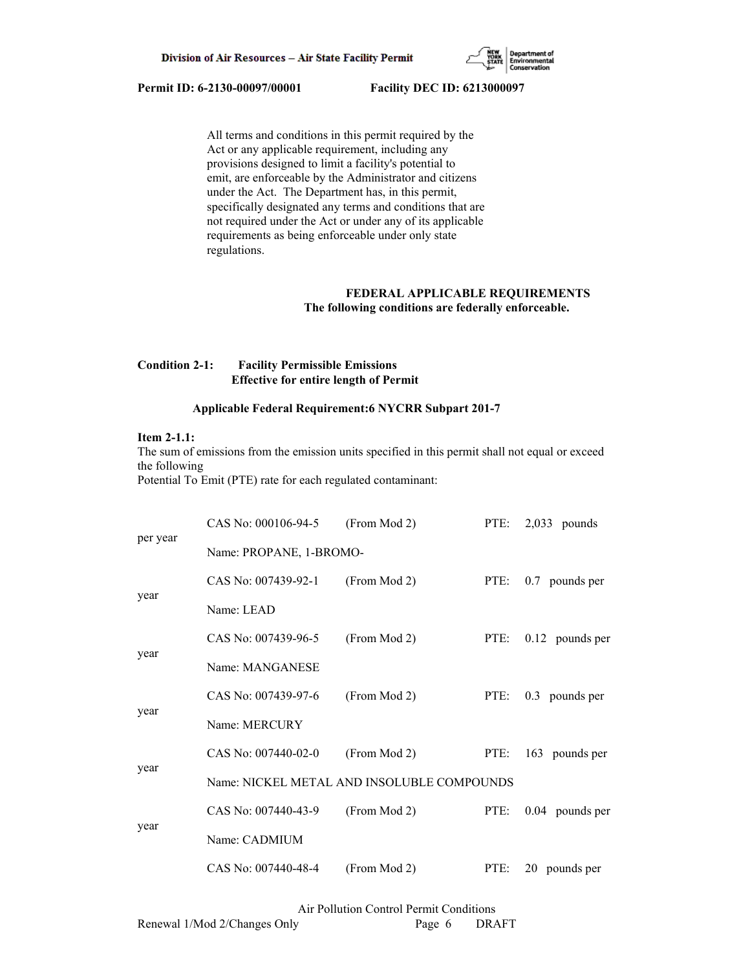

 All terms and conditions in this permit required by the Act or any applicable requirement, including any provisions designed to limit a facility's potential to emit, are enforceable by the Administrator and citizens under the Act. The Department has, in this permit, specifically designated any terms and conditions that are not required under the Act or under any of its applicable requirements as being enforceable under only state regulations.

# **FEDERAL APPLICABLE REQUIREMENTS The following conditions are federally enforceable.**

# **Condition 2-1: Facility Permissible Emissions Effective for entire length of Permit**

## **Applicable Federal Requirement:6 NYCRR Subpart 201-7**

# **Item 2-1.1:**

The sum of emissions from the emission units specified in this permit shall not equal or exceed the following

Potential To Emit (PTE) rate for each regulated contaminant:

|          | CAS No: 000106-94-5                        | (From Mod 2) |      | PTE: 2,033 pounds |
|----------|--------------------------------------------|--------------|------|-------------------|
| per year | Name: PROPANE, 1-BROMO-                    |              |      |                   |
|          | CAS No: 007439-92-1                        | (From Mod 2) | PTE: | 0.7 pounds per    |
| year     | Name: LEAD                                 |              |      |                   |
|          | CAS No: 007439-96-5                        | (From Mod 2) | PTE: | $0.12$ pounds per |
| year     | Name: MANGANESE                            |              |      |                   |
| year     | CAS No: 007439-97-6                        | (From Mod 2) | PTE: | 0.3 pounds per    |
|          | Name: MERCURY                              |              |      |                   |
| year     | CAS No: 007440-02-0                        | (From Mod 2) | PTE: | 163 pounds per    |
|          | Name: NICKEL METAL AND INSOLUBLE COMPOUNDS |              |      |                   |
|          | CAS No: 007440-43-9                        | (From Mod 2) | PTE: | 0.04 pounds per   |
| year     | Name: CADMIUM                              |              |      |                   |
|          | CAS No: 007440-48-4                        | (From Mod 2) | PTE: | 20 pounds per     |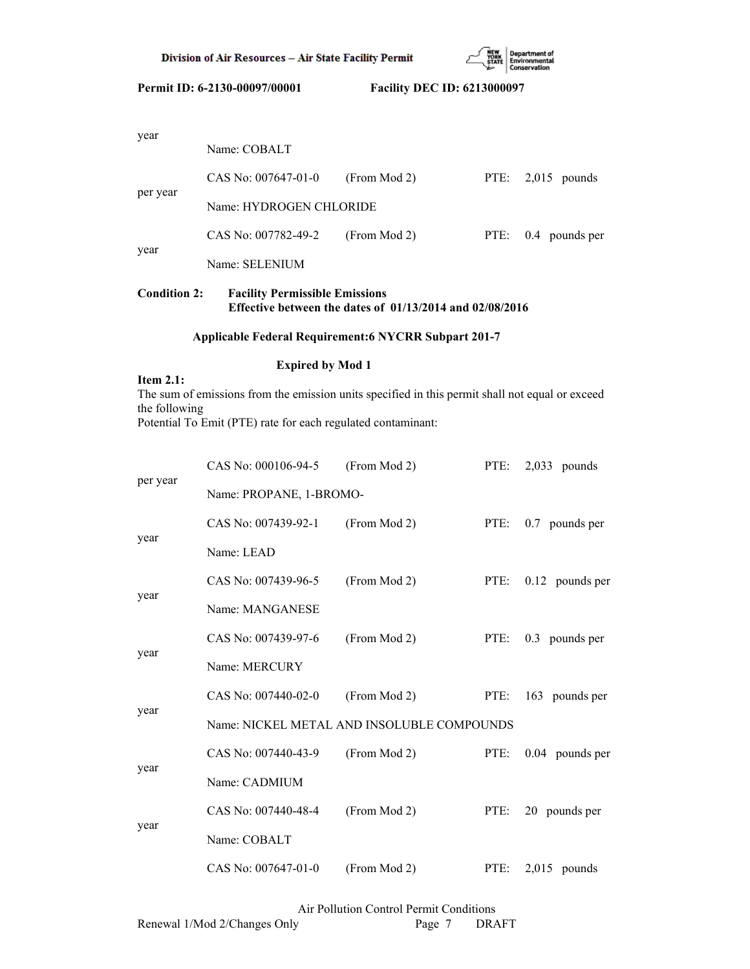

| $, \, \ldots$ | Name: COBALT            |              |                     |
|---------------|-------------------------|--------------|---------------------|
|               | CAS No: $007647-01-0$   | (From Mod 2) | PTE: $2,015$ pounds |
| per year      | Name: HYDROGEN CHLORIDE |              |                     |
|               | CAS No: 007782-49-2     | (From Mod 2) | PTE: 0.4 pounds per |
| year          | Name: SELENIUM          |              |                     |

# **Condition 2: Facility Permissible Emissions Effective between the dates of 01/13/2014 and 02/08/2016**

# **Applicable Federal Requirement:6 NYCRR Subpart 201-7**

# **Expired by Mod 1**

**Item 2.1:**

# The sum of emissions from the emission units specified in this permit shall not equal or exceed the following

Potential To Emit (PTE) rate for each regulated contaminant:

|          | CAS No: 000106-94-5                        | (From Mod 2) | PTE: | $2,033$ pounds    |  |
|----------|--------------------------------------------|--------------|------|-------------------|--|
| per year | Name: PROPANE, 1-BROMO-                    |              |      |                   |  |
|          | CAS No: 007439-92-1                        | (From Mod 2) | PTE: | 0.7 pounds per    |  |
| year     | Name: LEAD                                 |              |      |                   |  |
|          | CAS No: 007439-96-5                        | (From Mod 2) | PTE: | $0.12$ pounds per |  |
| year     | Name: MANGANESE                            |              |      |                   |  |
|          | CAS No: 007439-97-6                        | (From Mod 2) | PTE: | 0.3 pounds per    |  |
| year     | Name: MERCURY                              |              |      |                   |  |
| year     | CAS No: 007440-02-0                        | (From Mod 2) | PTE: | 163 pounds per    |  |
|          | Name: NICKEL METAL AND INSOLUBLE COMPOUNDS |              |      |                   |  |
|          | CAS No: 007440-43-9                        | (From Mod 2) | PTE: | $0.04$ pounds per |  |
| year     | Name: CADMIUM                              |              |      |                   |  |
|          | CAS No: 007440-48-4                        | (From Mod 2) | PTE: | 20 pounds per     |  |
| year     | Name: COBALT                               |              |      |                   |  |
|          | CAS No: 007647-01-0                        | (From Mod 2) | PTE: | $2.015$ pounds    |  |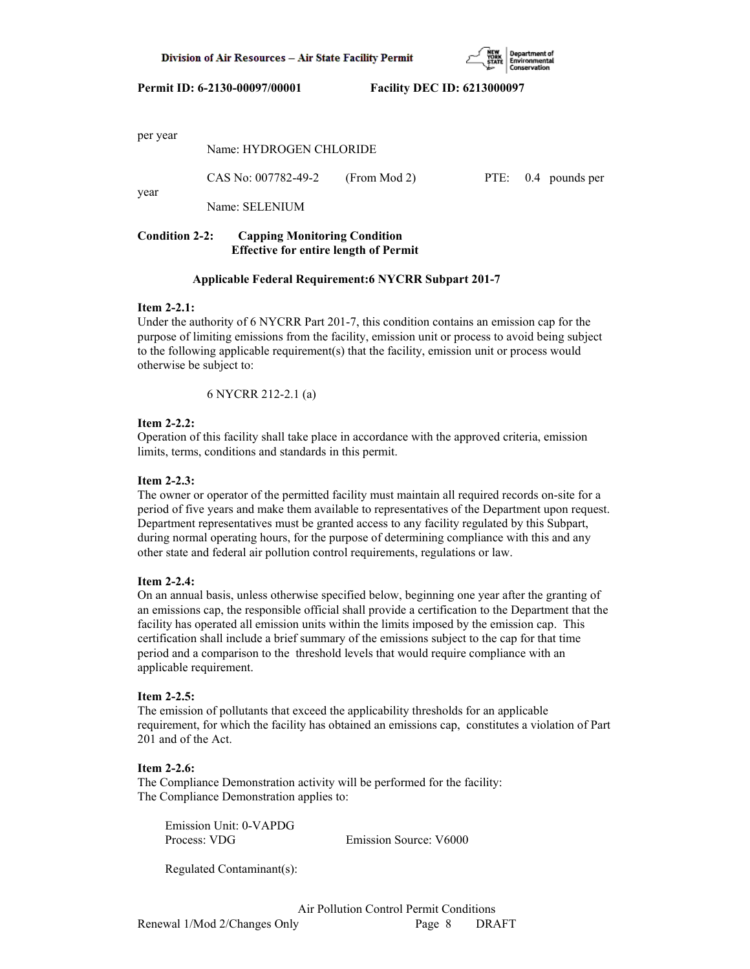

per year

year

|      | Name: HYDROGEN CHLORIDE |              |  |                     |
|------|-------------------------|--------------|--|---------------------|
|      | CAS No: 007782-49-2     | (From Mod 2) |  | PTE: 0.4 pounds per |
| vear | Name: SELENIUM          |              |  |                     |

# **Condition 2-2: Capping Monitoring Condition Effective for entire length of Permit**

# **Applicable Federal Requirement:6 NYCRR Subpart 201-7**

## **Item 2-2.1:**

Under the authority of 6 NYCRR Part 201-7, this condition contains an emission cap for the purpose of limiting emissions from the facility, emission unit or process to avoid being subject to the following applicable requirement(s) that the facility, emission unit or process would otherwise be subject to:

6 NYCRR 212-2.1 (a)

# **Item 2-2.2:**

Operation of this facility shall take place in accordance with the approved criteria, emission limits, terms, conditions and standards in this permit.

## **Item 2-2.3:**

The owner or operator of the permitted facility must maintain all required records on-site for a period of five years and make them available to representatives of the Department upon request. Department representatives must be granted access to any facility regulated by this Subpart, during normal operating hours, for the purpose of determining compliance with this and any other state and federal air pollution control requirements, regulations or law.

## **Item 2-2.4:**

On an annual basis, unless otherwise specified below, beginning one year after the granting of an emissions cap, the responsible official shall provide a certification to the Department that the facility has operated all emission units within the limits imposed by the emission cap. This certification shall include a brief summary of the emissions subject to the cap for that time period and a comparison to the threshold levels that would require compliance with an applicable requirement.

# **Item 2-2.5:**

The emission of pollutants that exceed the applicability thresholds for an applicable requirement, for which the facility has obtained an emissions cap, constitutes a violation of Part 201 and of the Act.

## **Item 2-2.6:**

The Compliance Demonstration activity will be performed for the facility: The Compliance Demonstration applies to:

 Emission Unit: 0-VAPDG Process: VDG Emission Source: V6000

Regulated Contaminant(s):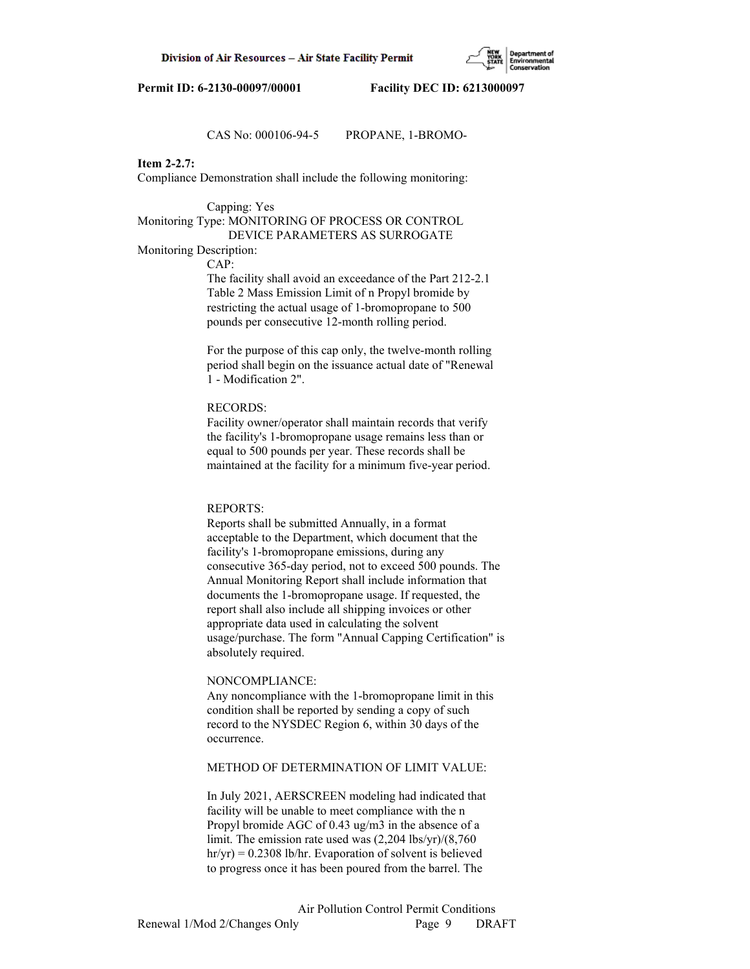# CAS No: 000106-94-5 PROPANE, 1-BROMO-

## **Item 2-2.7:**

Compliance Demonstration shall include the following monitoring:

## Capping: Yes

# Monitoring Type: MONITORING OF PROCESS OR CONTROL DEVICE PARAMETERS AS SURROGATE

## Monitoring Description:

CAP:

 The facility shall avoid an exceedance of the Part 212-2.1 Table 2 Mass Emission Limit of n Propyl bromide by restricting the actual usage of 1-bromopropane to 500 pounds per consecutive 12-month rolling period.

 For the purpose of this cap only, the twelve-month rolling period shall begin on the issuance actual date of "Renewal 1 - Modification 2".

### RECORDS:

 Facility owner/operator shall maintain records that verify the facility's 1-bromopropane usage remains less than or equal to 500 pounds per year. These records shall be maintained at the facility for a minimum five-year period.

#### REPORTS:

 Reports shall be submitted Annually, in a format acceptable to the Department, which document that the facility's 1-bromopropane emissions, during any consecutive 365-day period, not to exceed 500 pounds. The Annual Monitoring Report shall include information that documents the 1-bromopropane usage. If requested, the report shall also include all shipping invoices or other appropriate data used in calculating the solvent usage/purchase. The form "Annual Capping Certification" is absolutely required.

#### NONCOMPLIANCE:

 Any noncompliance with the 1-bromopropane limit in this condition shall be reported by sending a copy of such record to the NYSDEC Region 6, within 30 days of the occurrence.

# METHOD OF DETERMINATION OF LIMIT VALUE:

 In July 2021, AERSCREEN modeling had indicated that facility will be unable to meet compliance with the n Propyl bromide AGC of 0.43 ug/m3 in the absence of a limit. The emission rate used was (2,204 lbs/yr)/(8,760 hr/yr) = 0.2308 lb/hr. Evaporation of solvent is believed to progress once it has been poured from the barrel. The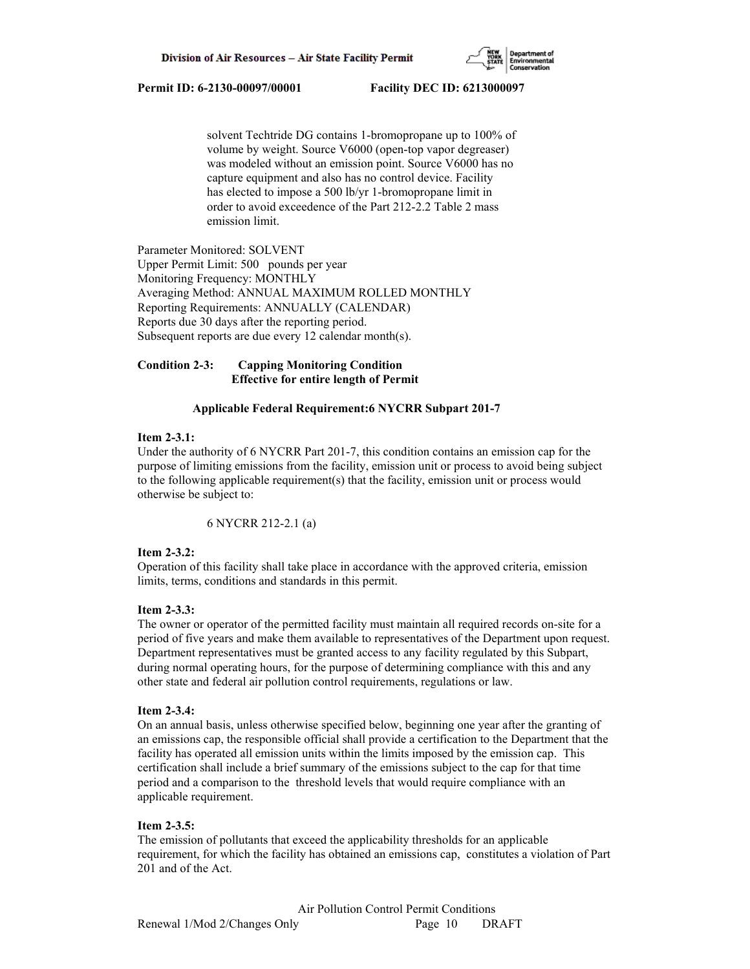

 solvent Techtride DG contains 1-bromopropane up to 100% of volume by weight. Source V6000 (open-top vapor degreaser) was modeled without an emission point. Source V6000 has no capture equipment and also has no control device. Facility has elected to impose a 500 lb/yr 1-bromopropane limit in order to avoid exceedence of the Part 212-2.2 Table 2 mass emission limit.

Parameter Monitored: SOLVENT Upper Permit Limit: 500 pounds per year Monitoring Frequency: MONTHLY Averaging Method: ANNUAL MAXIMUM ROLLED MONTHLY Reporting Requirements: ANNUALLY (CALENDAR) Reports due 30 days after the reporting period. Subsequent reports are due every 12 calendar month(s).

# **Condition 2-3: Capping Monitoring Condition Effective for entire length of Permit**

# **Applicable Federal Requirement:6 NYCRR Subpart 201-7**

## **Item 2-3.1:**

Under the authority of 6 NYCRR Part 201-7, this condition contains an emission cap for the purpose of limiting emissions from the facility, emission unit or process to avoid being subject to the following applicable requirement(s) that the facility, emission unit or process would otherwise be subject to:

6 NYCRR 212-2.1 (a)

## **Item 2-3.2:**

Operation of this facility shall take place in accordance with the approved criteria, emission limits, terms, conditions and standards in this permit.

## **Item 2-3.3:**

The owner or operator of the permitted facility must maintain all required records on-site for a period of five years and make them available to representatives of the Department upon request. Department representatives must be granted access to any facility regulated by this Subpart, during normal operating hours, for the purpose of determining compliance with this and any other state and federal air pollution control requirements, regulations or law.

## **Item 2-3.4:**

On an annual basis, unless otherwise specified below, beginning one year after the granting of an emissions cap, the responsible official shall provide a certification to the Department that the facility has operated all emission units within the limits imposed by the emission cap. This certification shall include a brief summary of the emissions subject to the cap for that time period and a comparison to the threshold levels that would require compliance with an applicable requirement.

## **Item 2-3.5:**

The emission of pollutants that exceed the applicability thresholds for an applicable requirement, for which the facility has obtained an emissions cap, constitutes a violation of Part 201 and of the Act.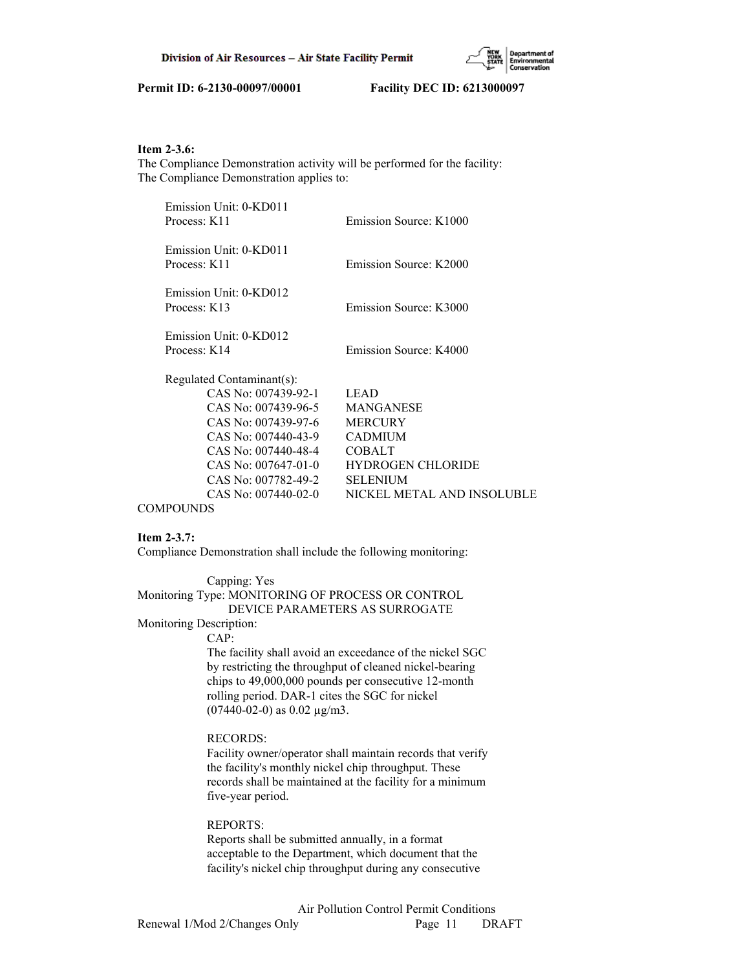

# **Item 2-3.6:**

The Compliance Demonstration activity will be performed for the facility: The Compliance Demonstration applies to:

| Emission Unit: 0-KD011<br>Process: K11 | Emission Source: K1000     |
|----------------------------------------|----------------------------|
| Emission Unit: 0-KD011                 |                            |
| Process: K11                           | Emission Source: K2000     |
| Emission Unit: 0-KD012                 |                            |
| Process: K13                           | Emission Source: K3000     |
| Emission Unit: 0-KD012                 |                            |
| Process: K14                           | Emission Source: K4000     |
| Regulated Contaminant(s):              |                            |
| CAS No: 007439-92-1                    | <b>LEAD</b>                |
| CAS No: 007439-96-5                    | <b>MANGANESE</b>           |
| CAS No: 007439-97-6                    | <b>MERCURY</b>             |
| CAS No: 007440-43-9                    | <b>CADMIUM</b>             |
| CAS No: 007440-48-4                    | <b>COBALT</b>              |
| CAS No: $007647-01-0$                  | <b>HYDROGEN CHLORIDE</b>   |
| CAS No: 007782-49-2                    | <b>SELENIUM</b>            |
| CAS No: 007440-02-0                    | NICKEL METAL AND INSOLUBLE |

## **COMPOUNDS**

## **Item 2-3.7:**

Compliance Demonstration shall include the following monitoring:

#### Capping: Yes

## Monitoring Type: MONITORING OF PROCESS OR CONTROL

DEVICE PARAMETERS AS SURROGATE

Monitoring Description:

# CAP:

 The facility shall avoid an exceedance of the nickel SGC by restricting the throughput of cleaned nickel-bearing chips to 49,000,000 pounds per consecutive 12-month rolling period. DAR-1 cites the SGC for nickel  $(07440-02-0)$  as  $0.02 \mu g/m3$ .

### RECORDS:

 Facility owner/operator shall maintain records that verify the facility's monthly nickel chip throughput. These records shall be maintained at the facility for a minimum five-year period.

#### REPORTS:

 Reports shall be submitted annually, in a format acceptable to the Department, which document that the facility's nickel chip throughput during any consecutive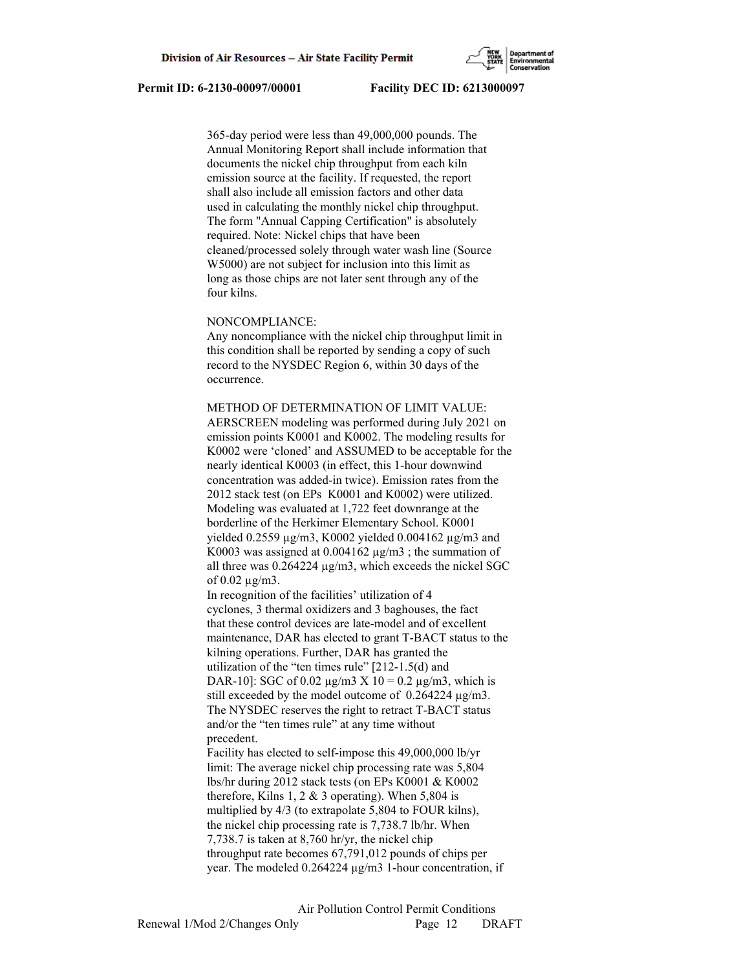365-day period were less than 49,000,000 pounds. The Annual Monitoring Report shall include information that documents the nickel chip throughput from each kiln emission source at the facility. If requested, the report shall also include all emission factors and other data used in calculating the monthly nickel chip throughput. The form "Annual Capping Certification" is absolutely required. Note: Nickel chips that have been cleaned/processed solely through water wash line (Source W5000) are not subject for inclusion into this limit as long as those chips are not later sent through any of the four kilns.

## NONCOMPLIANCE:

 Any noncompliance with the nickel chip throughput limit in this condition shall be reported by sending a copy of such record to the NYSDEC Region 6, within 30 days of the occurrence.

 METHOD OF DETERMINATION OF LIMIT VALUE: AERSCREEN modeling was performed during July 2021 on emission points K0001 and K0002. The modeling results for K0002 were 'cloned' and ASSUMED to be acceptable for the nearly identical K0003 (in effect, this 1-hour downwind concentration was added-in twice). Emission rates from the 2012 stack test (on EPs K0001 and K0002) were utilized. Modeling was evaluated at 1,722 feet downrange at the borderline of the Herkimer Elementary School. K0001 yielded 0.2559 µg/m3, K0002 yielded 0.004162 µg/m3 and K0003 was assigned at  $0.004162 \mu g/m3$ ; the summation of all three was 0.264224 µg/m3, which exceeds the nickel SGC of 0.02 µg/m3.

 In recognition of the facilities' utilization of 4 cyclones, 3 thermal oxidizers and 3 baghouses, the fact that these control devices are late-model and of excellent maintenance, DAR has elected to grant T-BACT status to the kilning operations. Further, DAR has granted the utilization of the "ten times rule" [212-1.5(d) and DAR-10]: SGC of 0.02  $\mu$ g/m3 X 10 = 0.2  $\mu$ g/m3, which is still exceeded by the model outcome of  $0.264224 \mu g/m3$ . The NYSDEC reserves the right to retract T-BACT status and/or the "ten times rule" at any time without precedent.

 Facility has elected to self-impose this 49,000,000 lb/yr limit: The average nickel chip processing rate was 5,804 lbs/hr during 2012 stack tests (on EPs K0001 & K0002 therefore, Kilns 1, 2  $&$  3 operating). When 5,804 is multiplied by 4/3 (to extrapolate 5,804 to FOUR kilns), the nickel chip processing rate is 7,738.7 lb/hr. When 7,738.7 is taken at 8,760 hr/yr, the nickel chip throughput rate becomes 67,791,012 pounds of chips per year. The modeled 0.264224 µg/m3 1-hour concentration, if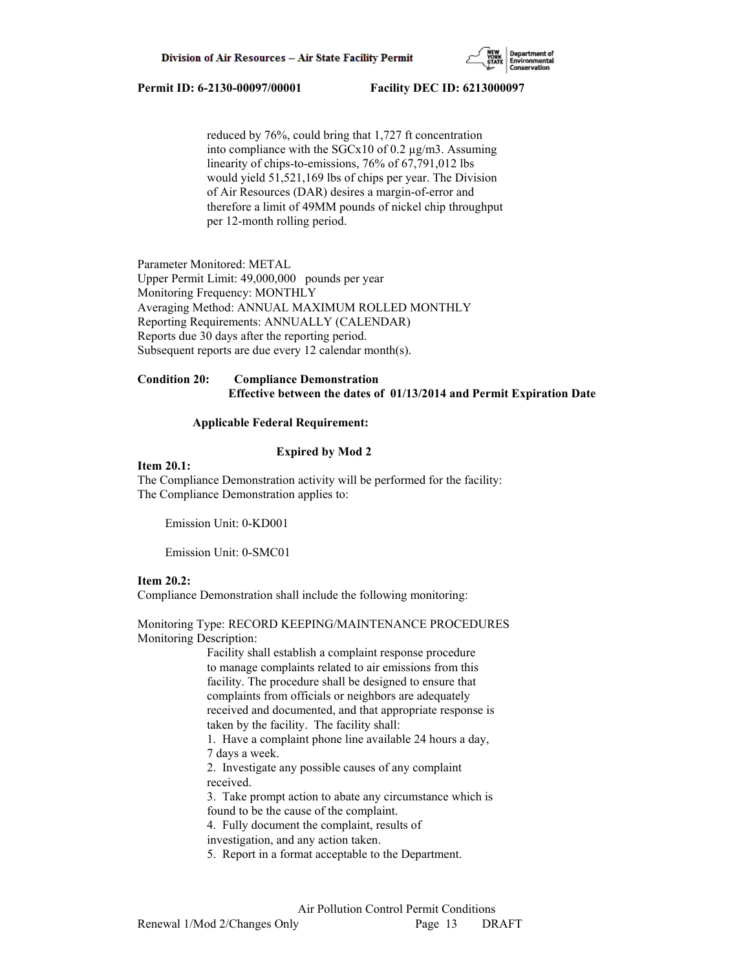

 reduced by 76%, could bring that 1,727 ft concentration into compliance with the  $SGCx10$  of 0.2  $\mu$ g/m3. Assuming linearity of chips-to-emissions, 76% of 67,791,012 lbs would yield 51,521,169 lbs of chips per year. The Division of Air Resources (DAR) desires a margin-of-error and therefore a limit of 49MM pounds of nickel chip throughput per 12-month rolling period.

Parameter Monitored: METAL Upper Permit Limit: 49,000,000 pounds per year Monitoring Frequency: MONTHLY Averaging Method: ANNUAL MAXIMUM ROLLED MONTHLY Reporting Requirements: ANNUALLY (CALENDAR) Reports due 30 days after the reporting period. Subsequent reports are due every 12 calendar month(s).

## **Condition 20: Compliance Demonstration Effective between the dates of 01/13/2014 and Permit Expiration Date**

### **Applicable Federal Requirement:**

### **Expired by Mod 2**

#### **Item 20.1:**

The Compliance Demonstration activity will be performed for the facility: The Compliance Demonstration applies to:

Emission Unit: 0-KD001

Emission Unit: 0-SMC01

### **Item 20.2:**

Compliance Demonstration shall include the following monitoring:

## Monitoring Type: RECORD KEEPING/MAINTENANCE PROCEDURES Monitoring Description:

 Facility shall establish a complaint response procedure to manage complaints related to air emissions from this facility. The procedure shall be designed to ensure that complaints from officials or neighbors are adequately received and documented, and that appropriate response is taken by the facility. The facility shall:

 1. Have a complaint phone line available 24 hours a day, 7 days a week.

 2. Investigate any possible causes of any complaint received.

 3. Take prompt action to abate any circumstance which is found to be the cause of the complaint.

4. Fully document the complaint, results of

investigation, and any action taken.

5. Report in a format acceptable to the Department.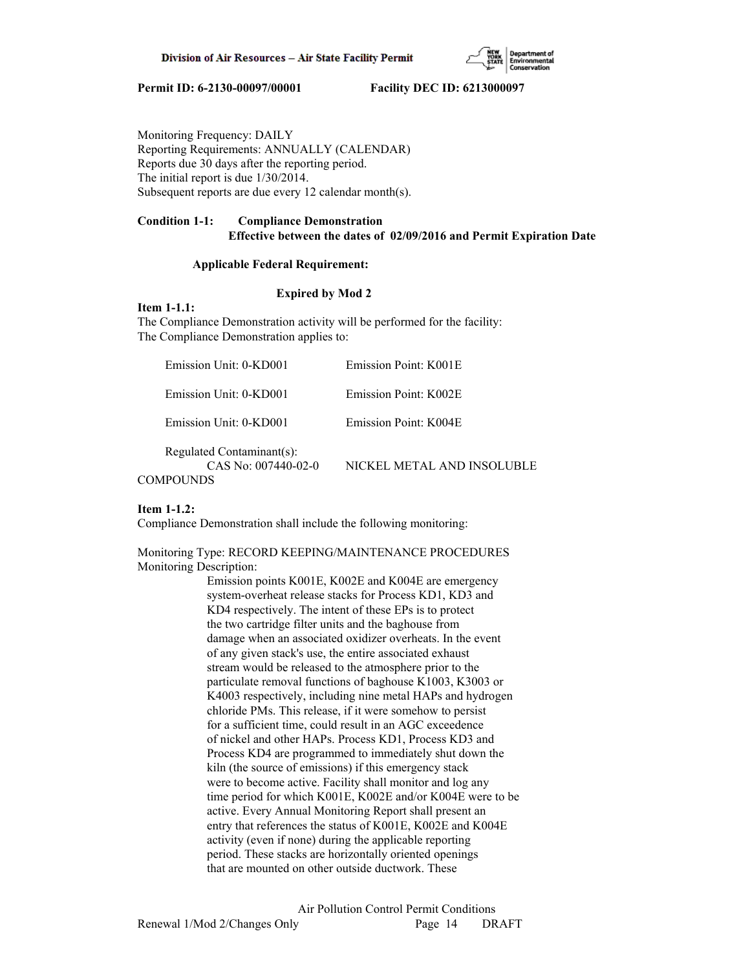

Monitoring Frequency: DAILY Reporting Requirements: ANNUALLY (CALENDAR) Reports due 30 days after the reporting period. The initial report is due 1/30/2014. Subsequent reports are due every 12 calendar month(s).

## **Condition 1-1: Compliance Demonstration Effective between the dates of 02/09/2016 and Permit Expiration Date**

### **Applicable Federal Requirement:**

## **Expired by Mod 2**

## **Item 1-1.1:**

The Compliance Demonstration activity will be performed for the facility: The Compliance Demonstration applies to:

| Emission Unit: 0-KD001                                                 | Emission Point: K001E      |
|------------------------------------------------------------------------|----------------------------|
| Emission Unit: 0-KD001                                                 | Emission Point: K002E      |
| Emission Unit: 0-KD001                                                 | Emission Point: K004E      |
| Regulated Contaminant(s):<br>CAS No: $007440-02-0$<br><b>COMPOUNDS</b> | NICKEL METAL AND INSOLUBLE |

### **Item 1-1.2:**

Compliance Demonstration shall include the following monitoring:

Monitoring Type: RECORD KEEPING/MAINTENANCE PROCEDURES Monitoring Description:

> Emission points K001E, K002E and K004E are emergency system-overheat release stacks for Process KD1, KD3 and KD4 respectively. The intent of these EPs is to protect the two cartridge filter units and the baghouse from damage when an associated oxidizer overheats. In the event of any given stack's use, the entire associated exhaust stream would be released to the atmosphere prior to the particulate removal functions of baghouse K1003, K3003 or K4003 respectively, including nine metal HAPs and hydrogen chloride PMs. This release, if it were somehow to persist for a sufficient time, could result in an AGC exceedence of nickel and other HAPs. Process KD1, Process KD3 and Process KD4 are programmed to immediately shut down the kiln (the source of emissions) if this emergency stack were to become active. Facility shall monitor and log any time period for which K001E, K002E and/or K004E were to be active. Every Annual Monitoring Report shall present an entry that references the status of K001E, K002E and K004E activity (even if none) during the applicable reporting period. These stacks are horizontally oriented openings that are mounted on other outside ductwork. These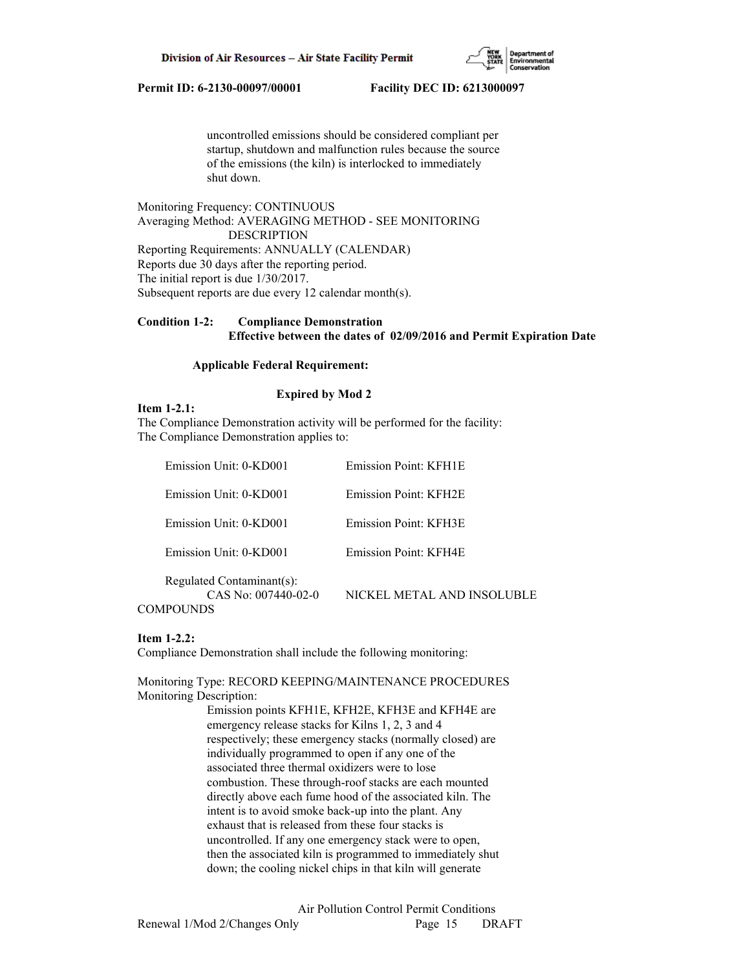

 uncontrolled emissions should be considered compliant per startup, shutdown and malfunction rules because the source of the emissions (the kiln) is interlocked to immediately shut down.

Monitoring Frequency: CONTINUOUS Averaging Method: AVERAGING METHOD - SEE MONITORING DESCRIPTION Reporting Requirements: ANNUALLY (CALENDAR) Reports due 30 days after the reporting period. The initial report is due 1/30/2017. Subsequent reports are due every 12 calendar month(s).

# **Condition 1-2: Compliance Demonstration Effective between the dates of 02/09/2016 and Permit Expiration Date**

## **Applicable Federal Requirement:**

### **Expired by Mod 2**

**Item 1-2.1:**

The Compliance Demonstration activity will be performed for the facility: The Compliance Demonstration applies to:

| Emission Unit: 0-KD001                             | Emission Point: KFH1E      |
|----------------------------------------------------|----------------------------|
| Emission Unit: 0-KD001                             | Emission Point: KFH2E      |
| Emission Unit: 0-KD001                             | Emission Point: KFH3E      |
| Emission Unit: 0-KD001                             | Emission Point: KFH4E      |
| Regulated Contaminant(s):<br>$CAS No: 007440-02-0$ | NICKEL METAL AND INSOLUBLE |

#### **Item 1-2.2:**

Compliance Demonstration shall include the following monitoring:

Monitoring Type: RECORD KEEPING/MAINTENANCE PROCEDURES Monitoring Description:

> Emission points KFH1E, KFH2E, KFH3E and KFH4E are emergency release stacks for Kilns 1, 2, 3 and 4 respectively; these emergency stacks (normally closed) are individually programmed to open if any one of the associated three thermal oxidizers were to lose combustion. These through-roof stacks are each mounted directly above each fume hood of the associated kiln. The intent is to avoid smoke back-up into the plant. Any exhaust that is released from these four stacks is uncontrolled. If any one emergency stack were to open, then the associated kiln is programmed to immediately shut down; the cooling nickel chips in that kiln will generate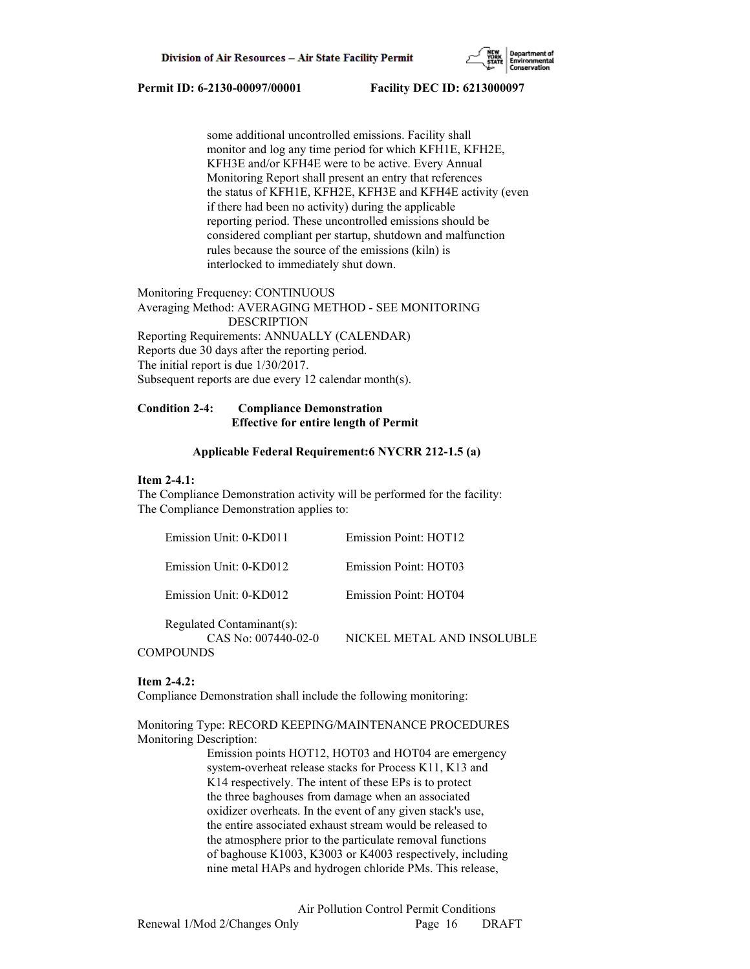

 some additional uncontrolled emissions. Facility shall monitor and log any time period for which KFH1E, KFH2E, KFH3E and/or KFH4E were to be active. Every Annual Monitoring Report shall present an entry that references the status of KFH1E, KFH2E, KFH3E and KFH4E activity (even if there had been no activity) during the applicable reporting period. These uncontrolled emissions should be considered compliant per startup, shutdown and malfunction rules because the source of the emissions (kiln) is interlocked to immediately shut down.

Monitoring Frequency: CONTINUOUS Averaging Method: AVERAGING METHOD - SEE MONITORING DESCRIPTION Reporting Requirements: ANNUALLY (CALENDAR) Reports due 30 days after the reporting period. The initial report is due 1/30/2017. Subsequent reports are due every 12 calendar month(s).

# **Condition 2-4: Compliance Demonstration Effective for entire length of Permit**

## **Applicable Federal Requirement:6 NYCRR 212-1.5 (a)**

## **Item 2-4.1:**

The Compliance Demonstration activity will be performed for the facility: The Compliance Demonstration applies to:

| Emission Unit: 0-KD011                                          | Emission Point: HOT12      |
|-----------------------------------------------------------------|----------------------------|
| Emission Unit: 0-KD012                                          | Emission Point: HOT03      |
| Emission Unit: 0-KD012                                          | Emission Point: HOT04      |
| Regulated Contaminant(s):<br>$CAS No: 007440-02-0$<br>COMPOUNDS | NICKEL METAL AND INSOLUBLE |

### **Item 2-4.2:**

Compliance Demonstration shall include the following monitoring:

Monitoring Type: RECORD KEEPING/MAINTENANCE PROCEDURES Monitoring Description:

> Emission points HOT12, HOT03 and HOT04 are emergency system-overheat release stacks for Process K11, K13 and K14 respectively. The intent of these EPs is to protect the three baghouses from damage when an associated oxidizer overheats. In the event of any given stack's use, the entire associated exhaust stream would be released to the atmosphere prior to the particulate removal functions of baghouse K1003, K3003 or K4003 respectively, including nine metal HAPs and hydrogen chloride PMs. This release,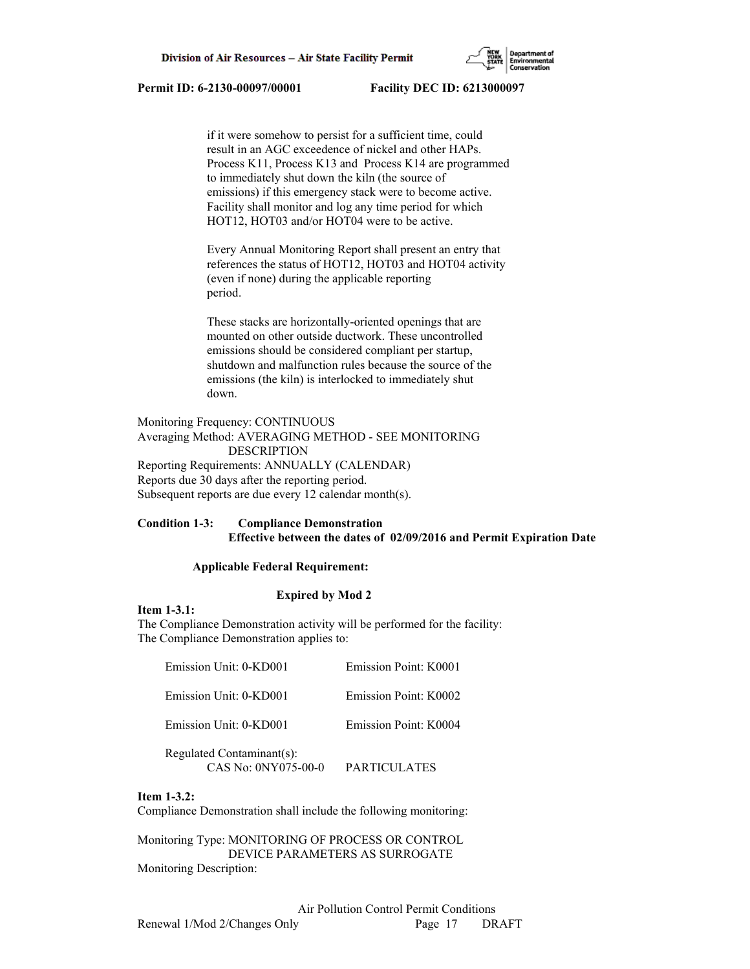

 if it were somehow to persist for a sufficient time, could result in an AGC exceedence of nickel and other HAPs. Process K11, Process K13 and Process K14 are programmed to immediately shut down the kiln (the source of emissions) if this emergency stack were to become active. Facility shall monitor and log any time period for which HOT12, HOT03 and/or HOT04 were to be active.

 Every Annual Monitoring Report shall present an entry that references the status of HOT12, HOT03 and HOT04 activity (even if none) during the applicable reporting period.

 These stacks are horizontally-oriented openings that are mounted on other outside ductwork. These uncontrolled emissions should be considered compliant per startup, shutdown and malfunction rules because the source of the emissions (the kiln) is interlocked to immediately shut down.

Monitoring Frequency: CONTINUOUS Averaging Method: AVERAGING METHOD - SEE MONITORING DESCRIPTION Reporting Requirements: ANNUALLY (CALENDAR) Reports due 30 days after the reporting period. Subsequent reports are due every 12 calendar month(s).

# **Condition 1-3: Compliance Demonstration Effective between the dates of 02/09/2016 and Permit Expiration Date**

## **Applicable Federal Requirement:**

#### **Expired by Mod 2**

**Item 1-3.1:**

The Compliance Demonstration activity will be performed for the facility: The Compliance Demonstration applies to:

| Emission Unit: 0-KD001                           | Emission Point: K0001 |
|--------------------------------------------------|-----------------------|
| Emission Unit: 0-KD001                           | Emission Point: K0002 |
| Emission Unit: 0-KD001                           | Emission Point: K0004 |
| Regulated Contaminant(s):<br>CAS No: 0NY075-00-0 | PARTICULATES          |

#### **Item 1-3.2:**

Compliance Demonstration shall include the following monitoring:

Monitoring Type: MONITORING OF PROCESS OR CONTROL DEVICE PARAMETERS AS SURROGATE Monitoring Description: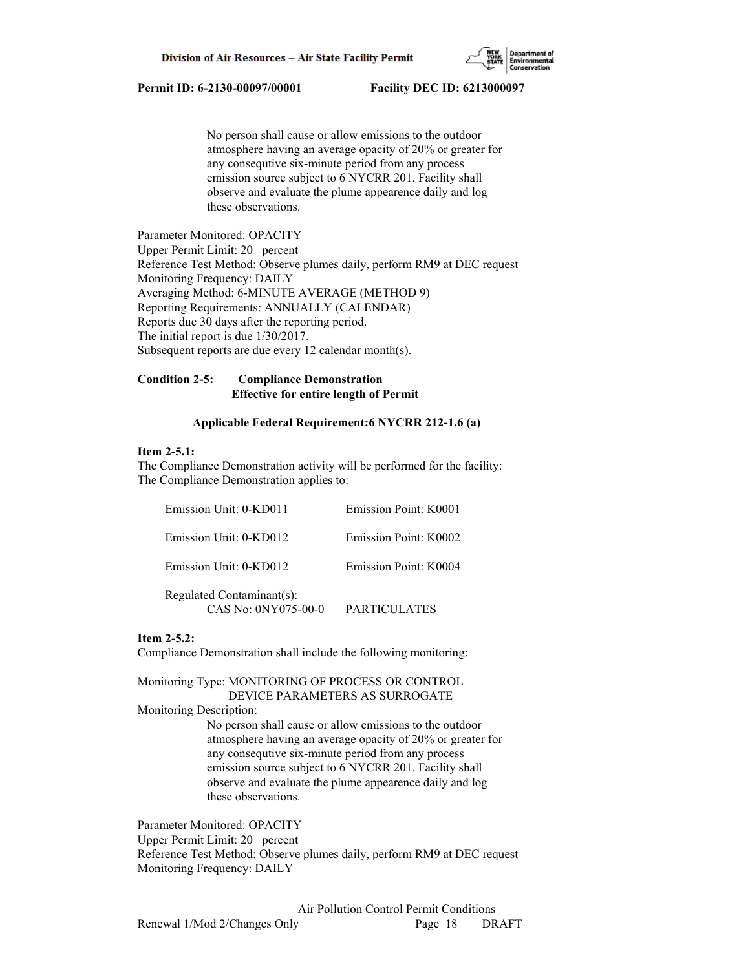

 No person shall cause or allow emissions to the outdoor atmosphere having an average opacity of 20% or greater for any consequtive six-minute period from any process emission source subject to 6 NYCRR 201. Facility shall observe and evaluate the plume appearence daily and log these observations.

Parameter Monitored: OPACITY Upper Permit Limit: 20 percent Reference Test Method: Observe plumes daily, perform RM9 at DEC request Monitoring Frequency: DAILY Averaging Method: 6-MINUTE AVERAGE (METHOD 9) Reporting Requirements: ANNUALLY (CALENDAR) Reports due 30 days after the reporting period. The initial report is due 1/30/2017. Subsequent reports are due every 12 calendar month(s).

## **Condition 2-5: Compliance Demonstration Effective for entire length of Permit**

### **Applicable Federal Requirement:6 NYCRR 212-1.6 (a)**

## **Item 2-5.1:**

The Compliance Demonstration activity will be performed for the facility: The Compliance Demonstration applies to:

| Emission Unit: 0-KD011                           | Emission Point: K0001 |
|--------------------------------------------------|-----------------------|
| Emission Unit: 0-KD012                           | Emission Point: K0002 |
| Emission Unit: 0-KD012                           | Emission Point: K0004 |
| Regulated Contaminant(s):<br>CAS No: 0NY075-00-0 | PARTICULATES          |

## **Item 2-5.2:**

Compliance Demonstration shall include the following monitoring:

Monitoring Type: MONITORING OF PROCESS OR CONTROL DEVICE PARAMETERS AS SURROGATE

Monitoring Description:

 No person shall cause or allow emissions to the outdoor atmosphere having an average opacity of 20% or greater for any consequtive six-minute period from any process emission source subject to 6 NYCRR 201. Facility shall observe and evaluate the plume appearence daily and log these observations.

Parameter Monitored: OPACITY Upper Permit Limit: 20 percent Reference Test Method: Observe plumes daily, perform RM9 at DEC request Monitoring Frequency: DAILY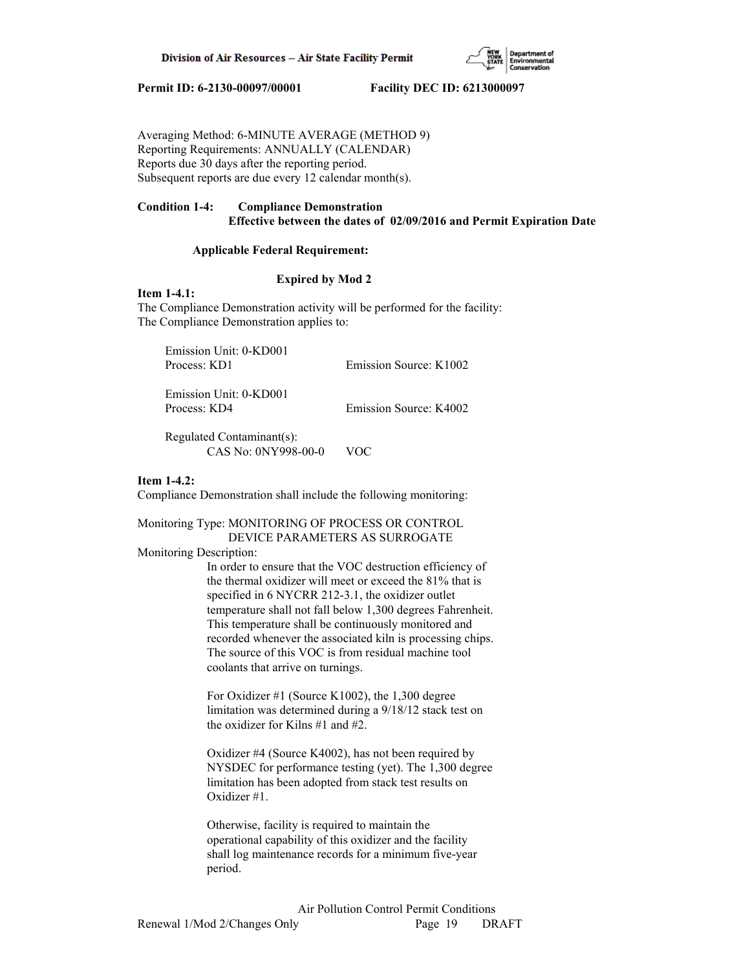

Averaging Method: 6-MINUTE AVERAGE (METHOD 9) Reporting Requirements: ANNUALLY (CALENDAR) Reports due 30 days after the reporting period. Subsequent reports are due every 12 calendar month(s).

# **Condition 1-4: Compliance Demonstration Effective between the dates of 02/09/2016 and Permit Expiration Date**

## **Applicable Federal Requirement:**

## **Expired by Mod 2**

**Item 1-4.1:**

The Compliance Demonstration activity will be performed for the facility: The Compliance Demonstration applies to:

| Emission Unit: 0-KD001<br>Process: KD1             | Emission Source: K1002 |
|----------------------------------------------------|------------------------|
| $Emicroion$ $Ibit$ $\theta$ $V0$ $\theta$ $\theta$ |                        |

 Emission Unit: 0-KD001 Process: KD4 Emission Source: K4002

 Regulated Contaminant(s): CAS No: 0NY998-00-0 VOC

### **Item 1-4.2:**

Compliance Demonstration shall include the following monitoring:

Monitoring Type: MONITORING OF PROCESS OR CONTROL DEVICE PARAMETERS AS SURROGATE

Monitoring Description:

 In order to ensure that the VOC destruction efficiency of the thermal oxidizer will meet or exceed the 81% that is specified in 6 NYCRR 212-3.1, the oxidizer outlet temperature shall not fall below 1,300 degrees Fahrenheit. This temperature shall be continuously monitored and recorded whenever the associated kiln is processing chips. The source of this VOC is from residual machine tool coolants that arrive on turnings.

 For Oxidizer #1 (Source K1002), the 1,300 degree limitation was determined during a 9/18/12 stack test on the oxidizer for Kilns #1 and #2.

 Oxidizer #4 (Source K4002), has not been required by NYSDEC for performance testing (yet). The 1,300 degree limitation has been adopted from stack test results on Oxidizer #1.

 Otherwise, facility is required to maintain the operational capability of this oxidizer and the facility shall log maintenance records for a minimum five-year period.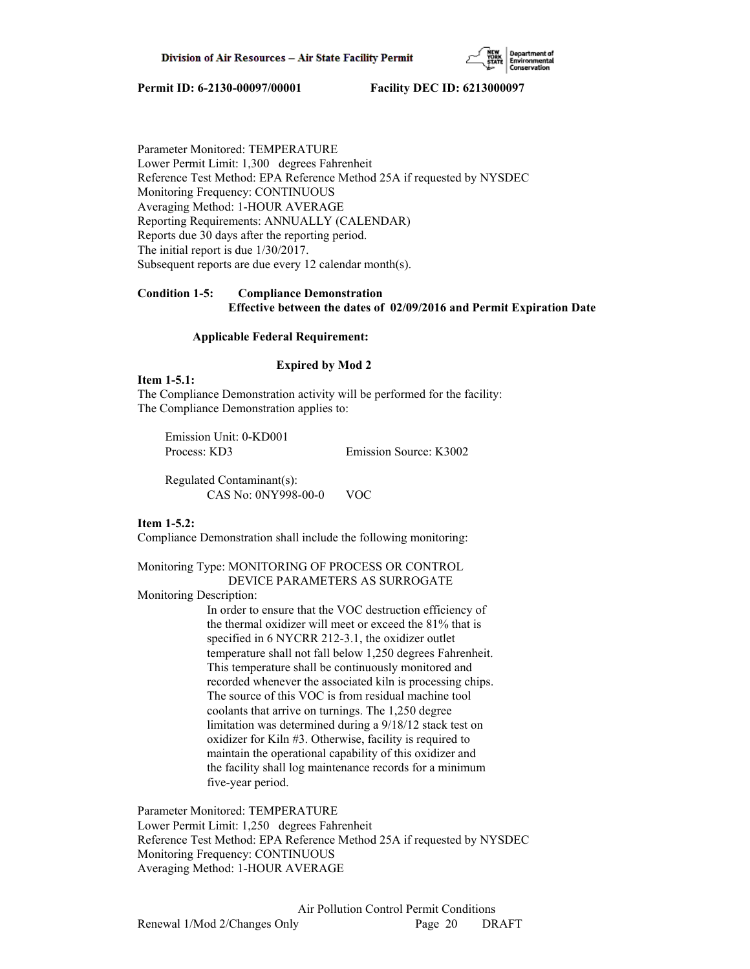

Parameter Monitored: TEMPERATURE Lower Permit Limit: 1,300 degrees Fahrenheit Reference Test Method: EPA Reference Method 25A if requested by NYSDEC Monitoring Frequency: CONTINUOUS Averaging Method: 1-HOUR AVERAGE Reporting Requirements: ANNUALLY (CALENDAR) Reports due 30 days after the reporting period. The initial report is due 1/30/2017. Subsequent reports are due every 12 calendar month(s).

# **Condition 1-5: Compliance Demonstration Effective between the dates of 02/09/2016 and Permit Expiration Date**

## **Applicable Federal Requirement:**

## **Expired by Mod 2**

## **Item 1-5.1:**

The Compliance Demonstration activity will be performed for the facility: The Compliance Demonstration applies to:

 Emission Unit: 0-KD001 Process: KD3 Emission Source: K3002

 Regulated Contaminant(s): CAS No: 0NY998-00-0 VOC

## **Item 1-5.2:**

Compliance Demonstration shall include the following monitoring:

## Monitoring Type: MONITORING OF PROCESS OR CONTROL DEVICE PARAMETERS AS SURROGATE

Monitoring Description:

 In order to ensure that the VOC destruction efficiency of the thermal oxidizer will meet or exceed the 81% that is specified in 6 NYCRR 212-3.1, the oxidizer outlet temperature shall not fall below 1,250 degrees Fahrenheit. This temperature shall be continuously monitored and recorded whenever the associated kiln is processing chips. The source of this VOC is from residual machine tool coolants that arrive on turnings. The 1,250 degree limitation was determined during a 9/18/12 stack test on oxidizer for Kiln #3. Otherwise, facility is required to maintain the operational capability of this oxidizer and the facility shall log maintenance records for a minimum five-year period.

Parameter Monitored: TEMPERATURE Lower Permit Limit: 1,250 degrees Fahrenheit Reference Test Method: EPA Reference Method 25A if requested by NYSDEC Monitoring Frequency: CONTINUOUS Averaging Method: 1-HOUR AVERAGE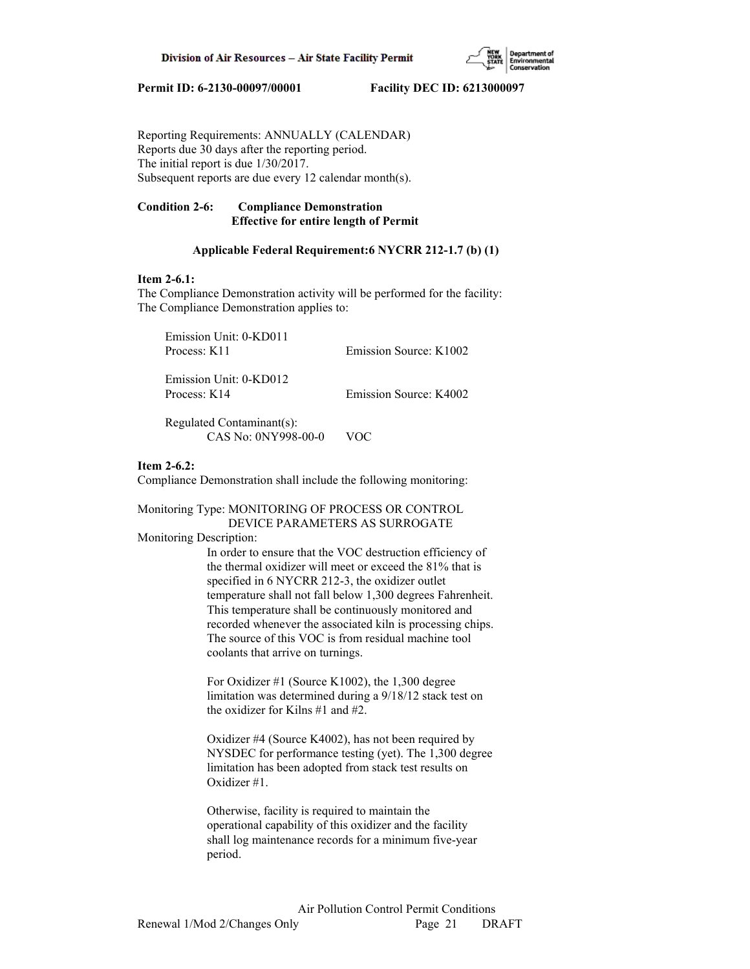

Reporting Requirements: ANNUALLY (CALENDAR) Reports due 30 days after the reporting period. The initial report is due 1/30/2017. Subsequent reports are due every 12 calendar month(s).

# **Condition 2-6: Compliance Demonstration Effective for entire length of Permit**

## **Applicable Federal Requirement:6 NYCRR 212-1.7 (b) (1)**

### **Item 2-6.1:**

The Compliance Demonstration activity will be performed for the facility: The Compliance Demonstration applies to:

 Emission Unit: 0-KD011 Process: K11 Emission Source: K1002 Emission Unit: 0-KD012

Process: K14 Emission Source: K4002

 Regulated Contaminant(s): CAS No: 0NY998-00-0 VOC

## **Item 2-6.2:**

Compliance Demonstration shall include the following monitoring:

Monitoring Type: MONITORING OF PROCESS OR CONTROL DEVICE PARAMETERS AS SURROGATE

### Monitoring Description:

 In order to ensure that the VOC destruction efficiency of the thermal oxidizer will meet or exceed the 81% that is specified in 6 NYCRR 212-3, the oxidizer outlet temperature shall not fall below 1,300 degrees Fahrenheit. This temperature shall be continuously monitored and recorded whenever the associated kiln is processing chips. The source of this VOC is from residual machine tool coolants that arrive on turnings.

 For Oxidizer #1 (Source K1002), the 1,300 degree limitation was determined during a 9/18/12 stack test on the oxidizer for Kilns #1 and #2.

 Oxidizer #4 (Source K4002), has not been required by NYSDEC for performance testing (yet). The 1,300 degree limitation has been adopted from stack test results on Oxidizer #1.

 Otherwise, facility is required to maintain the operational capability of this oxidizer and the facility shall log maintenance records for a minimum five-year period.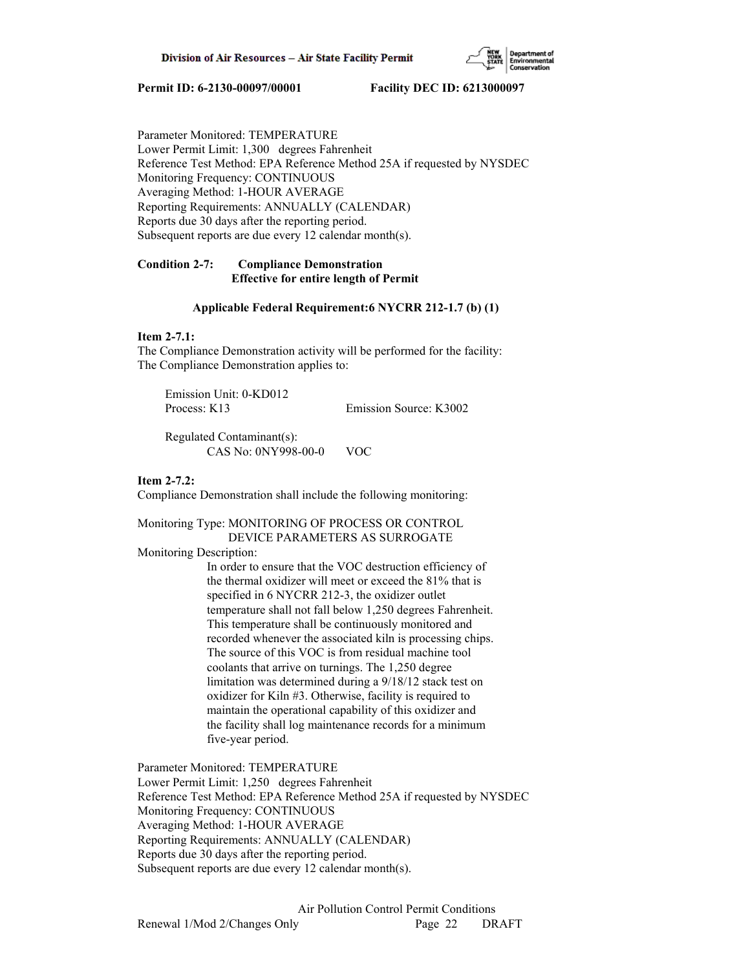

Parameter Monitored: TEMPERATURE Lower Permit Limit: 1,300 degrees Fahrenheit Reference Test Method: EPA Reference Method 25A if requested by NYSDEC Monitoring Frequency: CONTINUOUS Averaging Method: 1-HOUR AVERAGE Reporting Requirements: ANNUALLY (CALENDAR) Reports due 30 days after the reporting period. Subsequent reports are due every 12 calendar month(s).

# **Condition 2-7: Compliance Demonstration Effective for entire length of Permit**

## **Applicable Federal Requirement:6 NYCRR 212-1.7 (b) (1)**

# **Item 2-7.1:**

The Compliance Demonstration activity will be performed for the facility: The Compliance Demonstration applies to:

 Emission Unit: 0-KD012 Process: K13 Emission Source: K3002

 Regulated Contaminant(s): CAS No: 0NY998-00-0 VOC

# **Item 2-7.2:**

Compliance Demonstration shall include the following monitoring:

# Monitoring Type: MONITORING OF PROCESS OR CONTROL DEVICE PARAMETERS AS SURROGATE

Monitoring Description:

 In order to ensure that the VOC destruction efficiency of the thermal oxidizer will meet or exceed the 81% that is specified in 6 NYCRR 212-3, the oxidizer outlet temperature shall not fall below 1,250 degrees Fahrenheit. This temperature shall be continuously monitored and recorded whenever the associated kiln is processing chips. The source of this VOC is from residual machine tool coolants that arrive on turnings. The 1,250 degree limitation was determined during a 9/18/12 stack test on oxidizer for Kiln #3. Otherwise, facility is required to maintain the operational capability of this oxidizer and the facility shall log maintenance records for a minimum five-year period.

Parameter Monitored: TEMPERATURE Lower Permit Limit: 1,250 degrees Fahrenheit Reference Test Method: EPA Reference Method 25A if requested by NYSDEC Monitoring Frequency: CONTINUOUS Averaging Method: 1-HOUR AVERAGE Reporting Requirements: ANNUALLY (CALENDAR) Reports due 30 days after the reporting period. Subsequent reports are due every 12 calendar month(s).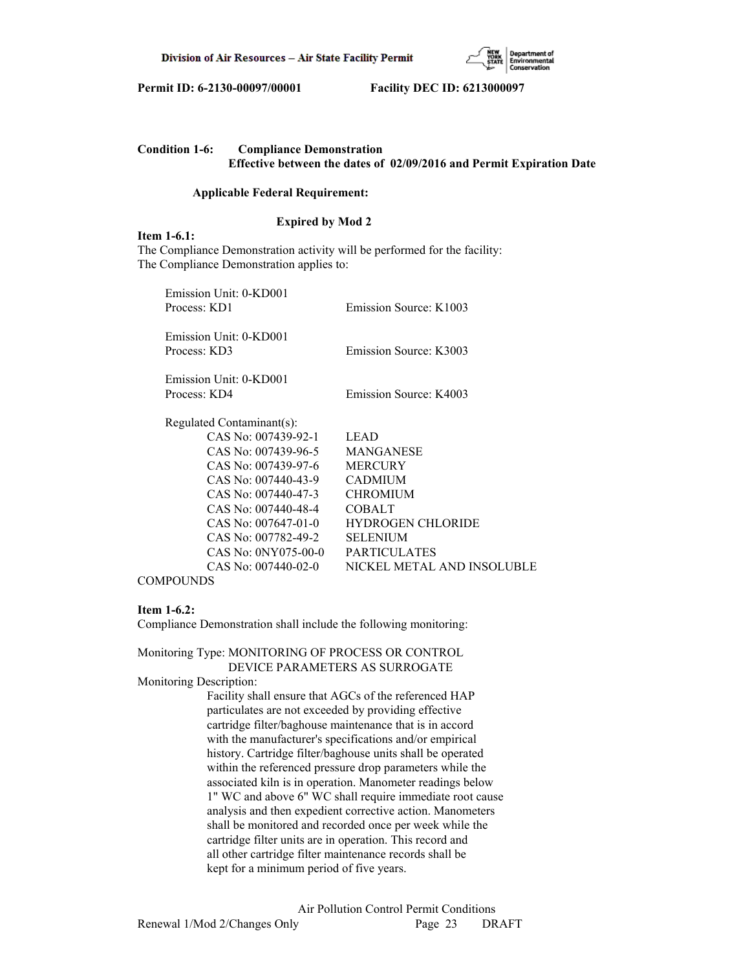

| <b>Condition 1-6:</b> | <b>Compliance Demonstration</b> |                                                                             |
|-----------------------|---------------------------------|-----------------------------------------------------------------------------|
|                       |                                 | <b>Effective between the dates of 02/09/2016 and Permit Expiration Date</b> |

#### **Applicable Federal Requirement:**

# **Expired by Mod 2**

**Item 1-6.1:**

The Compliance Demonstration activity will be performed for the facility: The Compliance Demonstration applies to:

| Emission Unit: 0-KD001    |                            |
|---------------------------|----------------------------|
| Process: KD1              | Emission Source: K1003     |
| Emission Unit: 0-KD001    |                            |
| Process: KD3              | Emission Source: K3003     |
| Emission Unit: 0-KD001    |                            |
| Process: KD4              | Emission Source: K4003     |
| Regulated Contaminant(s): |                            |
| CAS No: 007439-92-1       | <b>LEAD</b>                |
| CAS No: 007439-96-5       | <b>MANGANESE</b>           |
| CAS No: 007439-97-6       | <b>MERCURY</b>             |
| CAS No: 007440-43-9       | <b>CADMIUM</b>             |
| CAS No: 007440-47-3       | <b>CHROMIUM</b>            |
| CAS No: 007440-48-4       | <b>COBALT</b>              |
| CAS No: 007647-01-0       | <b>HYDROGEN CHLORIDE</b>   |
| CAS No: 007782-49-2       | <b>SELENIUM</b>            |
| CAS No: 0NY075-00-0       | <b>PARTICULATES</b>        |
| CAS No: 007440-02-0       | NICKEL METAL AND INSOLUBLE |
|                           |                            |

**COMPOUNDS** 

## **Item 1-6.2:**

Compliance Demonstration shall include the following monitoring:

Monitoring Type: MONITORING OF PROCESS OR CONTROL DEVICE PARAMETERS AS SURROGATE Monitoring Description: Facility shall ensure that AGCs of the referenced HAP particulates are not exceeded by providing effective

 cartridge filter/baghouse maintenance that is in accord with the manufacturer's specifications and/or empirical history. Cartridge filter/baghouse units shall be operated within the referenced pressure drop parameters while the associated kiln is in operation. Manometer readings below 1" WC and above 6" WC shall require immediate root cause analysis and then expedient corrective action. Manometers shall be monitored and recorded once per week while the cartridge filter units are in operation. This record and all other cartridge filter maintenance records shall be kept for a minimum period of five years.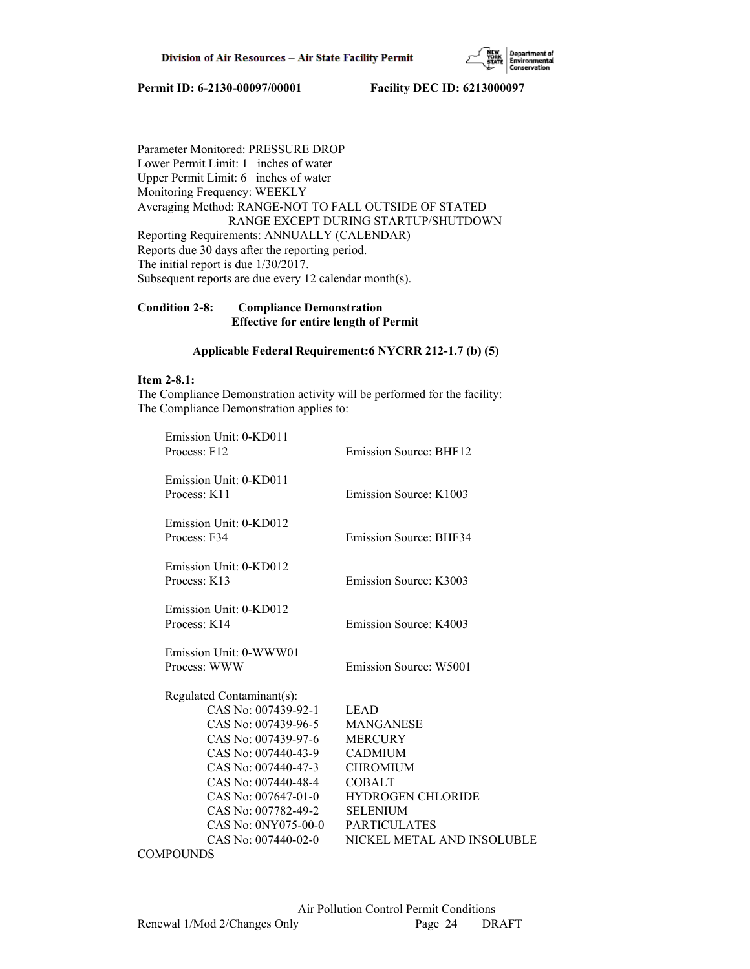

Parameter Monitored: PRESSURE DROP Lower Permit Limit: 1 inches of water Upper Permit Limit: 6 inches of water Monitoring Frequency: WEEKLY Averaging Method: RANGE-NOT TO FALL OUTSIDE OF STATED RANGE EXCEPT DURING STARTUP/SHUTDOWN Reporting Requirements: ANNUALLY (CALENDAR) Reports due 30 days after the reporting period. The initial report is due 1/30/2017. Subsequent reports are due every 12 calendar month(s).

# **Condition 2-8: Compliance Demonstration Effective for entire length of Permit**

# **Applicable Federal Requirement:6 NYCRR 212-1.7 (b) (5)**

# **Item 2-8.1:**

The Compliance Demonstration activity will be performed for the facility: The Compliance Demonstration applies to:

| Emission Unit: 0-KD011<br>Process: F12                                                                                                                                                                                                                          | Emission Source: BHF12                                                                                                                                                                                      |
|-----------------------------------------------------------------------------------------------------------------------------------------------------------------------------------------------------------------------------------------------------------------|-------------------------------------------------------------------------------------------------------------------------------------------------------------------------------------------------------------|
| Emission Unit: 0-KD011<br>Process: K11                                                                                                                                                                                                                          | Emission Source: K1003                                                                                                                                                                                      |
| Emission Unit: 0-KD012<br>Process: F34                                                                                                                                                                                                                          | <b>Emission Source: BHF34</b>                                                                                                                                                                               |
| Emission Unit: 0-KD012<br>Process: K13                                                                                                                                                                                                                          | Emission Source: K3003                                                                                                                                                                                      |
| Emission Unit: 0-KD012<br>Process: K14                                                                                                                                                                                                                          | Emission Source: K4003                                                                                                                                                                                      |
| Emission Unit: 0-WWW01<br>Process: WWW                                                                                                                                                                                                                          | Emission Source: W5001                                                                                                                                                                                      |
| Regulated Contaminant(s):<br>CAS No: 007439-92-1<br>CAS No: 007439-96-5<br>CAS No: 007439-97-6<br>CAS No: 007440-43-9<br>CAS No: 007440-47-3<br>CAS No: 007440-48-4<br>CAS No: 007647-01-0<br>CAS No: 007782-49-2<br>CAS No: 0NY075-00-0<br>CAS No: 007440-02-0 | <b>LEAD</b><br><b>MANGANESE</b><br><b>MERCURY</b><br><b>CADMIUM</b><br><b>CHROMIUM</b><br><b>COBALT</b><br><b>HYDROGEN CHLORIDE</b><br><b>SELENIUM</b><br><b>PARTICULATES</b><br>NICKEL METAL AND INSOLUBLE |
|                                                                                                                                                                                                                                                                 |                                                                                                                                                                                                             |

**COMPOUNDS**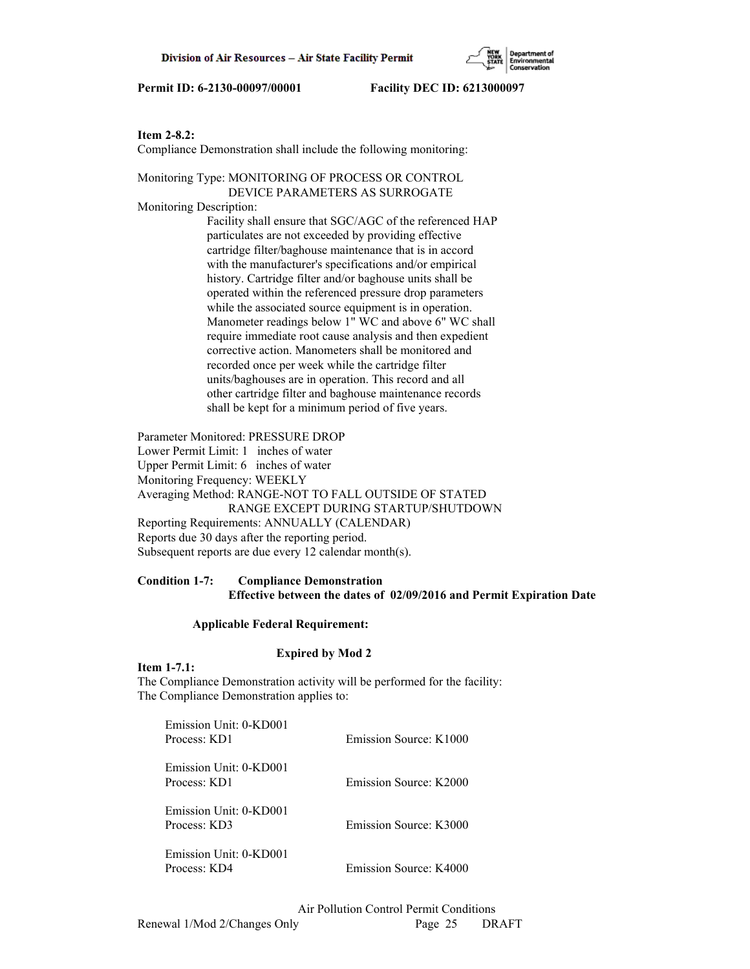# **Item 2-8.2:**

Compliance Demonstration shall include the following monitoring:

Monitoring Type: MONITORING OF PROCESS OR CONTROL DEVICE PARAMETERS AS SURROGATE

Monitoring Description:

 Facility shall ensure that SGC/AGC of the referenced HAP particulates are not exceeded by providing effective cartridge filter/baghouse maintenance that is in accord with the manufacturer's specifications and/or empirical history. Cartridge filter and/or baghouse units shall be operated within the referenced pressure drop parameters while the associated source equipment is in operation. Manometer readings below 1" WC and above 6" WC shall require immediate root cause analysis and then expedient corrective action. Manometers shall be monitored and recorded once per week while the cartridge filter units/baghouses are in operation. This record and all other cartridge filter and baghouse maintenance records shall be kept for a minimum period of five years.

Parameter Monitored: PRESSURE DROP Lower Permit Limit: 1 inches of water Upper Permit Limit: 6 inches of water Monitoring Frequency: WEEKLY Averaging Method: RANGE-NOT TO FALL OUTSIDE OF STATED RANGE EXCEPT DURING STARTUP/SHUTDOWN Reporting Requirements: ANNUALLY (CALENDAR) Reports due 30 days after the reporting period. Subsequent reports are due every 12 calendar month(s).

# **Condition 1-7: Compliance Demonstration Effective between the dates of 02/09/2016 and Permit Expiration Date**

## **Applicable Federal Requirement:**

# **Expired by Mod 2**

### **Item 1-7.1:**

The Compliance Demonstration activity will be performed for the facility: The Compliance Demonstration applies to:

| Emission Unit: 0-KD001<br>Process: KD1 | Emission Source: K1000 |
|----------------------------------------|------------------------|
| Emission Unit: 0-KD001<br>Process: KD1 | Emission Source: K2000 |
| Emission Unit: 0-KD001<br>Process: KD3 | Emission Source: K3000 |
| Emission Unit: 0-KD001<br>Process: KD4 | Emission Source: K4000 |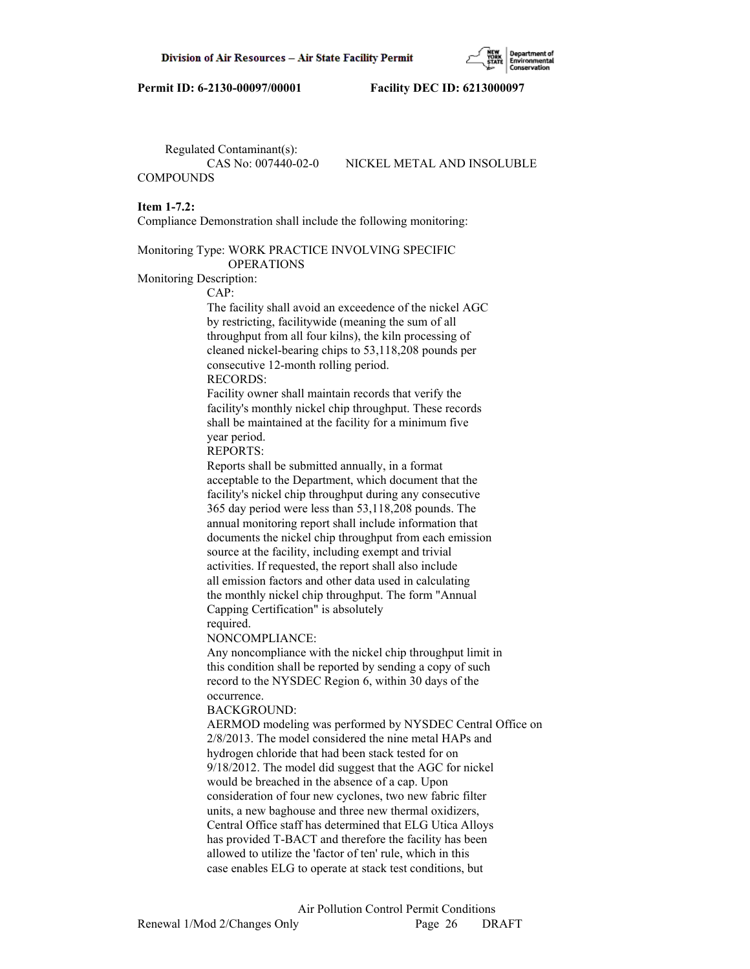Regulated Contaminant(s): **COMPOUNDS** 

CAS No: 007440-02-0 NICKEL METAL AND INSOLUBLE

#### **Item 1-7.2:**

Compliance Demonstration shall include the following monitoring:

Monitoring Type: WORK PRACTICE INVOLVING SPECIFIC OPERATIONS

## Monitoring Description:

CAP:

 The facility shall avoid an exceedence of the nickel AGC by restricting, facilitywide (meaning the sum of all throughput from all four kilns), the kiln processing of cleaned nickel-bearing chips to 53,118,208 pounds per consecutive 12-month rolling period. RECORDS:

 Facility owner shall maintain records that verify the facility's monthly nickel chip throughput. These records shall be maintained at the facility for a minimum five year period.

REPORTS:

 Reports shall be submitted annually, in a format acceptable to the Department, which document that the facility's nickel chip throughput during any consecutive 365 day period were less than 53,118,208 pounds. The annual monitoring report shall include information that documents the nickel chip throughput from each emission source at the facility, including exempt and trivial activities. If requested, the report shall also include all emission factors and other data used in calculating the monthly nickel chip throughput. The form "Annual Capping Certification" is absolutely

## required.

#### NONCOMPLIANCE:

 Any noncompliance with the nickel chip throughput limit in this condition shall be reported by sending a copy of such record to the NYSDEC Region 6, within 30 days of the occurrence.

#### BACKGROUND:

 AERMOD modeling was performed by NYSDEC Central Office on 2/8/2013. The model considered the nine metal HAPs and hydrogen chloride that had been stack tested for on 9/18/2012. The model did suggest that the AGC for nickel would be breached in the absence of a cap. Upon consideration of four new cyclones, two new fabric filter units, a new baghouse and three new thermal oxidizers, Central Office staff has determined that ELG Utica Alloys has provided T-BACT and therefore the facility has been allowed to utilize the 'factor of ten' rule, which in this case enables ELG to operate at stack test conditions, but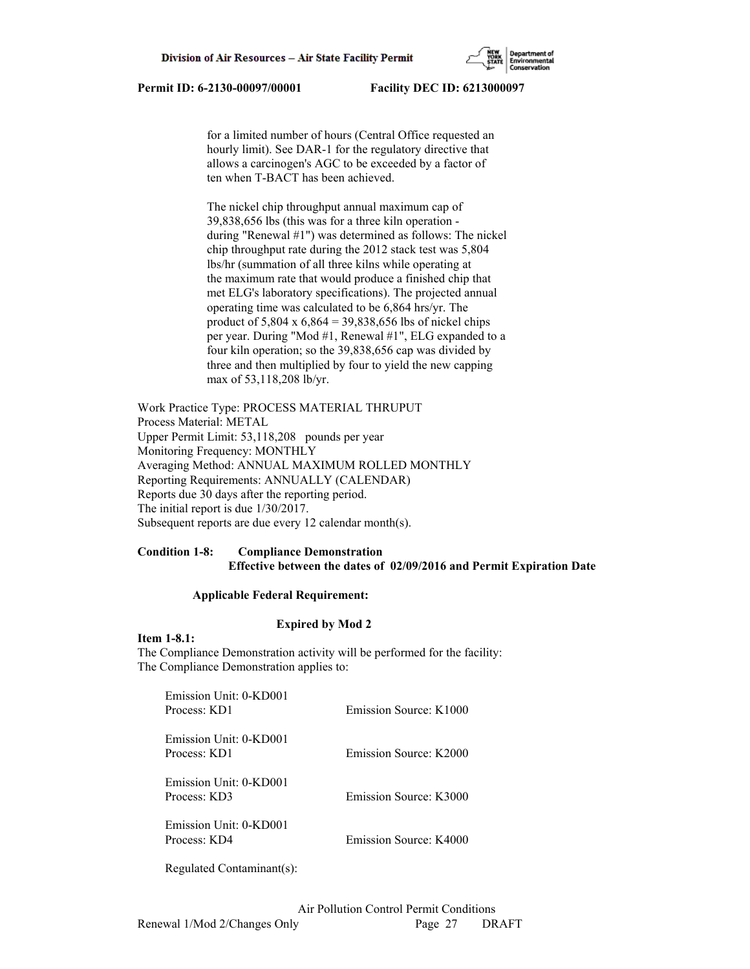for a limited number of hours (Central Office requested an hourly limit). See DAR-1 for the regulatory directive that allows a carcinogen's AGC to be exceeded by a factor of ten when T-BACT has been achieved.

 The nickel chip throughput annual maximum cap of 39,838,656 lbs (this was for a three kiln operation during "Renewal #1") was determined as follows: The nickel chip throughput rate during the 2012 stack test was 5,804 lbs/hr (summation of all three kilns while operating at the maximum rate that would produce a finished chip that met ELG's laboratory specifications). The projected annual operating time was calculated to be 6,864 hrs/yr. The product of 5,804 x 6,864 = 39,838,656 lbs of nickel chips per year. During "Mod #1, Renewal #1", ELG expanded to a four kiln operation; so the 39,838,656 cap was divided by three and then multiplied by four to yield the new capping max of 53,118,208 lb/yr.

Work Practice Type: PROCESS MATERIAL THRUPUT Process Material: METAL Upper Permit Limit: 53,118,208 pounds per year Monitoring Frequency: MONTHLY Averaging Method: ANNUAL MAXIMUM ROLLED MONTHLY Reporting Requirements: ANNUALLY (CALENDAR) Reports due 30 days after the reporting period. The initial report is due 1/30/2017. Subsequent reports are due every 12 calendar month(s).

# **Condition 1-8: Compliance Demonstration Effective between the dates of 02/09/2016 and Permit Expiration Date**

## **Applicable Federal Requirement:**

# **Expired by Mod 2**

### **Item 1-8.1:**

The Compliance Demonstration activity will be performed for the facility: The Compliance Demonstration applies to:

| Emission Unit: 0-KD001<br>Process: KD1   | Emission Source: K1000 |
|------------------------------------------|------------------------|
| Emission Unit: 0-KD001<br>Process: KD1   | Emission Source: K2000 |
| Emission Unit: 0-KD001<br>Process: KD3   | Emission Source: K3000 |
| Emission Unit: 0-KD001<br>Process: $KD4$ | Emission Source: K4000 |

Regulated Contaminant(s):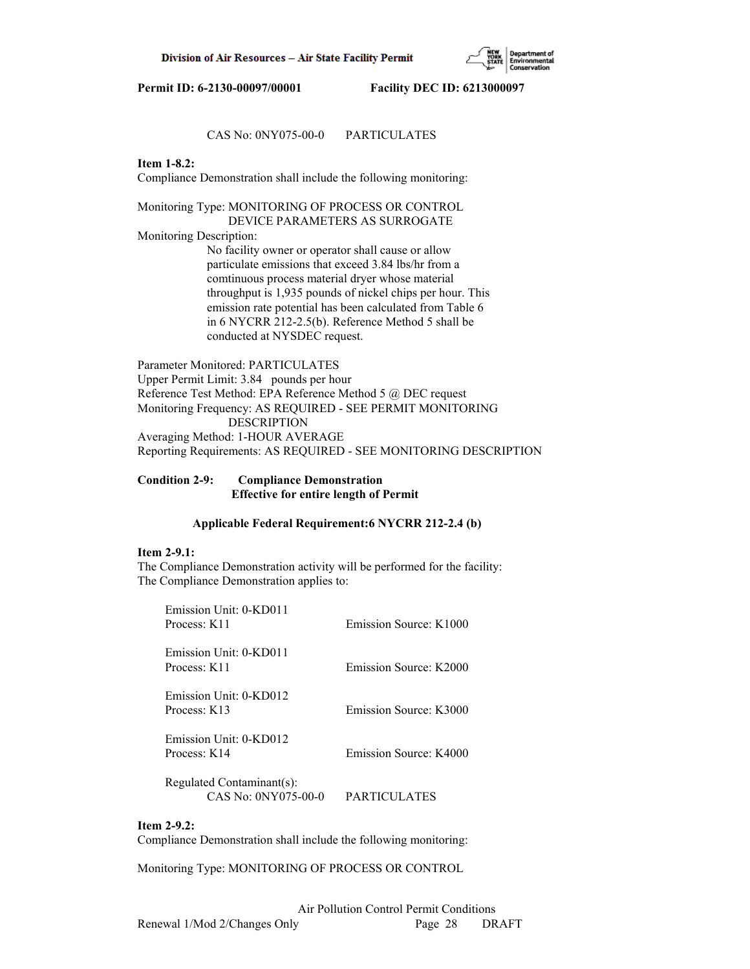

# CAS No: 0NY075-00-0 PARTICULATES

## **Item 1-8.2:**

Compliance Demonstration shall include the following monitoring:

Monitoring Type: MONITORING OF PROCESS OR CONTROL DEVICE PARAMETERS AS SURROGATE Monitoring Description: No facility owner or operator shall cause or allow

 particulate emissions that exceed 3.84 lbs/hr from a comtinuous process material dryer whose material throughput is 1,935 pounds of nickel chips per hour. This emission rate potential has been calculated from Table 6 in 6 NYCRR 212-2.5(b). Reference Method 5 shall be conducted at NYSDEC request.

Parameter Monitored: PARTICULATES Upper Permit Limit: 3.84 pounds per hour Reference Test Method: EPA Reference Method 5 @ DEC request Monitoring Frequency: AS REQUIRED - SEE PERMIT MONITORING DESCRIPTION Averaging Method: 1-HOUR AVERAGE Reporting Requirements: AS REQUIRED - SEE MONITORING DESCRIPTION

## **Condition 2-9: Compliance Demonstration Effective for entire length of Permit**

## **Applicable Federal Requirement:6 NYCRR 212-2.4 (b)**

## **Item 2-9.1:**

The Compliance Demonstration activity will be performed for the facility: The Compliance Demonstration applies to:

| Emission Unit: 0-KD011<br>Process: K11           | Emission Source: K1000 |
|--------------------------------------------------|------------------------|
| Emission Unit: 0-KD011<br>Process: K11           | Emission Source: K2000 |
| Emission Unit: 0-KD012<br>Process: K13           | Emission Source: K3000 |
| Emission Unit: 0-KD012<br>Process: K14           | Emission Source: K4000 |
| Regulated Contaminant(s):<br>CAS No: 0NY075-00-0 | PARTICULATES           |

## **Item 2-9.2:**

Compliance Demonstration shall include the following monitoring:

Monitoring Type: MONITORING OF PROCESS OR CONTROL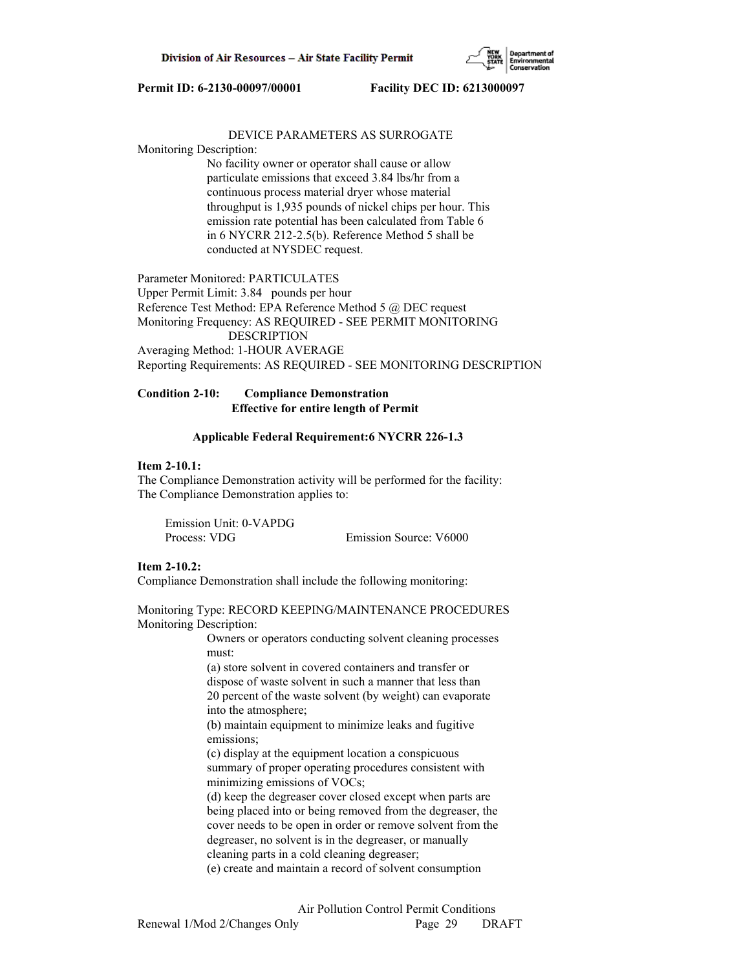

## DEVICE PARAMETERS AS SURROGATE

### Monitoring Description:

 No facility owner or operator shall cause or allow particulate emissions that exceed 3.84 lbs/hr from a continuous process material dryer whose material throughput is 1,935 pounds of nickel chips per hour. This emission rate potential has been calculated from Table 6 in 6 NYCRR 212-2.5(b). Reference Method 5 shall be conducted at NYSDEC request.

Parameter Monitored: PARTICULATES Upper Permit Limit: 3.84 pounds per hour Reference Test Method: EPA Reference Method 5 @ DEC request Monitoring Frequency: AS REQUIRED - SEE PERMIT MONITORING DESCRIPTION Averaging Method: 1-HOUR AVERAGE Reporting Requirements: AS REQUIRED - SEE MONITORING DESCRIPTION

# **Condition 2-10: Compliance Demonstration Effective for entire length of Permit**

### **Applicable Federal Requirement:6 NYCRR 226-1.3**

## **Item 2-10.1:**

The Compliance Demonstration activity will be performed for the facility: The Compliance Demonstration applies to:

| Emission Unit: 0-VAPDG |                        |
|------------------------|------------------------|
| Process: VDG           | Emission Source: V6000 |

## **Item 2-10.2:**

Compliance Demonstration shall include the following monitoring:

Monitoring Type: RECORD KEEPING/MAINTENANCE PROCEDURES Monitoring Description:

> Owners or operators conducting solvent cleaning processes must:

 (a) store solvent in covered containers and transfer or dispose of waste solvent in such a manner that less than 20 percent of the waste solvent (by weight) can evaporate into the atmosphere;

 (b) maintain equipment to minimize leaks and fugitive emissions;

 (c) display at the equipment location a conspicuous summary of proper operating procedures consistent with minimizing emissions of VOCs;

 (d) keep the degreaser cover closed except when parts are being placed into or being removed from the degreaser, the cover needs to be open in order or remove solvent from the degreaser, no solvent is in the degreaser, or manually cleaning parts in a cold cleaning degreaser;

(e) create and maintain a record of solvent consumption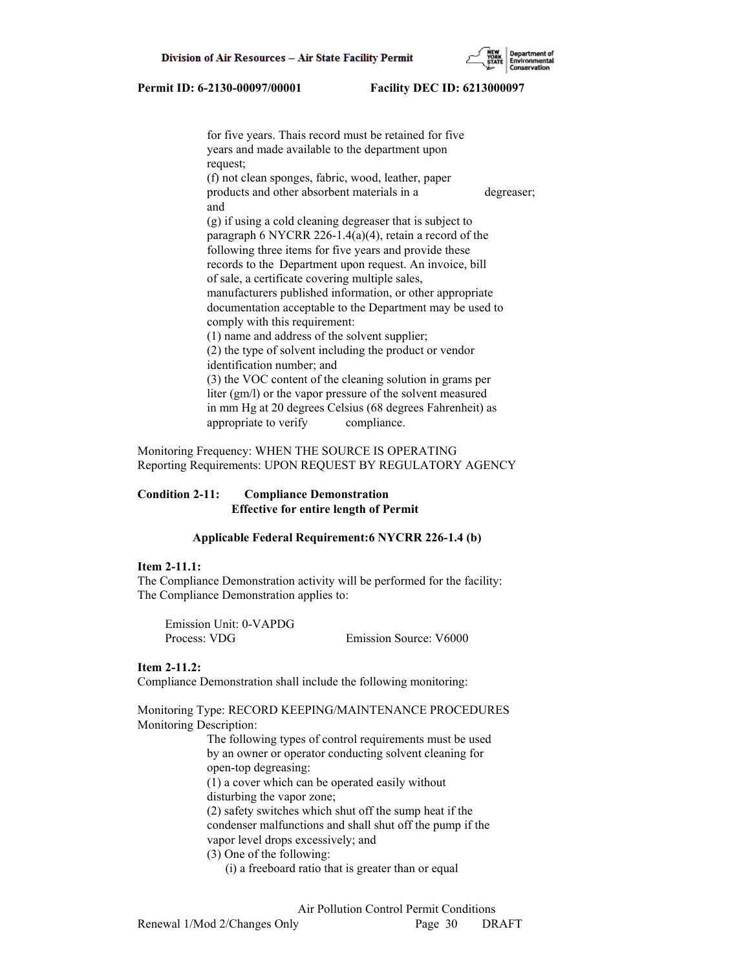for five years. Thais record must be retained for five years and made available to the department upon request; (f) not clean sponges, fabric, wood, leather, paper products and other absorbent materials in a degreaser; and (g) if using a cold cleaning degreaser that is subject to paragraph 6 NYCRR 226-1.4(a)(4), retain a record of the following three items for five years and provide these records to the Department upon request. An invoice, bill of sale, a certificate covering multiple sales, manufacturers published information, or other appropriate documentation acceptable to the Department may be used to comply with this requirement: (1) name and address of the solvent supplier; (2) the type of solvent including the product or vendor identification number; and (3) the VOC content of the cleaning solution in grams per liter (gm/l) or the vapor pressure of the solvent measured in mm Hg at 20 degrees Celsius (68 degrees Fahrenheit) as appropriate to verify compliance.

Monitoring Frequency: WHEN THE SOURCE IS OPERATING Reporting Requirements: UPON REQUEST BY REGULATORY AGENCY

# **Condition 2-11: Compliance Demonstration Effective for entire length of Permit**

# **Applicable Federal Requirement:6 NYCRR 226-1.4 (b)**

# **Item 2-11.1:**

The Compliance Demonstration activity will be performed for the facility: The Compliance Demonstration applies to:

 Emission Unit: 0-VAPDG Process: VDG Emission Source: V6000

#### **Item 2-11.2:**

Compliance Demonstration shall include the following monitoring:

Monitoring Type: RECORD KEEPING/MAINTENANCE PROCEDURES Monitoring Description:

> The following types of control requirements must be used by an owner or operator conducting solvent cleaning for open-top degreasing: (1) a cover which can be operated easily without disturbing the vapor zone; (2) safety switches which shut off the sump heat if the condenser malfunctions and shall shut off the pump if the vapor level drops excessively; and (3) One of the following: (i) a freeboard ratio that is greater than or equal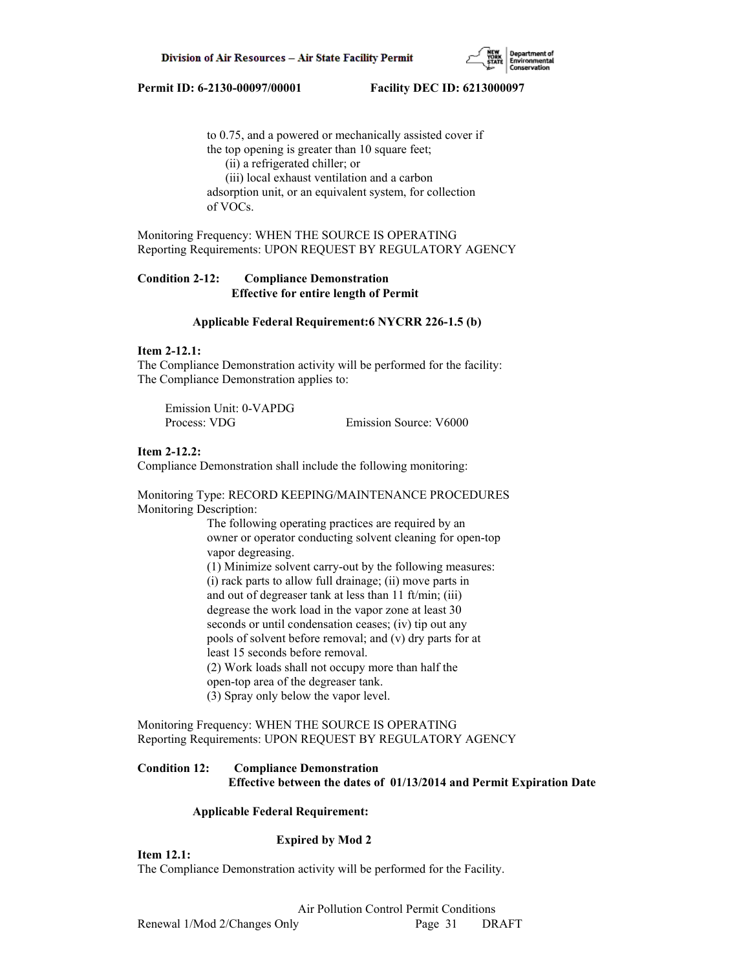

 to 0.75, and a powered or mechanically assisted cover if the top opening is greater than 10 square feet; (ii) a refrigerated chiller; or (iii) local exhaust ventilation and a carbon adsorption unit, or an equivalent system, for collection of VOCs.

Monitoring Frequency: WHEN THE SOURCE IS OPERATING Reporting Requirements: UPON REQUEST BY REGULATORY AGENCY

# **Condition 2-12: Compliance Demonstration Effective for entire length of Permit**

## **Applicable Federal Requirement:6 NYCRR 226-1.5 (b)**

# **Item 2-12.1:**

The Compliance Demonstration activity will be performed for the facility: The Compliance Demonstration applies to:

| Emission Unit: 0-VAPDG |                        |
|------------------------|------------------------|
| Process: VDG           | Emission Source: V6000 |

## **Item 2-12.2:**

Compliance Demonstration shall include the following monitoring:

Monitoring Type: RECORD KEEPING/MAINTENANCE PROCEDURES Monitoring Description:

> The following operating practices are required by an owner or operator conducting solvent cleaning for open-top vapor degreasing. (1) Minimize solvent carry-out by the following measures: (i) rack parts to allow full drainage; (ii) move parts in and out of degreaser tank at less than 11 ft/min; (iii) degrease the work load in the vapor zone at least 30 seconds or until condensation ceases; (iv) tip out any pools of solvent before removal; and (v) dry parts for at least 15 seconds before removal. (2) Work loads shall not occupy more than half the open-top area of the degreaser tank. (3) Spray only below the vapor level.

Monitoring Frequency: WHEN THE SOURCE IS OPERATING Reporting Requirements: UPON REQUEST BY REGULATORY AGENCY

# **Condition 12: Compliance Demonstration Effective between the dates of 01/13/2014 and Permit Expiration Date**

## **Applicable Federal Requirement:**

## **Expired by Mod 2**

**Item 12.1:**

The Compliance Demonstration activity will be performed for the Facility.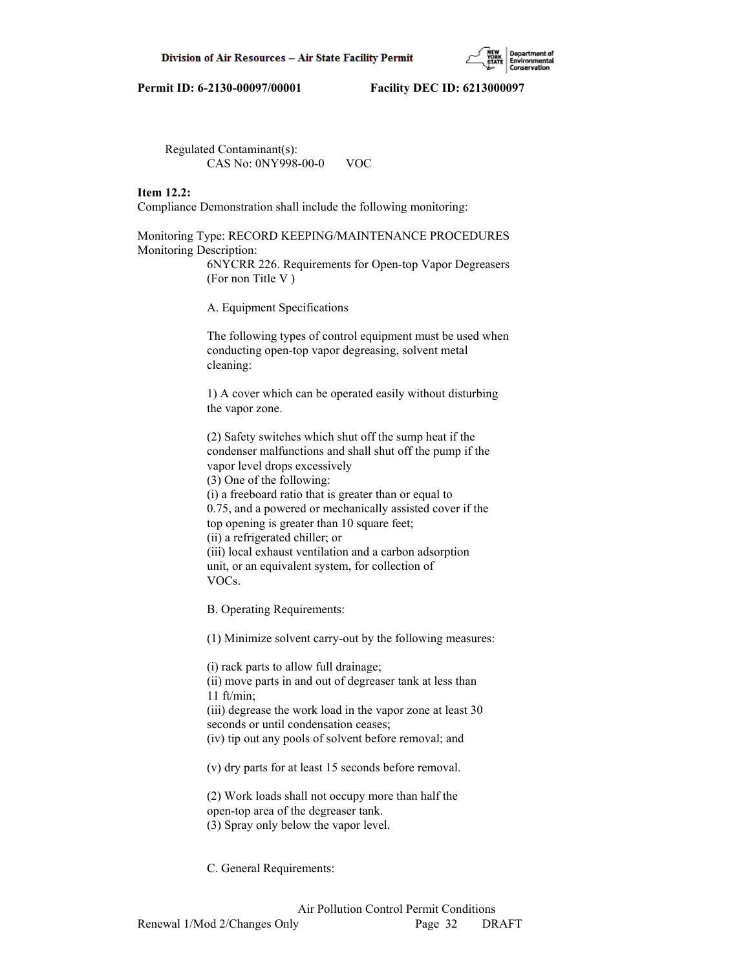

 Regulated Contaminant(s): CAS No: 0NY998-00-0 VOC

# **Item 12.2:**

Compliance Demonstration shall include the following monitoring:

Monitoring Type: RECORD KEEPING/MAINTENANCE PROCEDURES Monitoring Description:

> 6NYCRR 226. Requirements for Open-top Vapor Degreasers (For non Title V )

A. Equipment Specifications

 The following types of control equipment must be used when conducting open-top vapor degreasing, solvent metal cleaning:

 1) A cover which can be operated easily without disturbing the vapor zone.

 (2) Safety switches which shut off the sump heat if the condenser malfunctions and shall shut off the pump if the vapor level drops excessively (3) One of the following: (i) a freeboard ratio that is greater than or equal to 0.75, and a powered or mechanically assisted cover if the top opening is greater than 10 square feet; (ii) a refrigerated chiller; or (iii) local exhaust ventilation and a carbon adsorption

 unit, or an equivalent system, for collection of VOCs.

B. Operating Requirements:

(1) Minimize solvent carry-out by the following measures:

 (i) rack parts to allow full drainage; (ii) move parts in and out of degreaser tank at less than 11 ft/min; (iii) degrease the work load in the vapor zone at least 30 seconds or until condensation ceases; (iv) tip out any pools of solvent before removal; and

(v) dry parts for at least 15 seconds before removal.

 (2) Work loads shall not occupy more than half the open-top area of the degreaser tank. (3) Spray only below the vapor level.

C. General Requirements: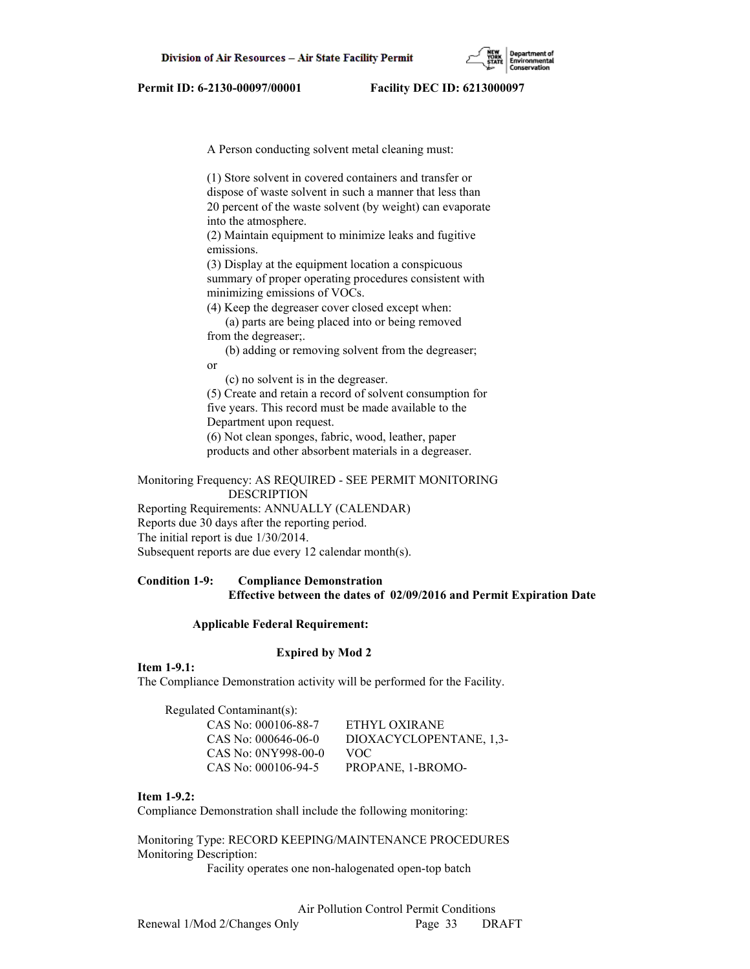

A Person conducting solvent metal cleaning must:

 (1) Store solvent in covered containers and transfer or dispose of waste solvent in such a manner that less than 20 percent of the waste solvent (by weight) can evaporate into the atmosphere.

 (2) Maintain equipment to minimize leaks and fugitive emissions.

 (3) Display at the equipment location a conspicuous summary of proper operating procedures consistent with minimizing emissions of VOCs.

(4) Keep the degreaser cover closed except when:

 (a) parts are being placed into or being removed from the degreaser;.

 (b) adding or removing solvent from the degreaser; or

(c) no solvent is in the degreaser.

 (5) Create and retain a record of solvent consumption for five years. This record must be made available to the Department upon request. (6) Not clean sponges, fabric, wood, leather, paper

products and other absorbent materials in a degreaser.

Monitoring Frequency: AS REQUIRED - SEE PERMIT MONITORING DESCRIPTION

Reporting Requirements: ANNUALLY (CALENDAR) Reports due 30 days after the reporting period. The initial report is due 1/30/2014. Subsequent reports are due every 12 calendar month(s).

# **Condition 1-9: Compliance Demonstration Effective between the dates of 02/09/2016 and Permit Expiration Date**

## **Applicable Federal Requirement:**

### **Expired by Mod 2**

**Item 1-9.1:**

The Compliance Demonstration activity will be performed for the Facility.

| Regulated Contaminant(s): |                         |
|---------------------------|-------------------------|
| CAS No: 000106-88-7       | ETHYL OXIRANE           |
| CAS No: $000646-06-0$     | DIOXACYCLOPENTANE, 1.3- |
| CAS No: 0NY998-00-0       | VOC.                    |
| CAS No: 000106-94-5       | PROPANE, 1-BROMO-       |
|                           |                         |

**Item 1-9.2:**

Compliance Demonstration shall include the following monitoring:

Monitoring Type: RECORD KEEPING/MAINTENANCE PROCEDURES Monitoring Description:

Facility operates one non-halogenated open-top batch

Renewal 1/Mod 2/Changes Only Page 33 DRAFT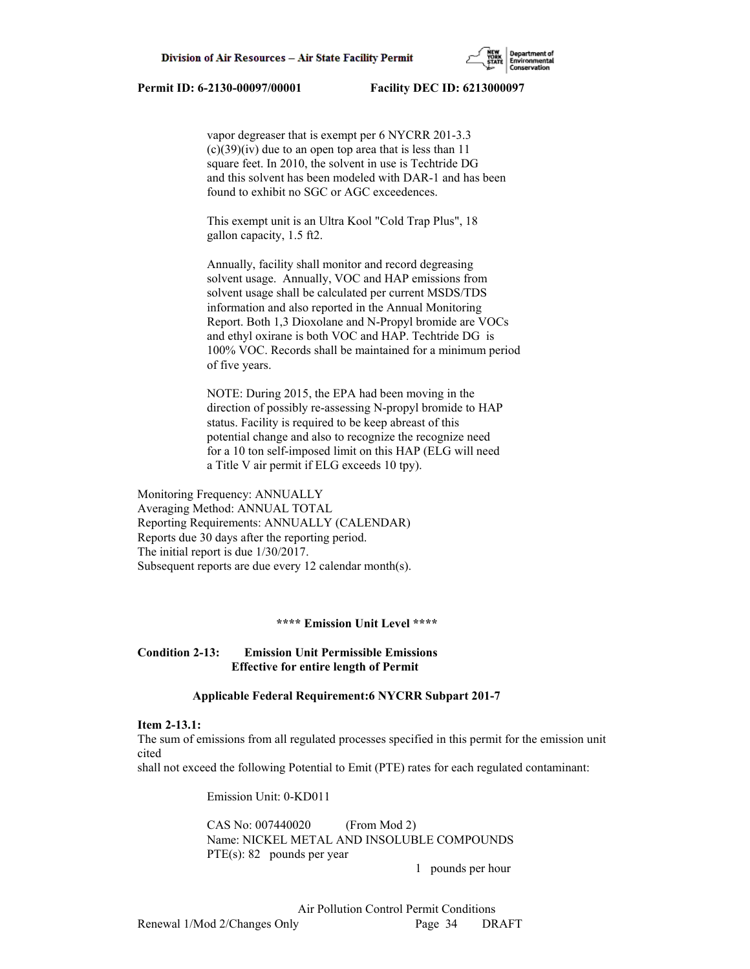

 vapor degreaser that is exempt per 6 NYCRR 201-3.3  $(c)(39)(iv)$  due to an open top area that is less than 11 square feet. In 2010, the solvent in use is Techtride DG and this solvent has been modeled with DAR-1 and has been found to exhibit no SGC or AGC exceedences.

 This exempt unit is an Ultra Kool "Cold Trap Plus", 18 gallon capacity, 1.5 ft2.

 Annually, facility shall monitor and record degreasing solvent usage. Annually, VOC and HAP emissions from solvent usage shall be calculated per current MSDS/TDS information and also reported in the Annual Monitoring Report. Both 1,3 Dioxolane and N-Propyl bromide are VOCs and ethyl oxirane is both VOC and HAP. Techtride DG is 100% VOC. Records shall be maintained for a minimum period of five years.

 NOTE: During 2015, the EPA had been moving in the direction of possibly re-assessing N-propyl bromide to HAP status. Facility is required to be keep abreast of this potential change and also to recognize the recognize need for a 10 ton self-imposed limit on this HAP (ELG will need a Title V air permit if ELG exceeds 10 tpy).

Monitoring Frequency: ANNUALLY Averaging Method: ANNUAL TOTAL Reporting Requirements: ANNUALLY (CALENDAR) Reports due 30 days after the reporting period. The initial report is due 1/30/2017. Subsequent reports are due every 12 calendar month(s).

## **\*\*\*\* Emission Unit Level \*\*\*\***

# **Condition 2-13: Emission Unit Permissible Emissions Effective for entire length of Permit**

### **Applicable Federal Requirement:6 NYCRR Subpart 201-7**

### **Item 2-13.1:**

The sum of emissions from all regulated processes specified in this permit for the emission unit cited

shall not exceed the following Potential to Emit (PTE) rates for each regulated contaminant:

Emission Unit: 0-KD011

 CAS No: 007440020 (From Mod 2) Name: NICKEL METAL AND INSOLUBLE COMPOUNDS PTE(s): 82 pounds per year

1 pounds per hour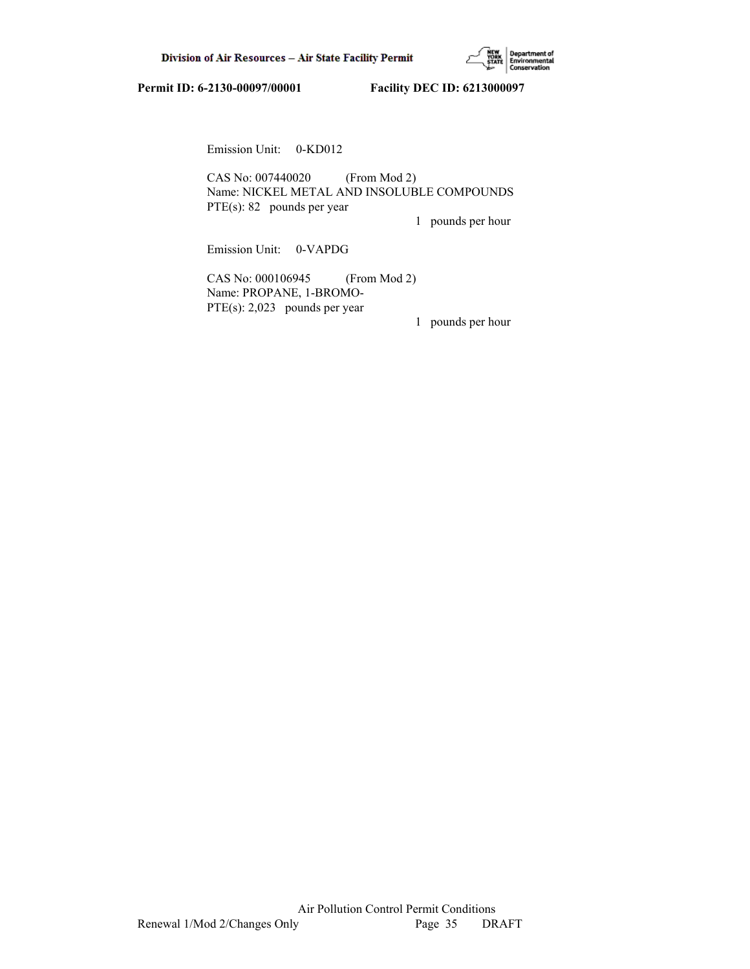

Emission Unit: 0-KD012

 CAS No: 007440020 (From Mod 2) Name: NICKEL METAL AND INSOLUBLE COMPOUNDS PTE(s): 82 pounds per year

1 pounds per hour

Emission Unit: 0-VAPDG

 CAS No: 000106945 (From Mod 2) Name: PROPANE, 1-BROMO- PTE(s): 2,023 pounds per year

1 pounds per hour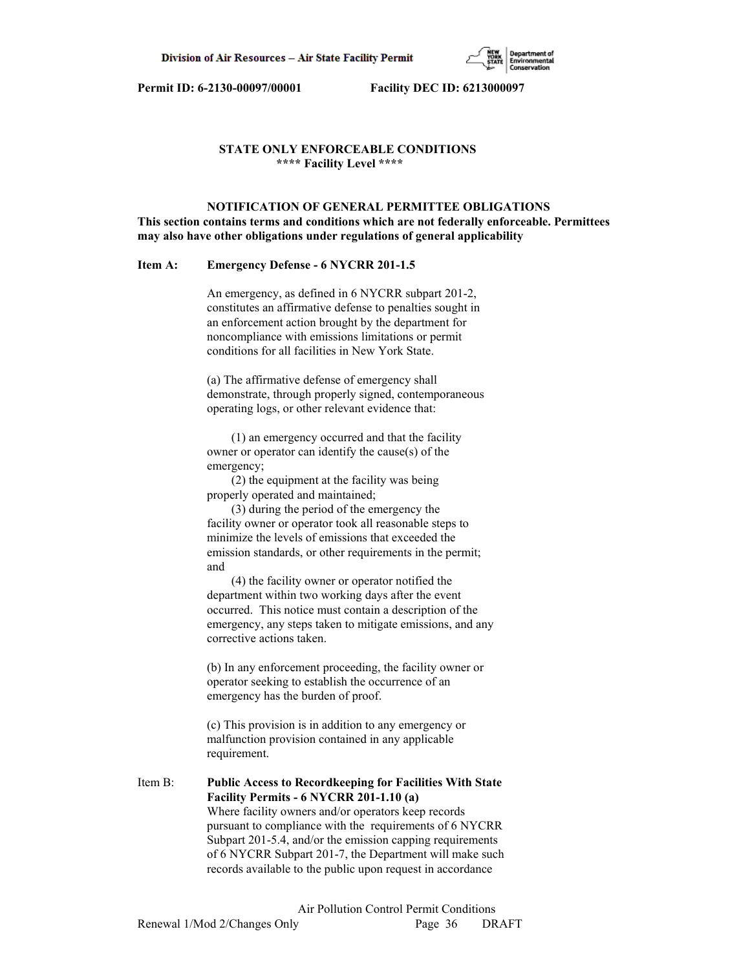

# **STATE ONLY ENFORCEABLE CONDITIONS \*\*\*\* Facility Level \*\*\*\***

# **NOTIFICATION OF GENERAL PERMITTEE OBLIGATIONS This section contains terms and conditions which are not federally enforceable. Permittees may also have other obligations under regulations of general applicability**

### **Item A: Emergency Defense - 6 NYCRR 201-1.5**

 An emergency, as defined in 6 NYCRR subpart 201-2, constitutes an affirmative defense to penalties sought in an enforcement action brought by the department for noncompliance with emissions limitations or permit conditions for all facilities in New York State.

 (a) The affirmative defense of emergency shall demonstrate, through properly signed, contemporaneous operating logs, or other relevant evidence that:

 (1) an emergency occurred and that the facility owner or operator can identify the cause(s) of the emergency;

 (2) the equipment at the facility was being properly operated and maintained;

 (3) during the period of the emergency the facility owner or operator took all reasonable steps to minimize the levels of emissions that exceeded the emission standards, or other requirements in the permit; and

 (4) the facility owner or operator notified the department within two working days after the event occurred. This notice must contain a description of the emergency, any steps taken to mitigate emissions, and any corrective actions taken.

 (b) In any enforcement proceeding, the facility owner or operator seeking to establish the occurrence of an emergency has the burden of proof.

 (c) This provision is in addition to any emergency or malfunction provision contained in any applicable requirement.

Item B: **Public Access to Recordkeeping for Facilities With State Facility Permits - 6 NYCRR 201-1.10 (a)** Where facility owners and/or operators keep records pursuant to compliance with the requirements of 6 NYCRR Subpart 201-5.4, and/or the emission capping requirements of 6 NYCRR Subpart 201-7, the Department will make such records available to the public upon request in accordance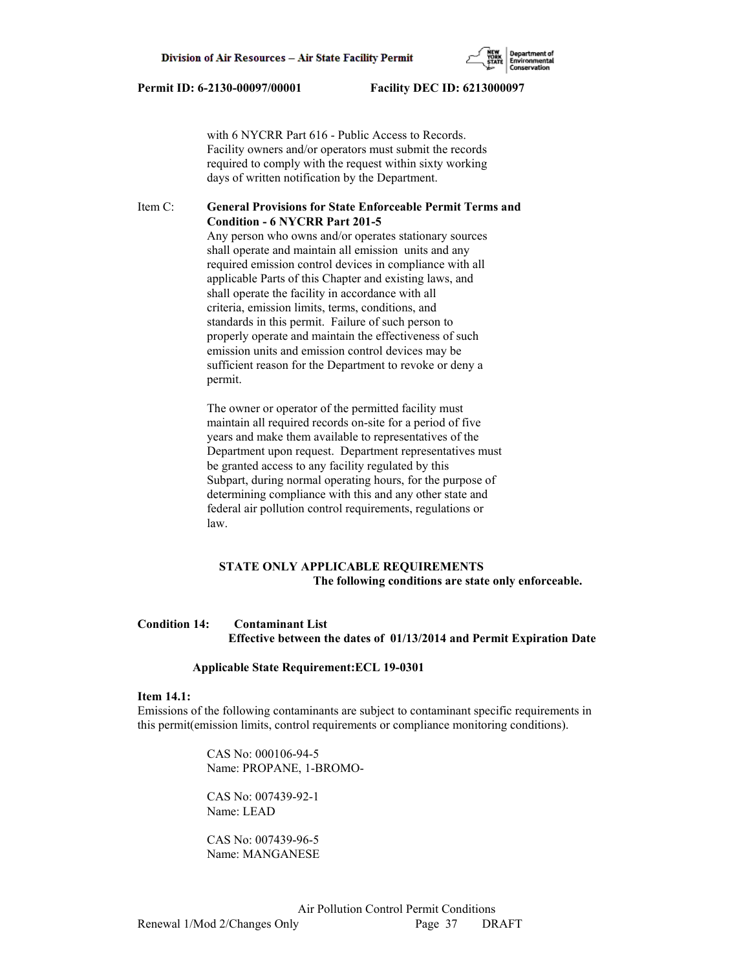with 6 NYCRR Part 616 - Public Access to Records. Facility owners and/or operators must submit the records required to comply with the request within sixty working days of written notification by the Department.

## Item C: **General Provisions for State Enforceable Permit Terms and Condition - 6 NYCRR Part 201-5**

 Any person who owns and/or operates stationary sources shall operate and maintain all emission units and any required emission control devices in compliance with all applicable Parts of this Chapter and existing laws, and shall operate the facility in accordance with all criteria, emission limits, terms, conditions, and standards in this permit. Failure of such person to properly operate and maintain the effectiveness of such emission units and emission control devices may be sufficient reason for the Department to revoke or deny a permit.

 The owner or operator of the permitted facility must maintain all required records on-site for a period of five years and make them available to representatives of the Department upon request. Department representatives must be granted access to any facility regulated by this Subpart, during normal operating hours, for the purpose of determining compliance with this and any other state and federal air pollution control requirements, regulations or law.

# **STATE ONLY APPLICABLE REQUIREMENTS The following conditions are state only enforceable.**

## **Condition 14: Contaminant List Effective between the dates of 01/13/2014 and Permit Expiration Date**

### **Applicable State Requirement:ECL 19-0301**

#### **Item 14.1:**

Emissions of the following contaminants are subject to contaminant specific requirements in this permit(emission limits, control requirements or compliance monitoring conditions).

> CAS No: 000106-94-5 Name: PROPANE, 1-BROMO-

 CAS No: 007439-92-1 Name: LEAD

 CAS No: 007439-96-5 Name: MANGANESE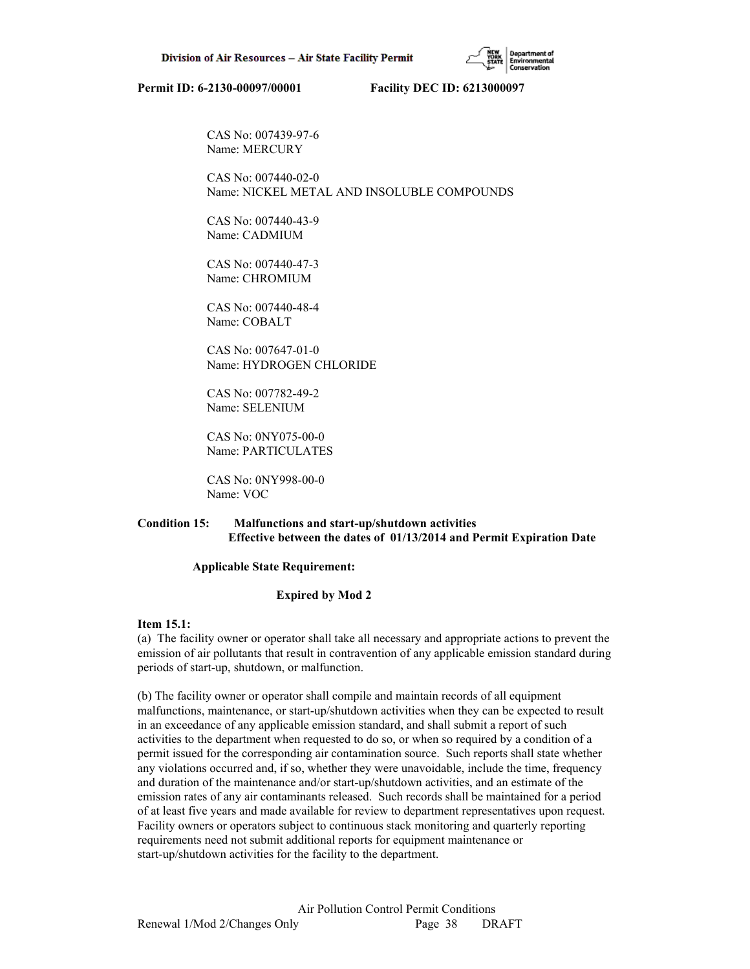CAS No: 007439-97-6 Name: MERCURY

 CAS No: 007440-02-0 Name: NICKEL METAL AND INSOLUBLE COMPOUNDS

 CAS No: 007440-43-9 Name: CADMIUM

 CAS No: 007440-47-3 Name: CHROMIUM

 CAS No: 007440-48-4 Name: COBALT

 CAS No: 007647-01-0 Name: HYDROGEN CHLORIDE

 CAS No: 007782-49-2 Name: SELENIUM

 CAS No: 0NY075-00-0 Name: PARTICULATES

 CAS No: 0NY998-00-0 Name: VOC

# **Condition 15: Malfunctions and start-up/shutdown activities Effective between the dates of 01/13/2014 and Permit Expiration Date**

### **Applicable State Requirement:**

## **Expired by Mod 2**

## **Item 15.1:**

(a) The facility owner or operator shall take all necessary and appropriate actions to prevent the emission of air pollutants that result in contravention of any applicable emission standard during periods of start-up, shutdown, or malfunction.

(b) The facility owner or operator shall compile and maintain records of all equipment malfunctions, maintenance, or start-up/shutdown activities when they can be expected to result in an exceedance of any applicable emission standard, and shall submit a report of such activities to the department when requested to do so, or when so required by a condition of a permit issued for the corresponding air contamination source. Such reports shall state whether any violations occurred and, if so, whether they were unavoidable, include the time, frequency and duration of the maintenance and/or start-up/shutdown activities, and an estimate of the emission rates of any air contaminants released. Such records shall be maintained for a period of at least five years and made available for review to department representatives upon request. Facility owners or operators subject to continuous stack monitoring and quarterly reporting requirements need not submit additional reports for equipment maintenance or start-up/shutdown activities for the facility to the department.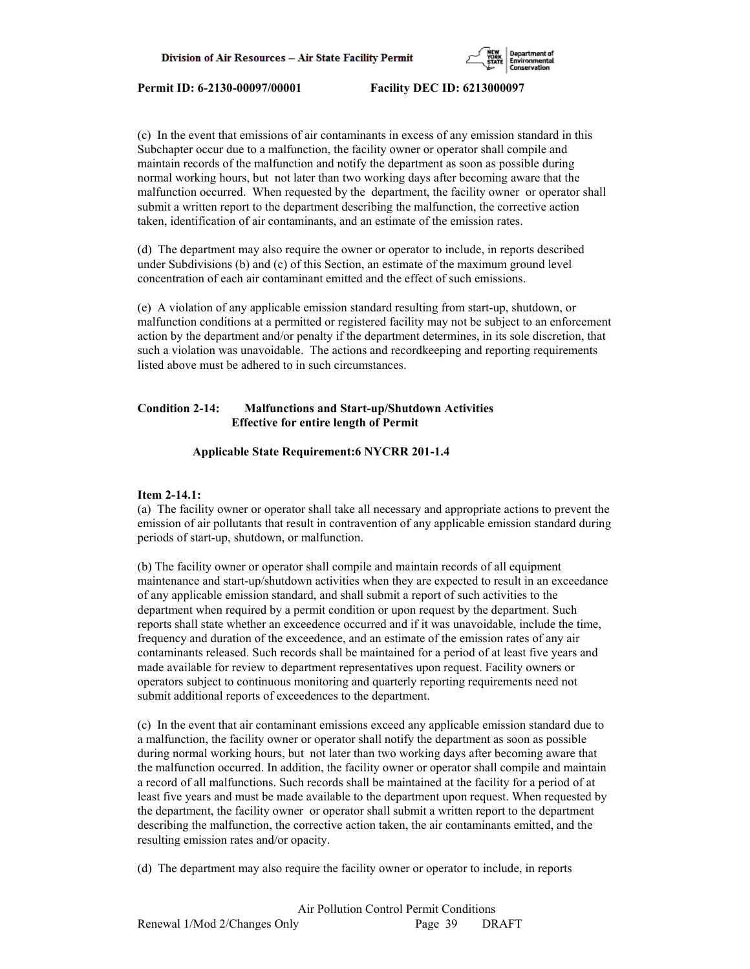

(c) In the event that emissions of air contaminants in excess of any emission standard in this Subchapter occur due to a malfunction, the facility owner or operator shall compile and maintain records of the malfunction and notify the department as soon as possible during normal working hours, but not later than two working days after becoming aware that the malfunction occurred. When requested by the department, the facility owner or operator shall submit a written report to the department describing the malfunction, the corrective action taken, identification of air contaminants, and an estimate of the emission rates.

(d) The department may also require the owner or operator to include, in reports described under Subdivisions (b) and (c) of this Section, an estimate of the maximum ground level concentration of each air contaminant emitted and the effect of such emissions.

(e) A violation of any applicable emission standard resulting from start-up, shutdown, or malfunction conditions at a permitted or registered facility may not be subject to an enforcement action by the department and/or penalty if the department determines, in its sole discretion, that such a violation was unavoidable. The actions and recordkeeping and reporting requirements listed above must be adhered to in such circumstances.

# **Condition 2-14: Malfunctions and Start-up/Shutdown Activities Effective for entire length of Permit**

## **Applicable State Requirement:6 NYCRR 201-1.4**

## **Item 2-14.1:**

(a) The facility owner or operator shall take all necessary and appropriate actions to prevent the emission of air pollutants that result in contravention of any applicable emission standard during periods of start-up, shutdown, or malfunction.

(b) The facility owner or operator shall compile and maintain records of all equipment maintenance and start-up/shutdown activities when they are expected to result in an exceedance of any applicable emission standard, and shall submit a report of such activities to the department when required by a permit condition or upon request by the department. Such reports shall state whether an exceedence occurred and if it was unavoidable, include the time, frequency and duration of the exceedence, and an estimate of the emission rates of any air contaminants released. Such records shall be maintained for a period of at least five years and made available for review to department representatives upon request. Facility owners or operators subject to continuous monitoring and quarterly reporting requirements need not submit additional reports of exceedences to the department.

(c) In the event that air contaminant emissions exceed any applicable emission standard due to a malfunction, the facility owner or operator shall notify the department as soon as possible during normal working hours, but not later than two working days after becoming aware that the malfunction occurred. In addition, the facility owner or operator shall compile and maintain a record of all malfunctions. Such records shall be maintained at the facility for a period of at least five years and must be made available to the department upon request. When requested by the department, the facility owner or operator shall submit a written report to the department describing the malfunction, the corrective action taken, the air contaminants emitted, and the resulting emission rates and/or opacity.

(d) The department may also require the facility owner or operator to include, in reports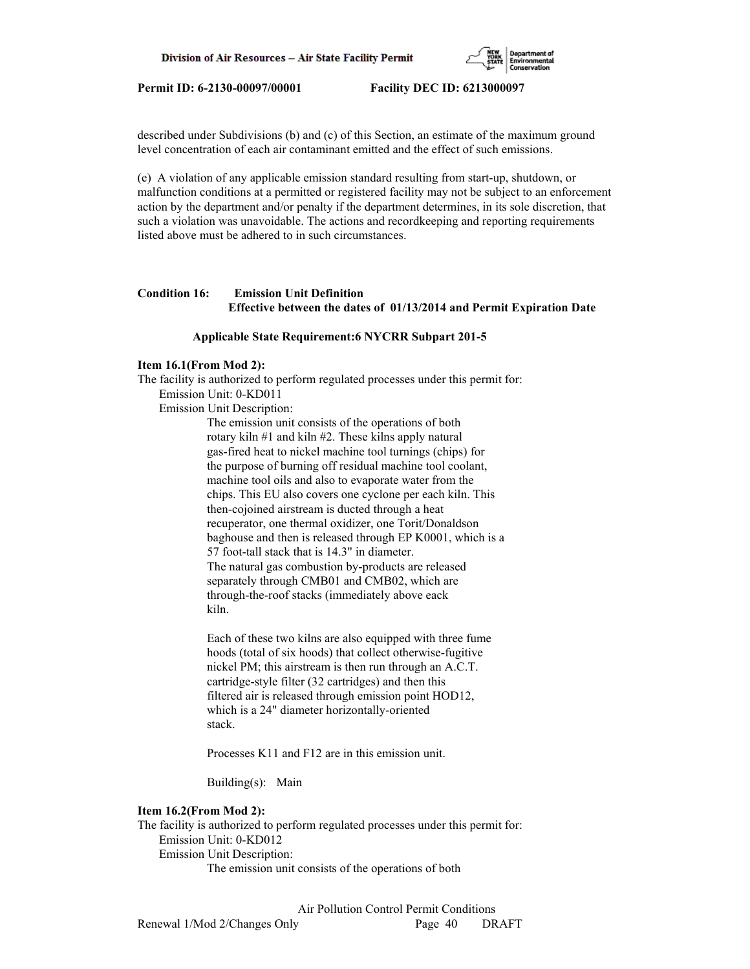

described under Subdivisions (b) and (c) of this Section, an estimate of the maximum ground level concentration of each air contaminant emitted and the effect of such emissions.

(e) A violation of any applicable emission standard resulting from start-up, shutdown, or malfunction conditions at a permitted or registered facility may not be subject to an enforcement action by the department and/or penalty if the department determines, in its sole discretion, that such a violation was unavoidable. The actions and recordkeeping and reporting requirements listed above must be adhered to in such circumstances.

# **Condition 16: Emission Unit Definition Effective between the dates of 01/13/2014 and Permit Expiration Date**

## **Applicable State Requirement:6 NYCRR Subpart 201-5**

# **Item 16.1(From Mod 2):**

The facility is authorized to perform regulated processes under this permit for: Emission Unit: 0-KD011

Emission Unit Description:

 The emission unit consists of the operations of both rotary kiln #1 and kiln #2. These kilns apply natural gas-fired heat to nickel machine tool turnings (chips) for the purpose of burning off residual machine tool coolant, machine tool oils and also to evaporate water from the chips. This EU also covers one cyclone per each kiln. This then-cojoined airstream is ducted through a heat recuperator, one thermal oxidizer, one Torit/Donaldson baghouse and then is released through EP K0001, which is a 57 foot-tall stack that is 14.3" in diameter. The natural gas combustion by-products are released separately through CMB01 and CMB02, which are through-the-roof stacks (immediately above eack kiln.

 Each of these two kilns are also equipped with three fume hoods (total of six hoods) that collect otherwise-fugitive nickel PM; this airstream is then run through an A.C.T. cartridge-style filter (32 cartridges) and then this filtered air is released through emission point HOD12, which is a 24" diameter horizontally-oriented stack.

Processes K11 and F12 are in this emission unit.

Building(s): Main

## **Item 16.2(From Mod 2):**

The facility is authorized to perform regulated processes under this permit for: Emission Unit: 0-KD012 Emission Unit Description: The emission unit consists of the operations of both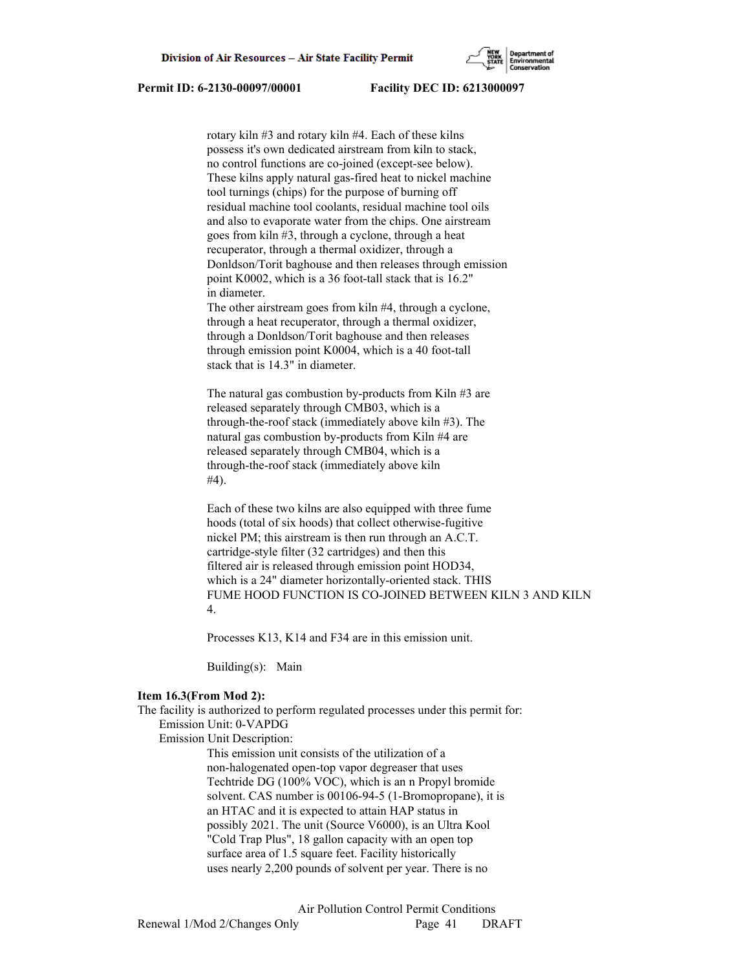rotary kiln #3 and rotary kiln #4. Each of these kilns possess it's own dedicated airstream from kiln to stack, no control functions are co-joined (except-see below). These kilns apply natural gas-fired heat to nickel machine tool turnings (chips) for the purpose of burning off residual machine tool coolants, residual machine tool oils and also to evaporate water from the chips. One airstream goes from kiln #3, through a cyclone, through a heat recuperator, through a thermal oxidizer, through a Donldson/Torit baghouse and then releases through emission point K0002, which is a 36 foot-tall stack that is 16.2" in diameter.

 The other airstream goes from kiln #4, through a cyclone, through a heat recuperator, through a thermal oxidizer, through a Donldson/Torit baghouse and then releases through emission point K0004, which is a 40 foot-tall stack that is 14.3" in diameter.

 The natural gas combustion by-products from Kiln #3 are released separately through CMB03, which is a through-the-roof stack (immediately above kiln #3). The natural gas combustion by-products from Kiln #4 are released separately through CMB04, which is a through-the-roof stack (immediately above kiln #4).

 Each of these two kilns are also equipped with three fume hoods (total of six hoods) that collect otherwise-fugitive nickel PM; this airstream is then run through an A.C.T. cartridge-style filter (32 cartridges) and then this filtered air is released through emission point HOD34, which is a 24" diameter horizontally-oriented stack. THIS FUME HOOD FUNCTION IS CO-JOINED BETWEEN KILN 3 AND KILN 4.

Processes K13, K14 and F34 are in this emission unit.

Building(s): Main

### **Item 16.3(From Mod 2):**

The facility is authorized to perform regulated processes under this permit for: Emission Unit: 0-VAPDG

Emission Unit Description:

 This emission unit consists of the utilization of a non-halogenated open-top vapor degreaser that uses Techtride DG (100% VOC), which is an n Propyl bromide solvent. CAS number is 00106-94-5 (1-Bromopropane), it is an HTAC and it is expected to attain HAP status in possibly 2021. The unit (Source V6000), is an Ultra Kool "Cold Trap Plus", 18 gallon capacity with an open top surface area of 1.5 square feet. Facility historically uses nearly 2,200 pounds of solvent per year. There is no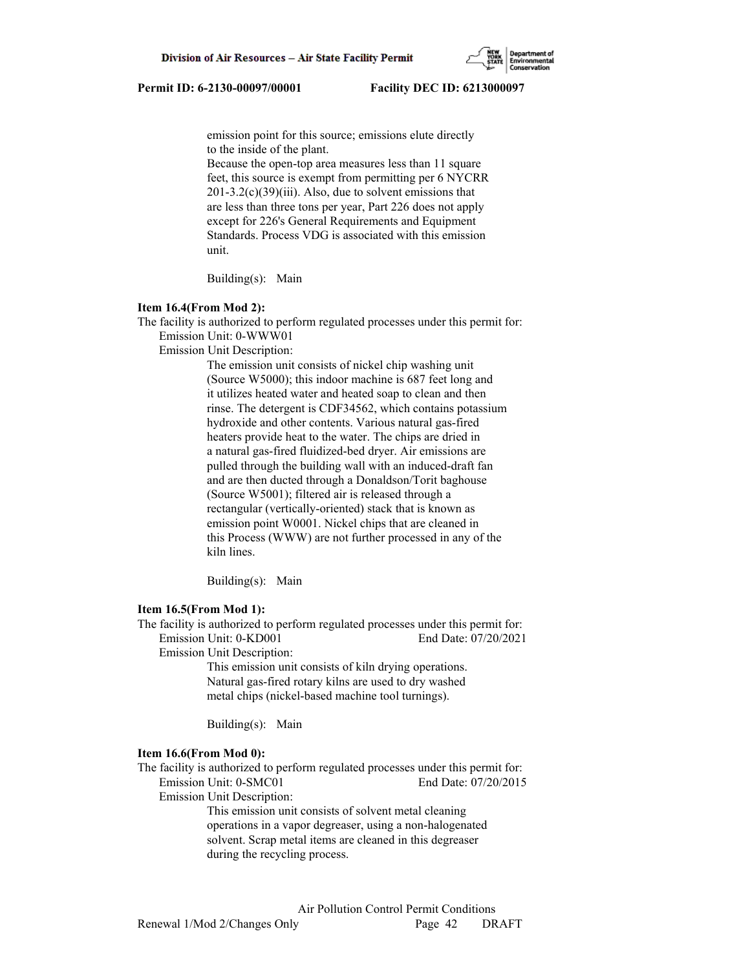emission point for this source; emissions elute directly to the inside of the plant.

 Because the open-top area measures less than 11 square feet, this source is exempt from permitting per 6 NYCRR  $201-3.2(c)(39)(iii)$ . Also, due to solvent emissions that are less than three tons per year, Part 226 does not apply except for 226's General Requirements and Equipment Standards. Process VDG is associated with this emission unit.

Building(s): Main

## **Item 16.4(From Mod 2):**

The facility is authorized to perform regulated processes under this permit for: Emission Unit: 0-WWW01

Emission Unit Description:

 The emission unit consists of nickel chip washing unit (Source W5000); this indoor machine is 687 feet long and it utilizes heated water and heated soap to clean and then rinse. The detergent is CDF34562, which contains potassium hydroxide and other contents. Various natural gas-fired heaters provide heat to the water. The chips are dried in a natural gas-fired fluidized-bed dryer. Air emissions are pulled through the building wall with an induced-draft fan and are then ducted through a Donaldson/Torit baghouse (Source W5001); filtered air is released through a rectangular (vertically-oriented) stack that is known as emission point W0001. Nickel chips that are cleaned in this Process (WWW) are not further processed in any of the kiln lines.

Building(s): Main

### **Item 16.5(From Mod 1):**

The facility is authorized to perform regulated processes under this permit for: Emission Unit: 0-KD001 End Date: 07/20/2021

Emission Unit Description:

 This emission unit consists of kiln drying operations. Natural gas-fired rotary kilns are used to dry washed metal chips (nickel-based machine tool turnings).

Building(s): Main

## **Item 16.6(From Mod 0):**

The facility is authorized to perform regulated processes under this permit for: Emission Unit: 0-SMC01 End Date: 07/20/2015

Emission Unit Description:

 This emission unit consists of solvent metal cleaning operations in a vapor degreaser, using a non-halogenated solvent. Scrap metal items are cleaned in this degreaser during the recycling process.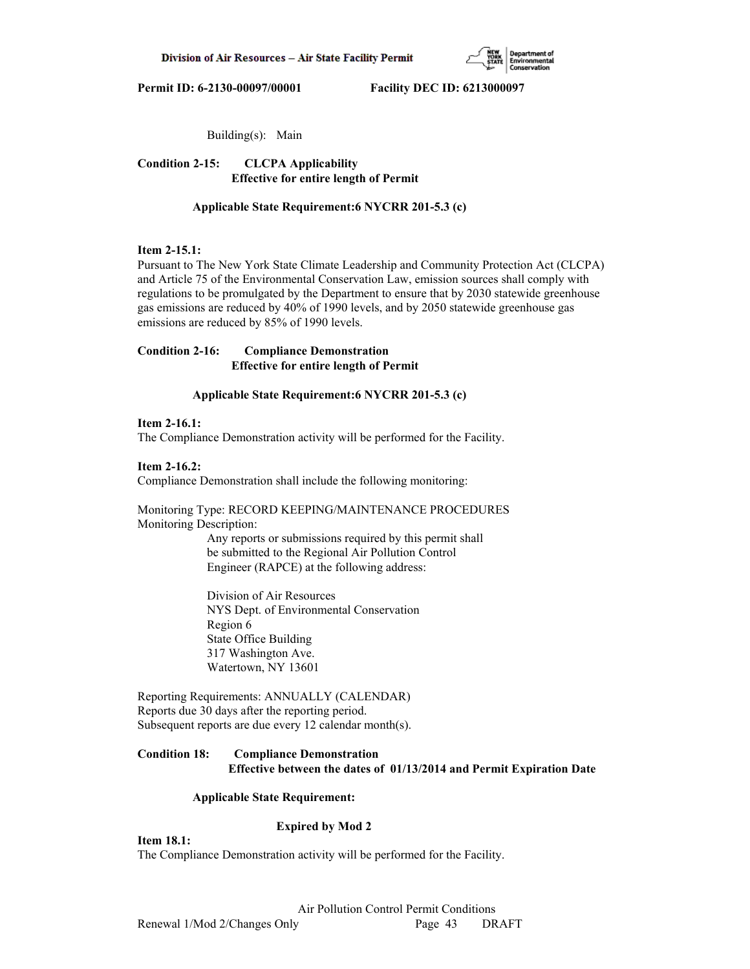

Building(s): Main

**Condition 2-15: CLCPA Applicability Effective for entire length of Permit**

 **Applicable State Requirement:6 NYCRR 201-5.3 (c)**

# **Item 2-15.1:**

Pursuant to The New York State Climate Leadership and Community Protection Act (CLCPA) and Article 75 of the Environmental Conservation Law, emission sources shall comply with regulations to be promulgated by the Department to ensure that by 2030 statewide greenhouse gas emissions are reduced by 40% of 1990 levels, and by 2050 statewide greenhouse gas emissions are reduced by 85% of 1990 levels.

# **Condition 2-16: Compliance Demonstration Effective for entire length of Permit**

# **Applicable State Requirement:6 NYCRR 201-5.3 (c)**

## **Item 2-16.1:**

The Compliance Demonstration activity will be performed for the Facility.

## **Item 2-16.2:**

Compliance Demonstration shall include the following monitoring:

Monitoring Type: RECORD KEEPING/MAINTENANCE PROCEDURES Monitoring Description:

> Any reports or submissions required by this permit shall be submitted to the Regional Air Pollution Control Engineer (RAPCE) at the following address:

 Division of Air Resources NYS Dept. of Environmental Conservation Region 6 State Office Building 317 Washington Ave. Watertown, NY 13601

Reporting Requirements: ANNUALLY (CALENDAR) Reports due 30 days after the reporting period. Subsequent reports are due every 12 calendar month(s).

# **Condition 18: Compliance Demonstration Effective between the dates of 01/13/2014 and Permit Expiration Date**

## **Applicable State Requirement:**

# **Expired by Mod 2**

**Item 18.1:**

The Compliance Demonstration activity will be performed for the Facility.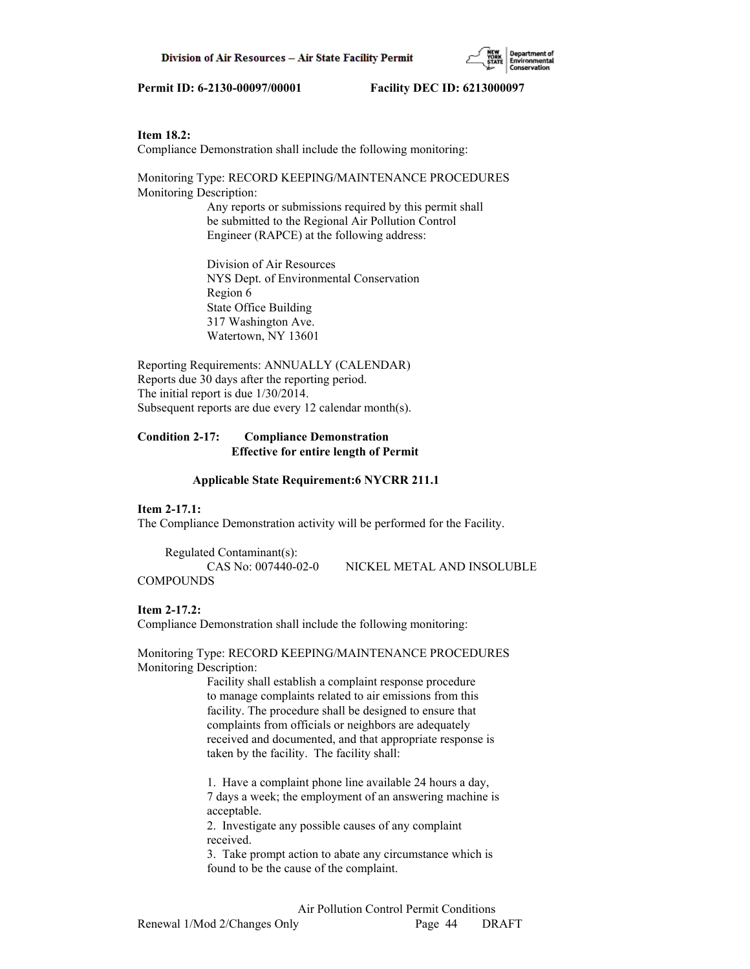

## **Item 18.2:**

Compliance Demonstration shall include the following monitoring:

Monitoring Type: RECORD KEEPING/MAINTENANCE PROCEDURES Monitoring Description:

 Any reports or submissions required by this permit shall be submitted to the Regional Air Pollution Control Engineer (RAPCE) at the following address:

 Division of Air Resources NYS Dept. of Environmental Conservation Region 6 State Office Building 317 Washington Ave. Watertown, NY 13601

Reporting Requirements: ANNUALLY (CALENDAR) Reports due 30 days after the reporting period. The initial report is due 1/30/2014. Subsequent reports are due every 12 calendar month(s).

# **Condition 2-17: Compliance Demonstration Effective for entire length of Permit**

### **Applicable State Requirement:6 NYCRR 211.1**

### **Item 2-17.1:**

The Compliance Demonstration activity will be performed for the Facility.

 Regulated Contaminant(s): CAS No: 007440-02-0 NICKEL METAL AND INSOLUBLE COMPOUNDS

### **Item 2-17.2:**

Compliance Demonstration shall include the following monitoring:

Monitoring Type: RECORD KEEPING/MAINTENANCE PROCEDURES Monitoring Description:

> Facility shall establish a complaint response procedure to manage complaints related to air emissions from this facility. The procedure shall be designed to ensure that complaints from officials or neighbors are adequately received and documented, and that appropriate response is taken by the facility. The facility shall:

 1. Have a complaint phone line available 24 hours a day, 7 days a week; the employment of an answering machine is acceptable.

 2. Investigate any possible causes of any complaint received.

 3. Take prompt action to abate any circumstance which is found to be the cause of the complaint.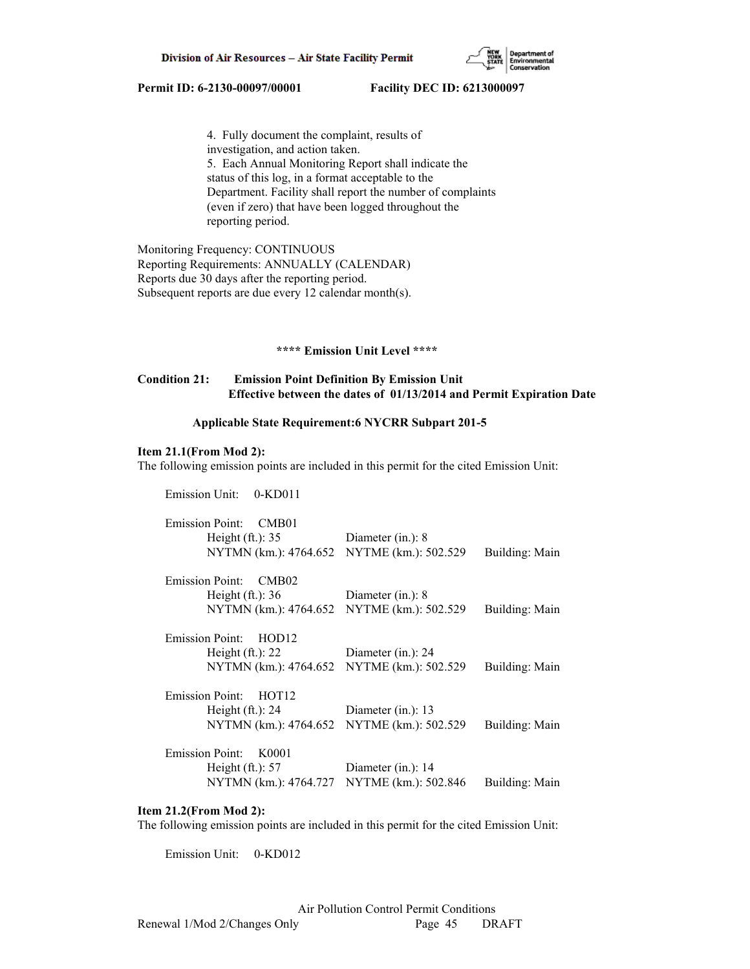

 4. Fully document the complaint, results of investigation, and action taken. 5. Each Annual Monitoring Report shall indicate the status of this log, in a format acceptable to the Department. Facility shall report the number of complaints (even if zero) that have been logged throughout the reporting period.

Monitoring Frequency: CONTINUOUS Reporting Requirements: ANNUALLY (CALENDAR) Reports due 30 days after the reporting period. Subsequent reports are due every 12 calendar month(s).

# **\*\*\*\* Emission Unit Level \*\*\*\***

## **Condition 21: Emission Point Definition By Emission Unit Effective between the dates of 01/13/2014 and Permit Expiration Date**

# **Applicable State Requirement:6 NYCRR Subpart 201-5**

## **Item 21.1(From Mod 2):**

The following emission points are included in this permit for the cited Emission Unit:

| <b>Emission Unit:</b><br>$0-KD011$                                                                   |                                               |                |
|------------------------------------------------------------------------------------------------------|-----------------------------------------------|----------------|
| <b>Emission Point:</b><br>CMB01<br>Height $(ft.)$ : 35<br>NYTMN (km.): 4764.652                      | Diameter $(in.)$ : 8<br>NYTME (km.): 502.529  | Building: Main |
| <b>Emission Point:</b><br>CMB02<br>Height $(ft.)$ : 36<br>NYTMN (km.): 4764.652                      | Diameter $(in.)$ : 8<br>NYTME (km.): 502.529  | Building: Main |
| <b>Emission Point:</b><br>HOD <sub>12</sub><br>Height $(ft.)$ : 22<br>NYTMN (km.): 4764.652          | Diameter (in.): 24<br>NYTME (km.): 502.529    | Building: Main |
| <b>Emission Point:</b><br>HOT <sub>12</sub><br>Height $(ft.): 24$<br>NYTMN (km.): 4764.652           | Diameter $(in.)$ : 13<br>NYTME (km.): 502.529 | Building: Main |
| <b>Emission Point:</b><br>K0001<br>Height $(ft.)$ : 57<br>NYTMN (km.): 4764.727 NYTME (km.): 502.846 | Diameter $(in.)$ : 14                         | Building: Main |

## **Item 21.2(From Mod 2):**

The following emission points are included in this permit for the cited Emission Unit:

Emission Unit: 0-KD012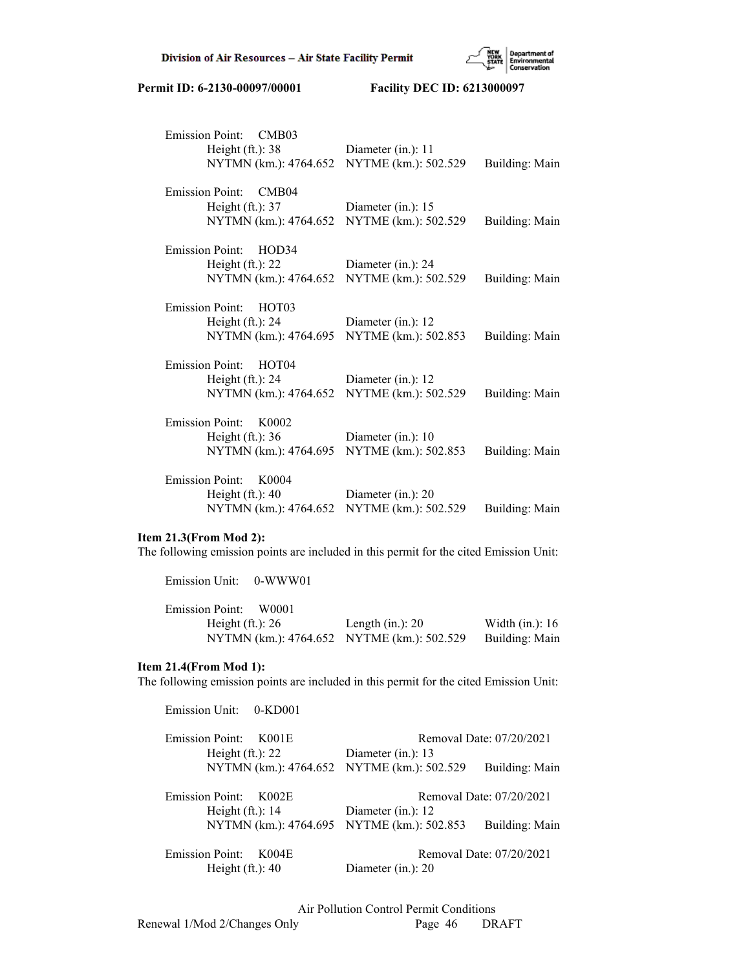

| Emission Point: CMB03<br>Height $(ft.)$ : 38<br>NYTMN (km.): 4764.652                       | Diameter (in.): 11<br>NYTME (km.): 502.529 | Building: Main        |
|---------------------------------------------------------------------------------------------|--------------------------------------------|-----------------------|
| <b>Emission Point:</b><br>CMB04<br>Height $(ft.)$ : 37<br>NYTMN (km.): 4764.652             | Diameter (in.): 15<br>NYTME (km.): 502.529 | Building: Main        |
| <b>Emission Point:</b><br>HOD34<br>Height $(ft.)$ : 22<br>NYTMN (km.): 4764.652             | Diameter (in.): 24<br>NYTME (km.): 502.529 | Building: Main        |
| <b>Emission Point:</b><br>HOT <sub>03</sub><br>Height $(ft.)$ : 24<br>NYTMN (km.): 4764.695 | Diameter (in.): 12<br>NYTME (km.): 502.853 | <b>Building: Main</b> |
| <b>Emission Point:</b><br>HOT <sub>04</sub><br>Height $(ft.)$ : 24<br>NYTMN (km.): 4764.652 | Diameter (in.): 12<br>NYTME (km.): 502.529 | Building: Main        |
| <b>Emission Point:</b><br>K <sub>0002</sub><br>Height $(ft.): 36$<br>NYTMN (km.): 4764.695  | Diameter (in.): 10<br>NYTME (km.): 502.853 | Building: Main        |
| <b>Emission Point:</b><br>K0004<br>Height $(ft.)$ : 40<br>NYTMN (km.): 4764.652             | Diameter (in.): 20<br>NYTME (km.): 502.529 | Building: Main        |

# **Item 21.3(From Mod 2):**

Emission Unit: 0-WWW01

The following emission points are included in this permit for the cited Emission Unit:

| <b>Emission Point:</b><br>W0001            |                     |                    |
|--------------------------------------------|---------------------|--------------------|
| Height $(ft.)$ : 26                        | Length $(in.)$ : 20 | Width $(in.)$ : 16 |
| NYTMN (km.): 4764.652 NYTME (km.): 502.529 |                     | Building: Main     |

# **Item 21.4(From Mod 1):**

The following emission points are included in this permit for the cited Emission Unit:

| Emission Unit: 0-KD001                     |                          |  |
|--------------------------------------------|--------------------------|--|
| <b>Emission Point:</b><br>K001E            | Removal Date: 07/20/2021 |  |
| Height $(ft.)$ : 22                        | Diameter (in.): $13$     |  |
| NYTMN (km.): 4764.652 NYTME (km.): 502.529 | Building: Main           |  |
| <b>Emission Point:</b><br>K002E            | Removal Date: 07/20/2021 |  |
| Height $(ft.)$ : 14                        | Diameter (in.): 12       |  |
| NYTMN (km.): 4764.695 NYTME (km.): 502.853 | Building: Main           |  |
| <b>Emission Point:</b><br>K004E            | Removal Date: 07/20/2021 |  |
| Height $(ft.)$ : 40                        | Diameter $(in.)$ : 20    |  |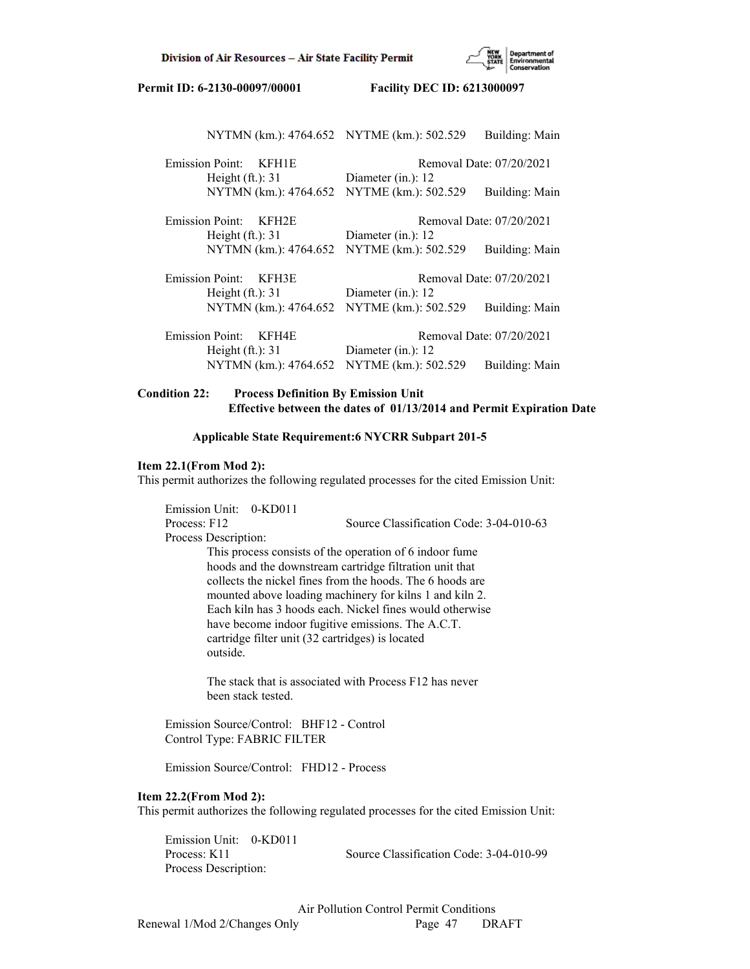

| NYTMN (km.): 4764.652 NYTME (km.): 502.529 |                          | Building: Main           |
|--------------------------------------------|--------------------------|--------------------------|
| Emission Point: KFH1E                      | Removal Date: 07/20/2021 |                          |
| Height $(ft.)$ : 31                        | Diameter (in.): $12$     |                          |
| NYTMN (km.): 4764.652                      | NYTME (km.): 502.529     | Building: Main           |
| Emission Point:<br>KFH2E                   | Removal Date: 07/20/2021 |                          |
| Height $(ft.)$ : 31                        | Diameter $(in.)$ : 12    |                          |
| NYTMN (km.): 4764.652                      | NYTME (km.): 502.529     | Building: Main           |
| <b>Emission Point:</b><br>KFH3E            |                          | Removal Date: 07/20/2021 |
| Height $(ft.)$ : 31                        | Diameter (in.): $12$     |                          |
| NYTMN (km.): 4764.652                      | NYTME (km.): 502.529     | Building: Main           |
| <b>Emission Point:</b><br>KFH4E            |                          | Removal Date: 07/20/2021 |
| Height $(ft.)$ : 31                        | Diameter $(in.)$ : 12    |                          |
| NYTMN (km.): 4764.652                      | NYTME (km.): 502.529     | Building: Main           |

# **Condition 22: Process Definition By Emission Unit Effective between the dates of 01/13/2014 and Permit Expiration Date**

# **Applicable State Requirement:6 NYCRR Subpart 201-5**

## **Item 22.1(From Mod 2):**

This permit authorizes the following regulated processes for the cited Emission Unit:

 Emission Unit: 0-KD011 Process: F12 Source Classification Code: 3-04-010-63 Process Description: This process consists of the operation of 6 indoor fume hoods and the downstream cartridge filtration unit that collects the nickel fines from the hoods. The 6 hoods are mounted above loading machinery for kilns 1 and kiln 2. Each kiln has 3 hoods each. Nickel fines would otherwise have become indoor fugitive emissions. The A.C.T. cartridge filter unit (32 cartridges) is located outside.

> The stack that is associated with Process F12 has never been stack tested.

 Emission Source/Control: BHF12 - Control Control Type: FABRIC FILTER

Emission Source/Control: FHD12 - Process

### **Item 22.2(From Mod 2):**

This permit authorizes the following regulated processes for the cited Emission Unit:

 Emission Unit: 0-KD011 Process: K11 Source Classification Code: 3-04-010-99 Process Description: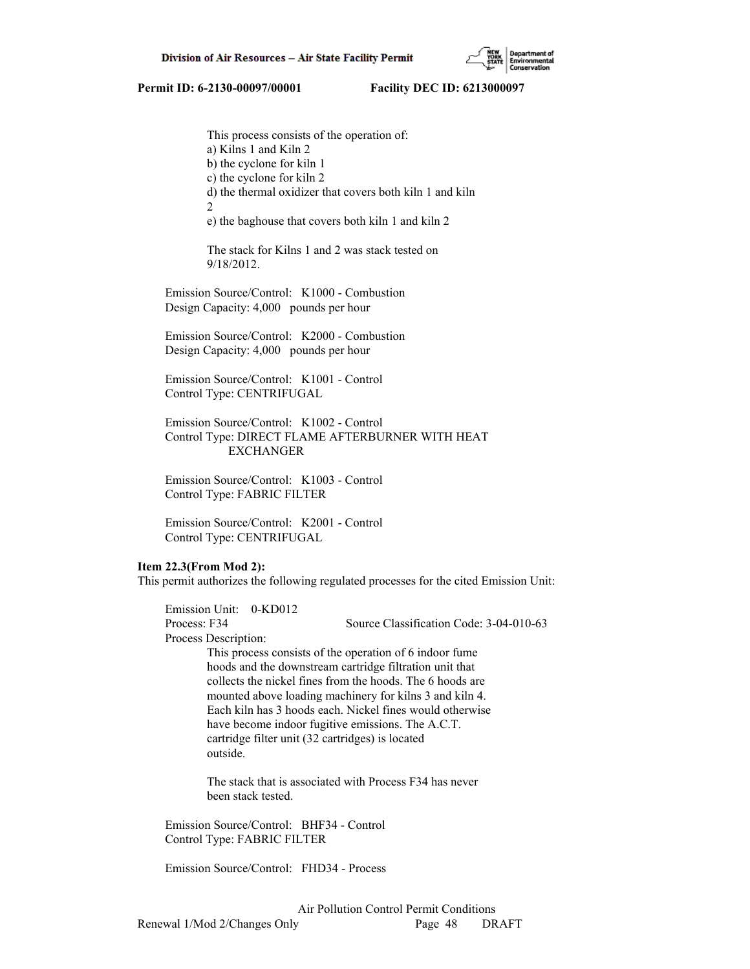This process consists of the operation of: a) Kilns 1 and Kiln 2 b) the cyclone for kiln 1 c) the cyclone for kiln 2 d) the thermal oxidizer that covers both kiln 1 and kiln 2 e) the baghouse that covers both kiln 1 and kiln 2

> The stack for Kilns 1 and 2 was stack tested on 9/18/2012.

 Emission Source/Control: K1000 - Combustion Design Capacity: 4,000 pounds per hour

 Emission Source/Control: K2000 - Combustion Design Capacity: 4,000 pounds per hour

 Emission Source/Control: K1001 - Control Control Type: CENTRIFUGAL

 Emission Source/Control: K1002 - Control Control Type: DIRECT FLAME AFTERBURNER WITH HEAT EXCHANGER

 Emission Source/Control: K1003 - Control Control Type: FABRIC FILTER

 Emission Source/Control: K2001 - Control Control Type: CENTRIFUGAL

### **Item 22.3(From Mod 2):**

This permit authorizes the following regulated processes for the cited Emission Unit:

 Emission Unit: 0-KD012 Process: F34 Source Classification Code: 3-04-010-63 Process Description:

 This process consists of the operation of 6 indoor fume hoods and the downstream cartridge filtration unit that collects the nickel fines from the hoods. The 6 hoods are mounted above loading machinery for kilns 3 and kiln 4. Each kiln has 3 hoods each. Nickel fines would otherwise have become indoor fugitive emissions. The A.C.T. cartridge filter unit (32 cartridges) is located outside.

 The stack that is associated with Process F34 has never been stack tested.

 Emission Source/Control: BHF34 - Control Control Type: FABRIC FILTER

Emission Source/Control: FHD34 - Process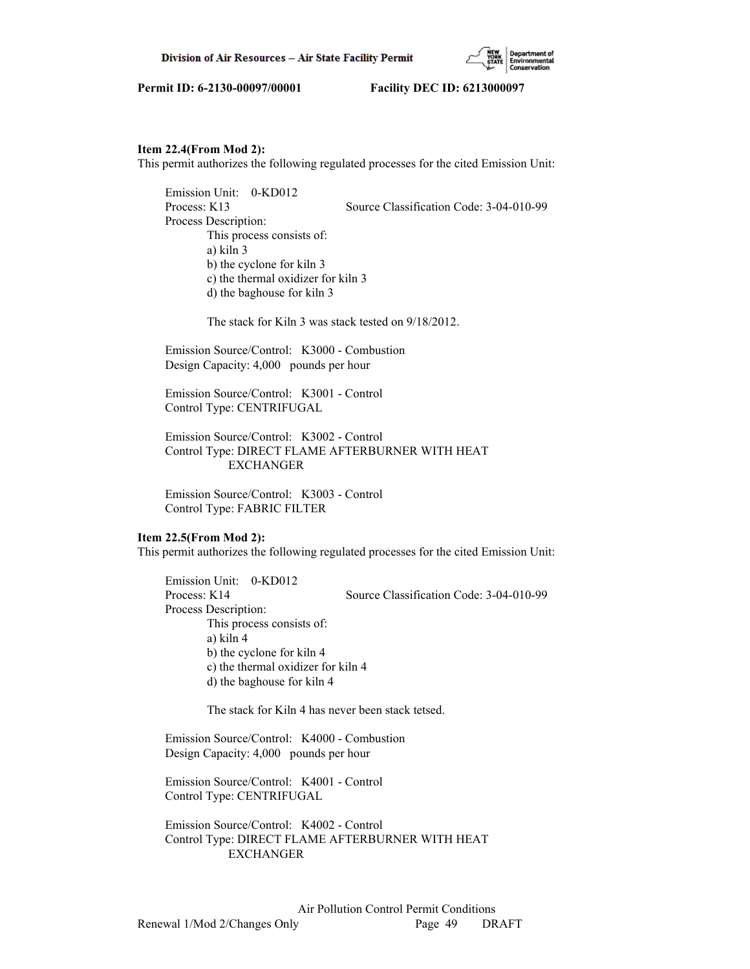

## **Item 22.4(From Mod 2):**

This permit authorizes the following regulated processes for the cited Emission Unit:

 Emission Unit: 0-KD012 Process: K13 Source Classification Code: 3-04-010-99 Process Description: This process consists of: a) kiln 3 b) the cyclone for kiln 3 c) the thermal oxidizer for kiln 3 d) the baghouse for kiln 3

The stack for Kiln 3 was stack tested on 9/18/2012.

 Emission Source/Control: K3000 - Combustion Design Capacity: 4,000 pounds per hour

 Emission Source/Control: K3001 - Control Control Type: CENTRIFUGAL

 Emission Source/Control: K3002 - Control Control Type: DIRECT FLAME AFTERBURNER WITH HEAT EXCHANGER

 Emission Source/Control: K3003 - Control Control Type: FABRIC FILTER

## **Item 22.5(From Mod 2):**

This permit authorizes the following regulated processes for the cited Emission Unit:

 Emission Unit: 0-KD012 Process: K14 Source Classification Code: 3-04-010-99 Process Description: This process consists of: a) kiln 4 b) the cyclone for kiln 4 c) the thermal oxidizer for kiln 4 d) the baghouse for kiln 4

The stack for Kiln 4 has never been stack tetsed.

 Emission Source/Control: K4000 - Combustion Design Capacity: 4,000 pounds per hour

 Emission Source/Control: K4001 - Control Control Type: CENTRIFUGAL

 Emission Source/Control: K4002 - Control Control Type: DIRECT FLAME AFTERBURNER WITH HEAT EXCHANGER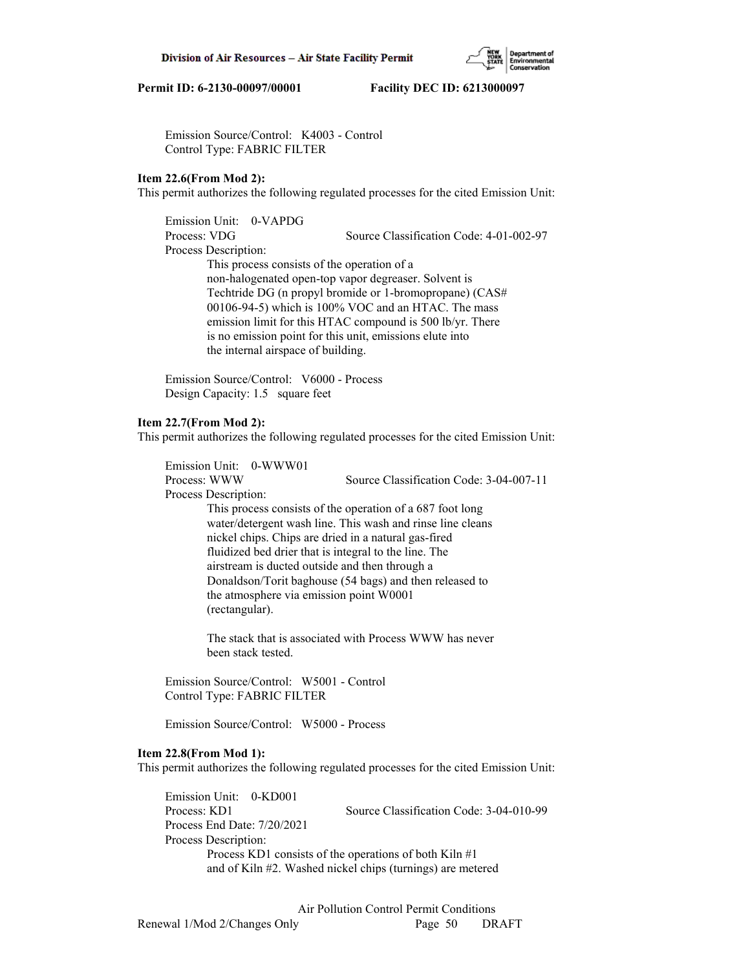Emission Source/Control: K4003 - Control Control Type: FABRIC FILTER

## **Item 22.6(From Mod 2):**

This permit authorizes the following regulated processes for the cited Emission Unit:

 Emission Unit: 0-VAPDG Process: VDG Source Classification Code: 4-01-002-97 Process Description: This process consists of the operation of a non-halogenated open-top vapor degreaser. Solvent is Techtride DG (n propyl bromide or 1-bromopropane) (CAS# 00106-94-5) which is 100% VOC and an HTAC. The mass emission limit for this HTAC compound is 500 lb/yr. There is no emission point for this unit, emissions elute into the internal airspace of building.

 Emission Source/Control: V6000 - Process Design Capacity: 1.5 square feet

## **Item 22.7(From Mod 2):**

This permit authorizes the following regulated processes for the cited Emission Unit:

 Emission Unit: 0-WWW01 Process: WWW Source Classification Code: 3-04-007-11 Process Description: This process consists of the operation of a 687 foot long water/detergent wash line. This wash and rinse line cleans nickel chips. Chips are dried in a natural gas-fired fluidized bed drier that is integral to the line. The airstream is ducted outside and then through a Donaldson/Torit baghouse (54 bags) and then released to

> The stack that is associated with Process WWW has never been stack tested.

the atmosphere via emission point W0001

 Emission Source/Control: W5001 - Control Control Type: FABRIC FILTER

(rectangular).

Emission Source/Control: W5000 - Process

### **Item 22.8(From Mod 1):**

This permit authorizes the following regulated processes for the cited Emission Unit:

 Emission Unit: 0-KD001 Process: KD1 Source Classification Code: 3-04-010-99 Process End Date: 7/20/2021 Process Description: Process KD1 consists of the operations of both Kiln #1 and of Kiln #2. Washed nickel chips (turnings) are metered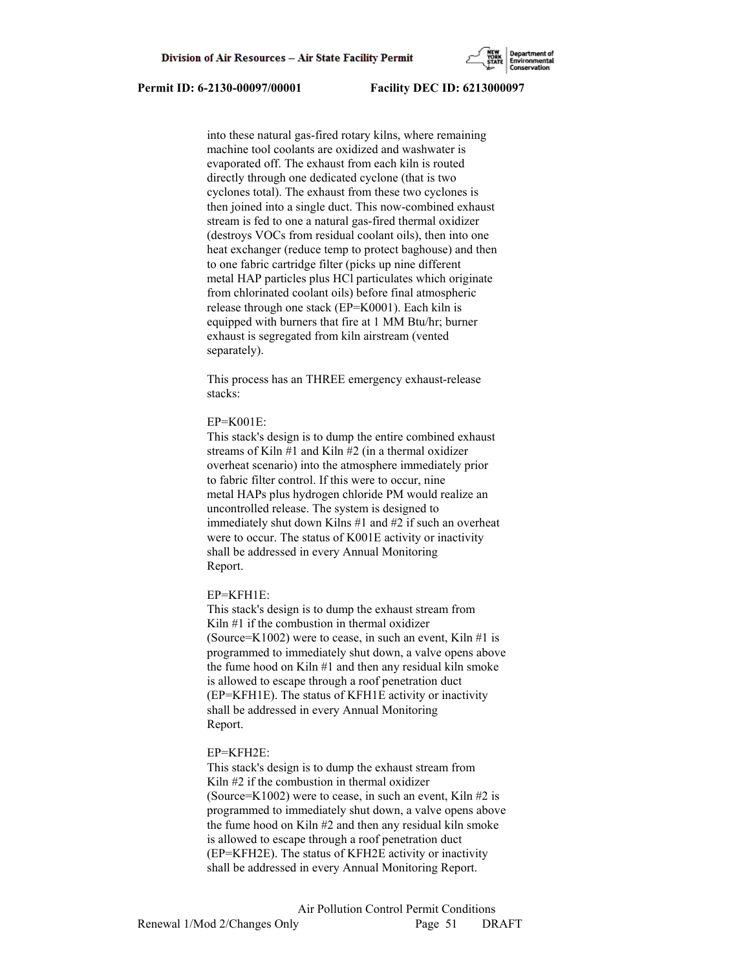into these natural gas-fired rotary kilns, where remaining machine tool coolants are oxidized and washwater is evaporated off. The exhaust from each kiln is routed directly through one dedicated cyclone (that is two cyclones total). The exhaust from these two cyclones is then joined into a single duct. This now-combined exhaust stream is fed to one a natural gas-fired thermal oxidizer (destroys VOCs from residual coolant oils), then into one heat exchanger (reduce temp to protect baghouse) and then to one fabric cartridge filter (picks up nine different metal HAP particles plus HCl particulates which originate from chlorinated coolant oils) before final atmospheric release through one stack (EP=K0001). Each kiln is equipped with burners that fire at 1 MM Btu/hr; burner exhaust is segregated from kiln airstream (vented separately).

 This process has an THREE emergency exhaust-release stacks:

#### EP=K001E:

 This stack's design is to dump the entire combined exhaust streams of Kiln #1 and Kiln #2 (in a thermal oxidizer overheat scenario) into the atmosphere immediately prior to fabric filter control. If this were to occur, nine metal HAPs plus hydrogen chloride PM would realize an uncontrolled release. The system is designed to immediately shut down Kilns #1 and #2 if such an overheat were to occur. The status of K001E activity or inactivity shall be addressed in every Annual Monitoring Report.

#### EP=KFH1E:

 This stack's design is to dump the exhaust stream from Kiln #1 if the combustion in thermal oxidizer (Source=K1002) were to cease, in such an event, Kiln  $#1$  is programmed to immediately shut down, a valve opens above the fume hood on Kiln #1 and then any residual kiln smoke is allowed to escape through a roof penetration duct (EP=KFH1E). The status of KFH1E activity or inactivity shall be addressed in every Annual Monitoring Report.

#### EP=KFH2E:

 This stack's design is to dump the exhaust stream from Kiln #2 if the combustion in thermal oxidizer (Source=K1002) were to cease, in such an event, Kiln  $#2$  is programmed to immediately shut down, a valve opens above the fume hood on Kiln #2 and then any residual kiln smoke is allowed to escape through a roof penetration duct (EP=KFH2E). The status of KFH2E activity or inactivity shall be addressed in every Annual Monitoring Report.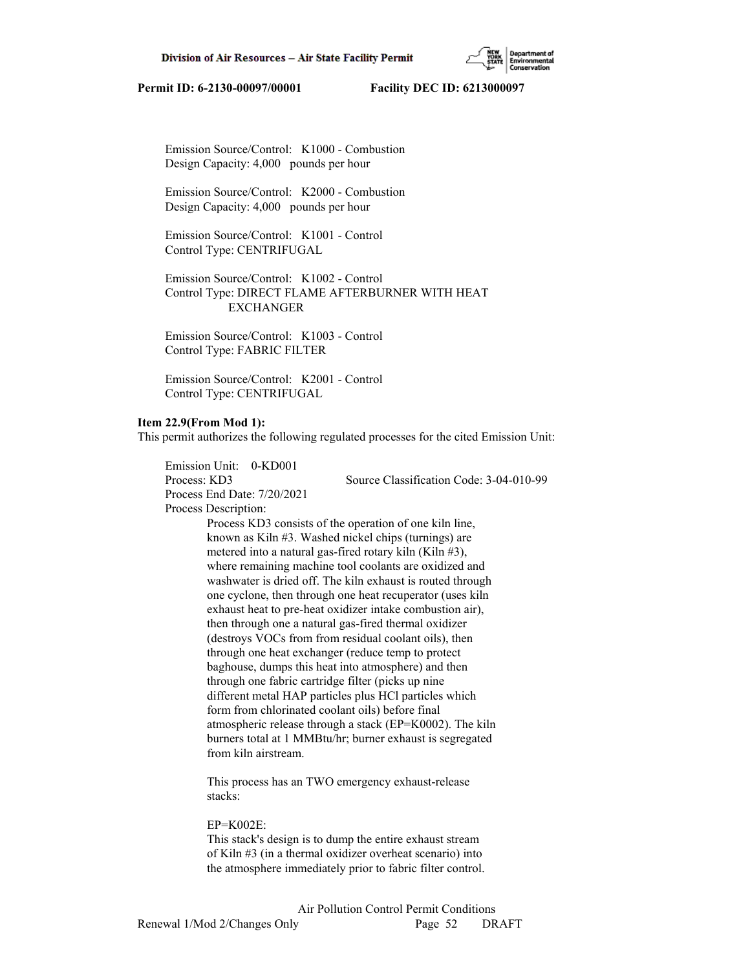

 Emission Source/Control: K1000 - Combustion Design Capacity: 4,000 pounds per hour

 Emission Source/Control: K2000 - Combustion Design Capacity: 4,000 pounds per hour

 Emission Source/Control: K1001 - Control Control Type: CENTRIFUGAL

 Emission Source/Control: K1002 - Control Control Type: DIRECT FLAME AFTERBURNER WITH HEAT **EXCHANGER** 

 Emission Source/Control: K1003 - Control Control Type: FABRIC FILTER

 Emission Source/Control: K2001 - Control Control Type: CENTRIFUGAL

### **Item 22.9(From Mod 1):**

This permit authorizes the following regulated processes for the cited Emission Unit:

 Emission Unit: 0-KD001 Process: KD3 Source Classification Code: 3-04-010-99 Process End Date: 7/20/2021 Process Description: Process KD3 consists of the operation of one kiln line, known as Kiln #3. Washed nickel chips (turnings) are metered into a natural gas-fired rotary kiln (Kiln #3), where remaining machine tool coolants are oxidized and washwater is dried off. The kiln exhaust is routed through one cyclone, then through one heat recuperator (uses kiln exhaust heat to pre-heat oxidizer intake combustion air), then through one a natural gas-fired thermal oxidizer (destroys VOCs from from residual coolant oils), then through one heat exchanger (reduce temp to protect baghouse, dumps this heat into atmosphere) and then through one fabric cartridge filter (picks up nine different metal HAP particles plus HCl particles which form from chlorinated coolant oils) before final atmospheric release through a stack (EP=K0002). The kiln burners total at 1 MMBtu/hr; burner exhaust is segregated from kiln airstream.

> This process has an TWO emergency exhaust-release stacks:

#### EP=K002E:

 This stack's design is to dump the entire exhaust stream of Kiln #3 (in a thermal oxidizer overheat scenario) into the atmosphere immediately prior to fabric filter control.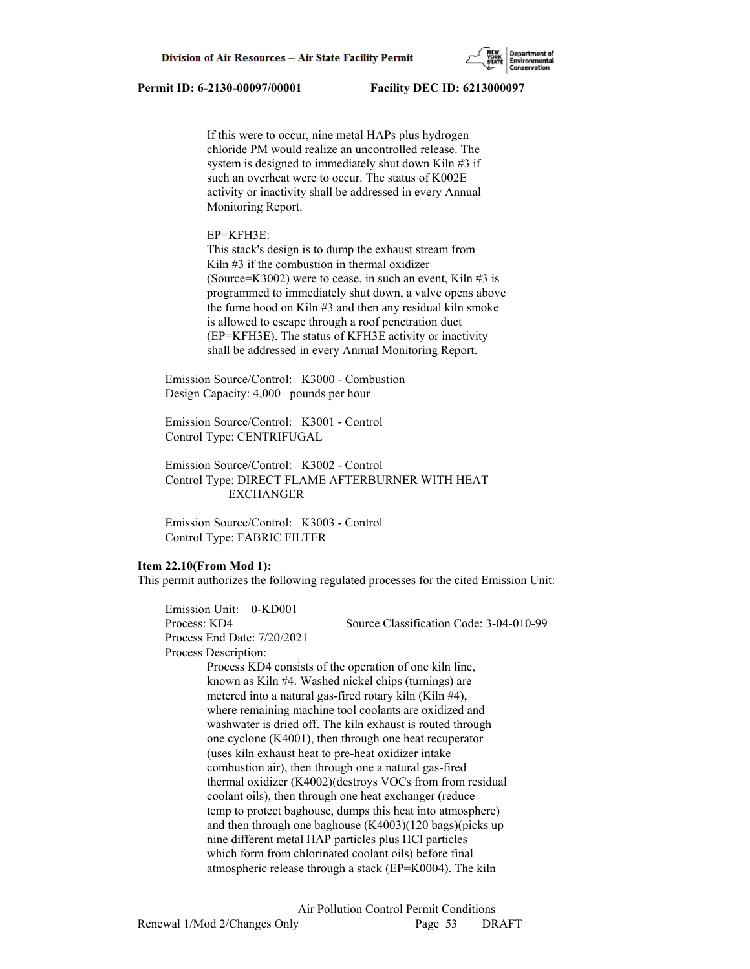

 If this were to occur, nine metal HAPs plus hydrogen chloride PM would realize an uncontrolled release. The system is designed to immediately shut down Kiln #3 if such an overheat were to occur. The status of K002E activity or inactivity shall be addressed in every Annual Monitoring Report.

## EP=KFH3E:

 This stack's design is to dump the exhaust stream from Kiln #3 if the combustion in thermal oxidizer (Source=K3002) were to cease, in such an event, Kiln  $#3$  is programmed to immediately shut down, a valve opens above the fume hood on Kiln #3 and then any residual kiln smoke is allowed to escape through a roof penetration duct (EP=KFH3E). The status of KFH3E activity or inactivity shall be addressed in every Annual Monitoring Report.

 Emission Source/Control: K3000 - Combustion Design Capacity: 4,000 pounds per hour

 Emission Source/Control: K3001 - Control Control Type: CENTRIFUGAL

 Emission Source/Control: K3002 - Control Control Type: DIRECT FLAME AFTERBURNER WITH HEAT EXCHANGER

 Emission Source/Control: K3003 - Control Control Type: FABRIC FILTER

## **Item 22.10(From Mod 1):**

This permit authorizes the following regulated processes for the cited Emission Unit:

 Emission Unit: 0-KD001 Process: KD4 Source Classification Code: 3-04-010-99 Process End Date: 7/20/2021 Process Description: Process KD4 consists of the operation of one kiln line, known as Kiln #4. Washed nickel chips (turnings) are metered into a natural gas-fired rotary kiln (Kiln #4), where remaining machine tool coolants are oxidized and washwater is dried off. The kiln exhaust is routed through one cyclone (K4001), then through one heat recuperator (uses kiln exhaust heat to pre-heat oxidizer intake combustion air), then through one a natural gas-fired thermal oxidizer (K4002)(destroys VOCs from from residual coolant oils), then through one heat exchanger (reduce temp to protect baghouse, dumps this heat into atmosphere) and then through one baghouse (K4003)(120 bags)(picks up nine different metal HAP particles plus HCl particles which form from chlorinated coolant oils) before final atmospheric release through a stack (EP=K0004). The kiln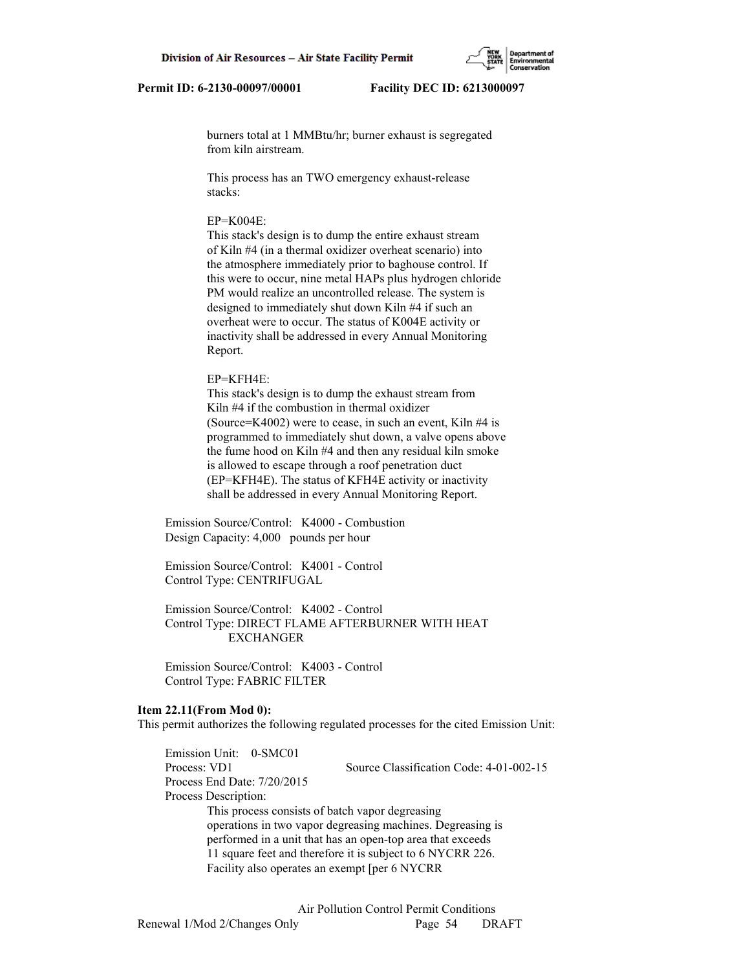burners total at 1 MMBtu/hr; burner exhaust is segregated from kiln airstream.

 This process has an TWO emergency exhaust-release stacks:

## $EP=K004E$

 This stack's design is to dump the entire exhaust stream of Kiln #4 (in a thermal oxidizer overheat scenario) into the atmosphere immediately prior to baghouse control. If this were to occur, nine metal HAPs plus hydrogen chloride PM would realize an uncontrolled release. The system is designed to immediately shut down Kiln #4 if such an overheat were to occur. The status of K004E activity or inactivity shall be addressed in every Annual Monitoring Report.

### EP=KFH4E:

 This stack's design is to dump the exhaust stream from Kiln #4 if the combustion in thermal oxidizer (Source=K4002) were to cease, in such an event, Kiln #4 is programmed to immediately shut down, a valve opens above the fume hood on Kiln #4 and then any residual kiln smoke is allowed to escape through a roof penetration duct (EP=KFH4E). The status of KFH4E activity or inactivity shall be addressed in every Annual Monitoring Report.

 Emission Source/Control: K4000 - Combustion Design Capacity: 4,000 pounds per hour

 Emission Source/Control: K4001 - Control Control Type: CENTRIFUGAL

 Emission Source/Control: K4002 - Control Control Type: DIRECT FLAME AFTERBURNER WITH HEAT EXCHANGER

 Emission Source/Control: K4003 - Control Control Type: FABRIC FILTER

### **Item 22.11(From Mod 0):**

This permit authorizes the following regulated processes for the cited Emission Unit:

 Emission Unit: 0-SMC01 Process: VD1 Source Classification Code: 4-01-002-15 Process End Date: 7/20/2015 Process Description: This process consists of batch vapor degreasing operations in two vapor degreasing machines. Degreasing is performed in a unit that has an open-top area that exceeds 11 square feet and therefore it is subject to 6 NYCRR 226. Facility also operates an exempt [per 6 NYCRR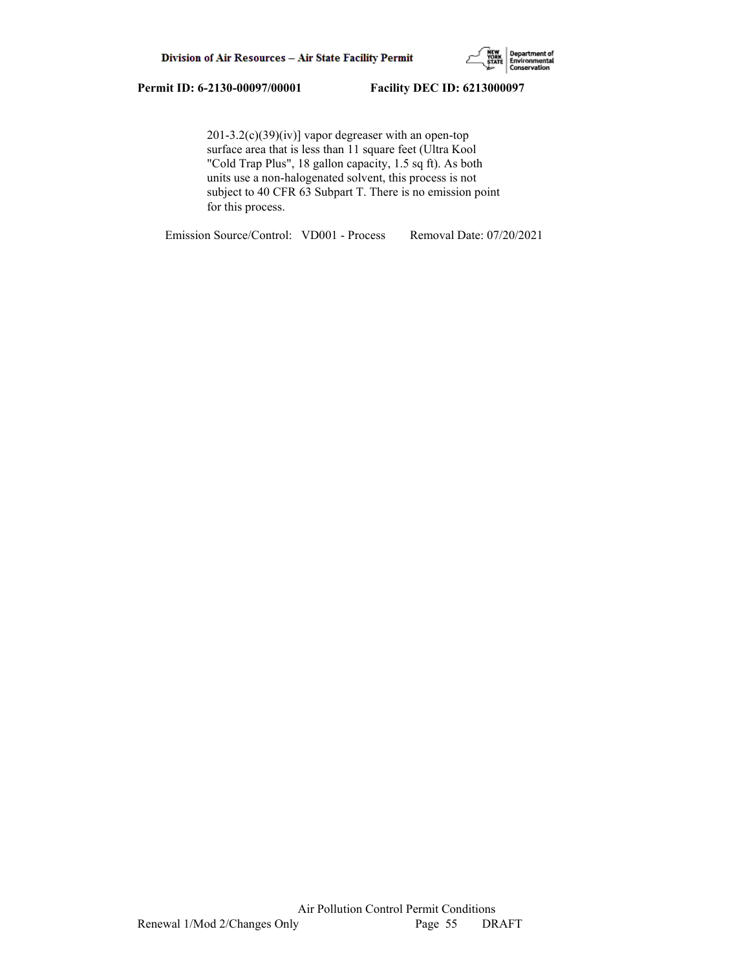

 201-3.2(c)(39)(iv)] vapor degreaser with an open-top surface area that is less than 11 square feet (Ultra Kool "Cold Trap Plus", 18 gallon capacity, 1.5 sq ft). As both units use a non-halogenated solvent, this process is not subject to 40 CFR 63 Subpart T. There is no emission point for this process.

Emission Source/Control: VD001 - Process Removal Date: 07/20/2021